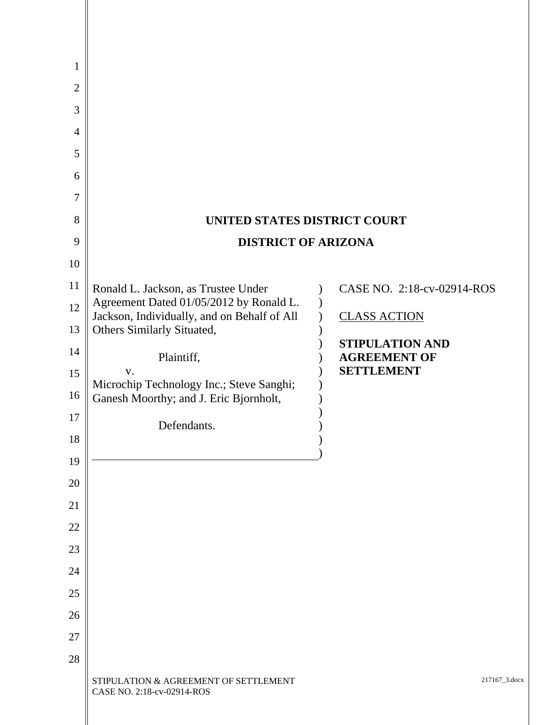| $\mathbf{1}$   |                                                                                    |                                        |
|----------------|------------------------------------------------------------------------------------|----------------------------------------|
| $\overline{2}$ |                                                                                    |                                        |
| 3              |                                                                                    |                                        |
| 4              |                                                                                    |                                        |
| 5              |                                                                                    |                                        |
| 6              |                                                                                    |                                        |
| 7              |                                                                                    |                                        |
| 8              | UNITED STATES DISTRICT COURT                                                       |                                        |
| 9              | <b>DISTRICT OF ARIZONA</b>                                                         |                                        |
| 10             |                                                                                    |                                        |
| 11<br>12       | Ronald L. Jackson, as Trustee Under<br>Agreement Dated 01/05/2012 by Ronald L.     | CASE NO. 2:18-cv-02914-ROS             |
| 13             | Jackson, Individually, and on Behalf of All<br>Others Similarly Situated,          | <b>CLASS ACTION</b>                    |
| 14             | Plaintiff,                                                                         | STIPULATION AND<br><b>AGREEMENT OF</b> |
| 15             | V.                                                                                 | <b>SETTLEMENT</b>                      |
| 16             | Microchip Technology Inc.; Steve Sanghi;<br>Ganesh Moorthy; and J. Eric Bjornholt, |                                        |
| 17             | Defendants.                                                                        |                                        |
| 18             |                                                                                    |                                        |
| 19             |                                                                                    |                                        |
| 20             |                                                                                    |                                        |
| 21             |                                                                                    |                                        |
| 22             |                                                                                    |                                        |
| 23             |                                                                                    |                                        |
| 24             |                                                                                    |                                        |
| 25             |                                                                                    |                                        |
| 26             |                                                                                    |                                        |
| 27             |                                                                                    |                                        |
| 28             | STIPULATION & AGREEMENT OF SETTLEMENT<br>CASE NO. 2:18-cv-02914-ROS                | 217167_3.docx                          |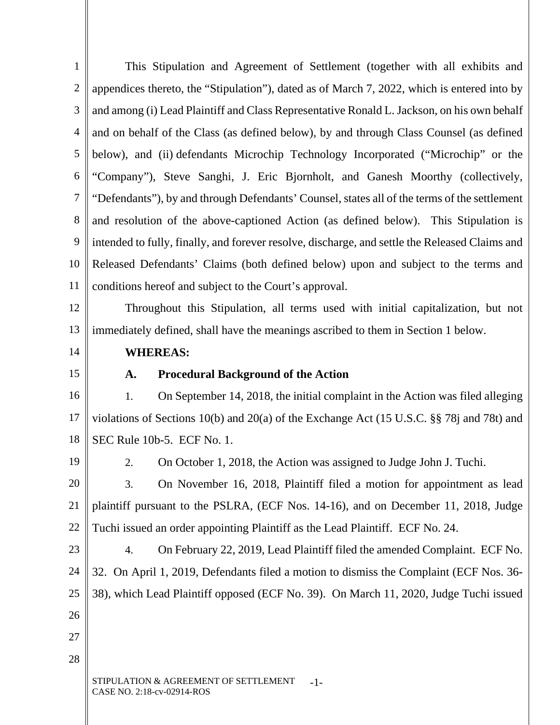1 2 3 4 5 6 7 8 9 10 11 12 13 14 15 16 17 18 19 20 21 22 23 24 This Stipulation and Agreement of Settlement (together with all exhibits and appendices thereto, the "Stipulation"), dated as of March 7, 2022, which is entered into by and among (i) Lead Plaintiff and Class Representative Ronald L. Jackson, on his own behalf and on behalf of the Class (as defined below), by and through Class Counsel (as defined below), and (ii) defendants Microchip Technology Incorporated ("Microchip" or the "Company"), Steve Sanghi, J. Eric Bjornholt, and Ganesh Moorthy (collectively, "Defendants"), by and through Defendants' Counsel, states all of the terms of the settlement and resolution of the above-captioned Action (as defined below). This Stipulation is intended to fully, finally, and forever resolve, discharge, and settle the Released Claims and Released Defendants' Claims (both defined below) upon and subject to the terms and conditions hereof and subject to the Court's approval. Throughout this Stipulation, all terms used with initial capitalization, but not immediately defined, shall have the meanings ascribed to them in Section 1 below.  **WHEREAS: A. Procedural Background of the Action**  1. On September 14, 2018, the initial complaint in the Action was filed alleging violations of Sections 10(b) and 20(a) of the Exchange Act (15 U.S.C. §§ 78j and 78t) and SEC Rule 10b-5. ECF No. 1. 2. On October 1, 2018, the Action was assigned to Judge John J. Tuchi. 3. On November 16, 2018, Plaintiff filed a motion for appointment as lead plaintiff pursuant to the PSLRA, (ECF Nos. 14-16), and on December 11, 2018, Judge Tuchi issued an order appointing Plaintiff as the Lead Plaintiff. ECF No. 24. 4. On February 22, 2019, Lead Plaintiff filed the amended Complaint. ECF No. 32. On April 1, 2019, Defendants filed a motion to dismiss the Complaint (ECF Nos. 36-

25 38), which Lead Plaintiff opposed (ECF No. 39). On March 11, 2020, Judge Tuchi issued

STIPULATION & AGREEMENT OF SETTLEMENT CASE NO. 2:18-cv-02914-ROS -1-

26

27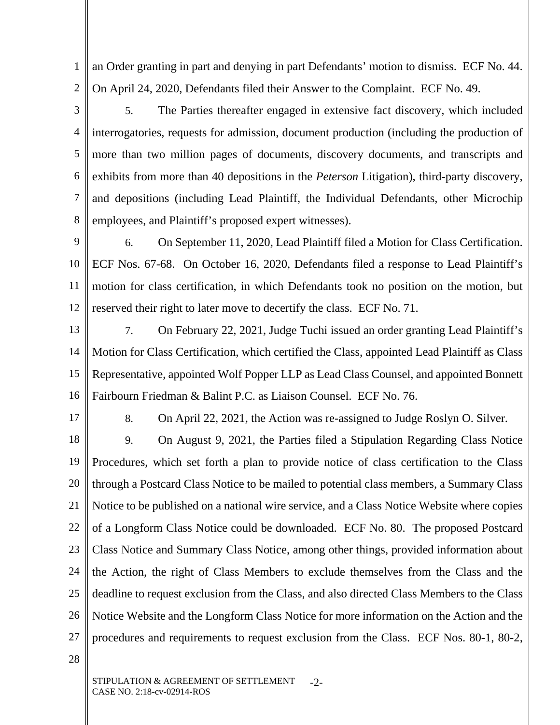1 2 an Order granting in part and denying in part Defendants' motion to dismiss. ECF No. 44. On April 24, 2020, Defendants filed their Answer to the Complaint. ECF No. 49.

3 4 5 6 7 8 5. The Parties thereafter engaged in extensive fact discovery, which included interrogatories, requests for admission, document production (including the production of more than two million pages of documents, discovery documents, and transcripts and exhibits from more than 40 depositions in the *Peterson* Litigation), third-party discovery, and depositions (including Lead Plaintiff, the Individual Defendants, other Microchip employees, and Plaintiff's proposed expert witnesses).

9 10 11 12 6. On September 11, 2020, Lead Plaintiff filed a Motion for Class Certification. ECF Nos. 67-68. On October 16, 2020, Defendants filed a response to Lead Plaintiff's motion for class certification, in which Defendants took no position on the motion, but reserved their right to later move to decertify the class. ECF No. 71.

13

14

15

7. On February 22, 2021, Judge Tuchi issued an order granting Lead Plaintiff's Motion for Class Certification, which certified the Class, appointed Lead Plaintiff as Class Representative, appointed Wolf Popper LLP as Lead Class Counsel, and appointed Bonnett Fairbourn Friedman & Balint P.C. as Liaison Counsel. ECF No. 76.

17

16

8. On April 22, 2021, the Action was re-assigned to Judge Roslyn O. Silver.

18 19 20 21 22 23 24 25 26 27 9. On August 9, 2021, the Parties filed a Stipulation Regarding Class Notice Procedures, which set forth a plan to provide notice of class certification to the Class through a Postcard Class Notice to be mailed to potential class members, a Summary Class Notice to be published on a national wire service, and a Class Notice Website where copies of a Longform Class Notice could be downloaded. ECF No. 80. The proposed Postcard Class Notice and Summary Class Notice, among other things, provided information about the Action, the right of Class Members to exclude themselves from the Class and the deadline to request exclusion from the Class, and also directed Class Members to the Class Notice Website and the Longform Class Notice for more information on the Action and the procedures and requirements to request exclusion from the Class. ECF Nos. 80-1, 80-2,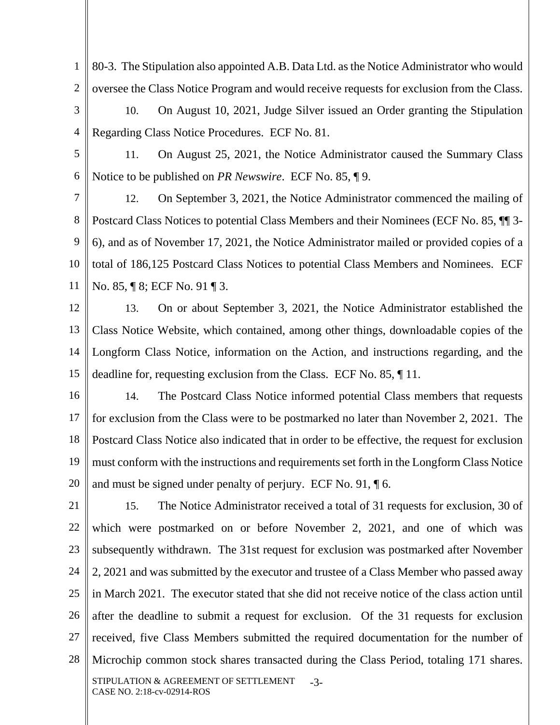1 2 80-3. The Stipulation also appointed A.B. Data Ltd. as the Notice Administrator who would oversee the Class Notice Program and would receive requests for exclusion from the Class.

- 3 4 10. On August 10, 2021, Judge Silver issued an Order granting the Stipulation Regarding Class Notice Procedures. ECF No. 81.
- 5

6

11. On August 25, 2021, the Notice Administrator caused the Summary Class Notice to be published on *PR Newswire*. ECF No. 85, ¶ 9.

7 8 9 10 11 12. On September 3, 2021, the Notice Administrator commenced the mailing of Postcard Class Notices to potential Class Members and their Nominees (ECF No. 85, ¶¶ 3- 6), and as of November 17, 2021, the Notice Administrator mailed or provided copies of a total of 186,125 Postcard Class Notices to potential Class Members and Nominees. ECF No. 85, ¶ 8; ECF No. 91 ¶ 3.

12

13 14 15 13. On or about September 3, 2021, the Notice Administrator established the Class Notice Website, which contained, among other things, downloadable copies of the Longform Class Notice, information on the Action, and instructions regarding, and the deadline for, requesting exclusion from the Class. ECF No. 85, ¶ 11.

16 17 18 19 20 14. The Postcard Class Notice informed potential Class members that requests for exclusion from the Class were to be postmarked no later than November 2, 2021. The Postcard Class Notice also indicated that in order to be effective, the request for exclusion must conform with the instructions and requirements set forth in the Longform Class Notice and must be signed under penalty of perjury. ECF No. 91, ¶ 6.

21 22 23 24 25 26 27 28 STIPULATION & AGREEMENT OF SETTLEMENT CASE NO. 2:18-cv-02914-ROS -3- 15. The Notice Administrator received a total of 31 requests for exclusion, 30 of which were postmarked on or before November 2, 2021, and one of which was subsequently withdrawn. The 31st request for exclusion was postmarked after November 2, 2021 and was submitted by the executor and trustee of a Class Member who passed away in March 2021. The executor stated that she did not receive notice of the class action until after the deadline to submit a request for exclusion. Of the 31 requests for exclusion received, five Class Members submitted the required documentation for the number of Microchip common stock shares transacted during the Class Period, totaling 171 shares.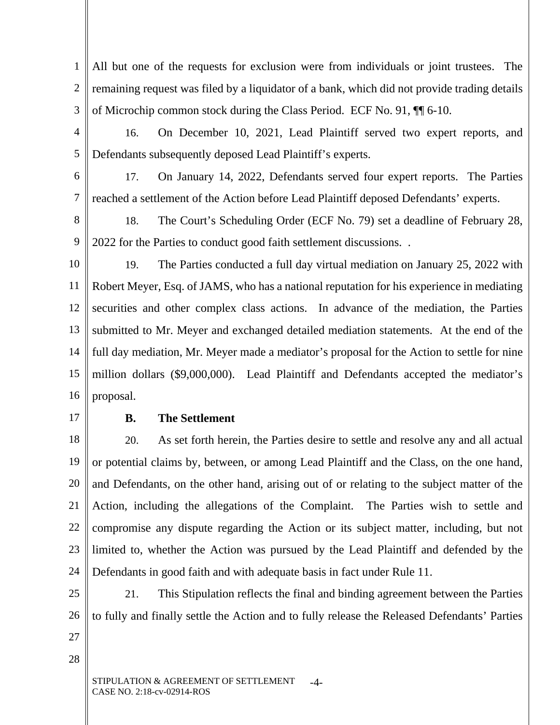1 2 3 All but one of the requests for exclusion were from individuals or joint trustees. The remaining request was filed by a liquidator of a bank, which did not provide trading details of Microchip common stock during the Class Period. ECF No. 91, ¶¶ 6-10.

4 5 16. On December 10, 2021, Lead Plaintiff served two expert reports, and Defendants subsequently deposed Lead Plaintiff's experts.

6 7 17. On January 14, 2022, Defendants served four expert reports. The Parties reached a settlement of the Action before Lead Plaintiff deposed Defendants' experts.

8 9 18. The Court's Scheduling Order (ECF No. 79) set a deadline of February 28, 2022 for the Parties to conduct good faith settlement discussions. .

- 10 11 12 13 14 15 16 19. The Parties conducted a full day virtual mediation on January 25, 2022 with Robert Meyer, Esq. of JAMS, who has a national reputation for his experience in mediating securities and other complex class actions. In advance of the mediation, the Parties submitted to Mr. Meyer and exchanged detailed mediation statements. At the end of the full day mediation, Mr. Meyer made a mediator's proposal for the Action to settle for nine million dollars (\$9,000,000). Lead Plaintiff and Defendants accepted the mediator's proposal.
- 17

## **B. The Settlement**

18 19 20 21 22 23 24 20. As set forth herein, the Parties desire to settle and resolve any and all actual or potential claims by, between, or among Lead Plaintiff and the Class, on the one hand, and Defendants, on the other hand, arising out of or relating to the subject matter of the Action, including the allegations of the Complaint. The Parties wish to settle and compromise any dispute regarding the Action or its subject matter, including, but not limited to, whether the Action was pursued by the Lead Plaintiff and defended by the Defendants in good faith and with adequate basis in fact under Rule 11.

25 26 27 21. This Stipulation reflects the final and binding agreement between the Parties to fully and finally settle the Action and to fully release the Released Defendants' Parties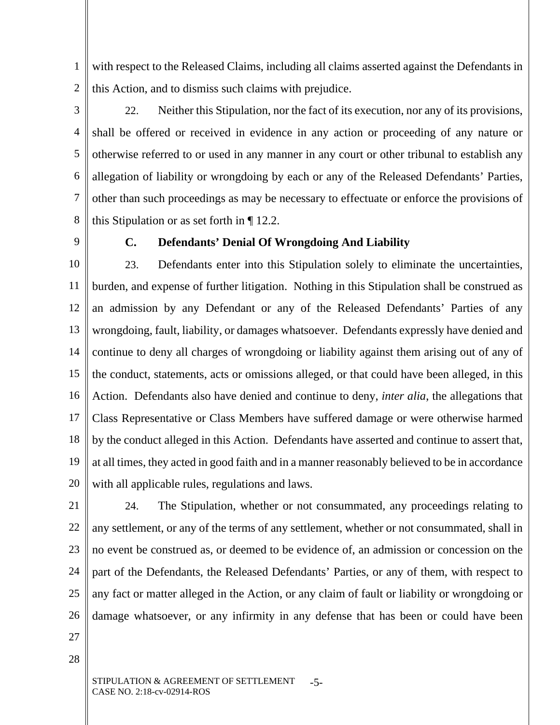1 2 with respect to the Released Claims, including all claims asserted against the Defendants in this Action, and to dismiss such claims with prejudice.

3 4 5 6 7 8 22. Neither this Stipulation, nor the fact of its execution, nor any of its provisions, shall be offered or received in evidence in any action or proceeding of any nature or otherwise referred to or used in any manner in any court or other tribunal to establish any allegation of liability or wrongdoing by each or any of the Released Defendants' Parties, other than such proceedings as may be necessary to effectuate or enforce the provisions of this Stipulation or as set forth in ¶ 12.2.

9

#### **C. Defendants' Denial Of Wrongdoing And Liability**

10 11 12 13 14 15 16 17 18 19 20 23. Defendants enter into this Stipulation solely to eliminate the uncertainties, burden, and expense of further litigation. Nothing in this Stipulation shall be construed as an admission by any Defendant or any of the Released Defendants' Parties of any wrongdoing, fault, liability, or damages whatsoever. Defendants expressly have denied and continue to deny all charges of wrongdoing or liability against them arising out of any of the conduct, statements, acts or omissions alleged, or that could have been alleged, in this Action. Defendants also have denied and continue to deny, *inter alia*, the allegations that Class Representative or Class Members have suffered damage or were otherwise harmed by the conduct alleged in this Action. Defendants have asserted and continue to assert that, at all times, they acted in good faith and in a manner reasonably believed to be in accordance with all applicable rules, regulations and laws.

21

22 23 24 25 26 24. The Stipulation, whether or not consummated, any proceedings relating to any settlement, or any of the terms of any settlement, whether or not consummated, shall in no event be construed as, or deemed to be evidence of, an admission or concession on the part of the Defendants, the Released Defendants' Parties, or any of them, with respect to any fact or matter alleged in the Action, or any claim of fault or liability or wrongdoing or damage whatsoever, or any infirmity in any defense that has been or could have been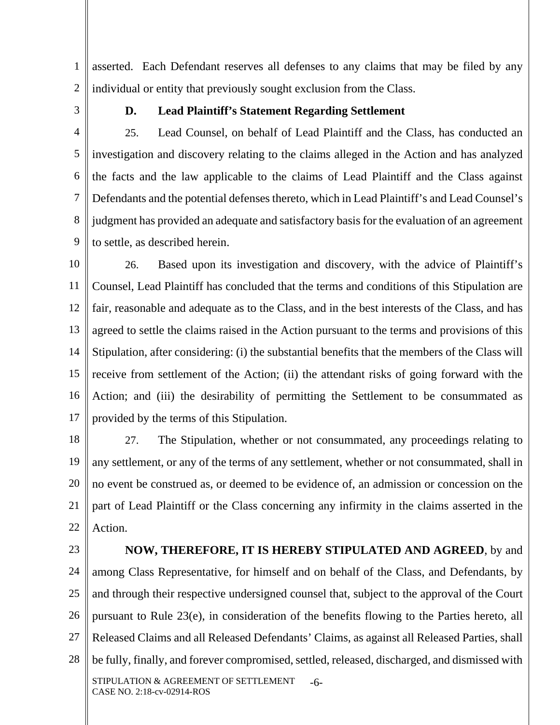1 2 asserted. Each Defendant reserves all defenses to any claims that may be filed by any individual or entity that previously sought exclusion from the Class.

3

#### **D. Lead Plaintiff's Statement Regarding Settlement**

4 5 6 7 8 9 25. Lead Counsel, on behalf of Lead Plaintiff and the Class, has conducted an investigation and discovery relating to the claims alleged in the Action and has analyzed the facts and the law applicable to the claims of Lead Plaintiff and the Class against Defendants and the potential defenses thereto, which in Lead Plaintiff's and Lead Counsel's judgment has provided an adequate and satisfactory basis for the evaluation of an agreement to settle, as described herein.

10 11 12 13 14 15 16 17 26. Based upon its investigation and discovery, with the advice of Plaintiff's Counsel, Lead Plaintiff has concluded that the terms and conditions of this Stipulation are fair, reasonable and adequate as to the Class, and in the best interests of the Class, and has agreed to settle the claims raised in the Action pursuant to the terms and provisions of this Stipulation, after considering: (i) the substantial benefits that the members of the Class will receive from settlement of the Action; (ii) the attendant risks of going forward with the Action; and (iii) the desirability of permitting the Settlement to be consummated as provided by the terms of this Stipulation.

18 19 20 21 22 27. The Stipulation, whether or not consummated, any proceedings relating to any settlement, or any of the terms of any settlement, whether or not consummated, shall in no event be construed as, or deemed to be evidence of, an admission or concession on the part of Lead Plaintiff or the Class concerning any infirmity in the claims asserted in the Action.

23

24 25 26 27 28 STIPULATION & AGREEMENT OF SETTLEMENT CASE NO. 2:18-cv-02914-ROS -6-  **NOW, THEREFORE, IT IS HEREBY STIPULATED AND AGREED**, by and among Class Representative, for himself and on behalf of the Class, and Defendants, by and through their respective undersigned counsel that, subject to the approval of the Court pursuant to Rule 23(e), in consideration of the benefits flowing to the Parties hereto, all Released Claims and all Released Defendants' Claims, as against all Released Parties, shall be fully, finally, and forever compromised, settled, released, discharged, and dismissed with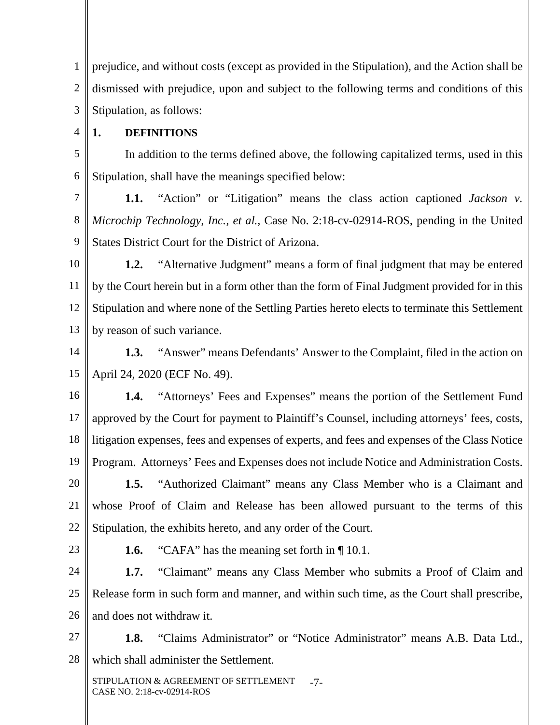1 2 3 prejudice, and without costs (except as provided in the Stipulation), and the Action shall be dismissed with prejudice, upon and subject to the following terms and conditions of this Stipulation, as follows:

#### **1. DEFINITIONS**

4

5 6 In addition to the terms defined above, the following capitalized terms, used in this Stipulation, shall have the meanings specified below:

7 8 9 **1.1.** "Action" or "Litigation" means the class action captioned *Jackson v. Microchip Technology, Inc., et al.*, Case No. 2:18-cv-02914-ROS, pending in the United States District Court for the District of Arizona.

10 11 12 13 **1.2.** "Alternative Judgment" means a form of final judgment that may be entered by the Court herein but in a form other than the form of Final Judgment provided for in this Stipulation and where none of the Settling Parties hereto elects to terminate this Settlement by reason of such variance.

14 15 **1.3.** "Answer" means Defendants' Answer to the Complaint, filed in the action on April 24, 2020 (ECF No. 49).

16 17 18 19 **1.4.** "Attorneys' Fees and Expenses" means the portion of the Settlement Fund approved by the Court for payment to Plaintiff's Counsel, including attorneys' fees, costs, litigation expenses, fees and expenses of experts, and fees and expenses of the Class Notice Program. Attorneys' Fees and Expenses does not include Notice and Administration Costs.

20 21 22 **1.5.** "Authorized Claimant" means any Class Member who is a Claimant and whose Proof of Claim and Release has been allowed pursuant to the terms of this Stipulation, the exhibits hereto, and any order of the Court.

23

**1.6.** "CAFA" has the meaning set forth in  $\P$  10.1.

24 25 26 **1.7.** "Claimant" means any Class Member who submits a Proof of Claim and Release form in such form and manner, and within such time, as the Court shall prescribe, and does not withdraw it.

27 28 **1.8.** "Claims Administrator" or "Notice Administrator" means A.B. Data Ltd., which shall administer the Settlement.

STIPULATION & AGREEMENT OF SETTLEMENT CASE NO. 2:18-cv-02914-ROS -7-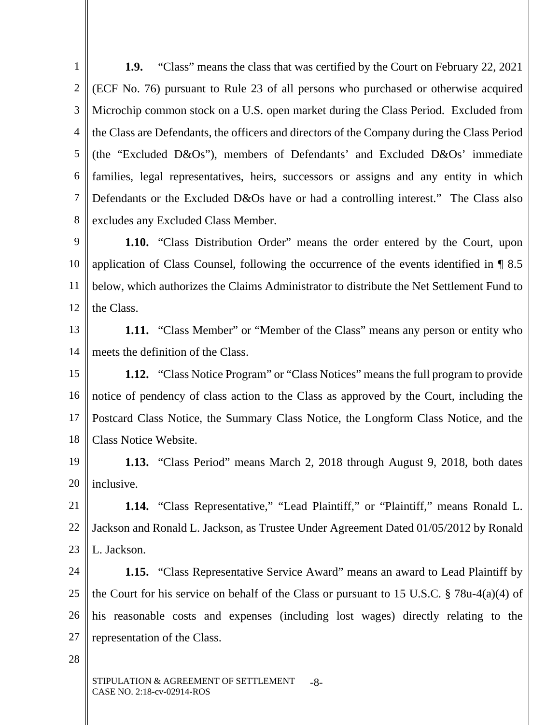1 2 3 4 5 6 7 8 **1.9.** "Class" means the class that was certified by the Court on February 22, 2021 (ECF No. 76) pursuant to Rule 23 of all persons who purchased or otherwise acquired Microchip common stock on a U.S. open market during the Class Period. Excluded from the Class are Defendants, the officers and directors of the Company during the Class Period (the "Excluded D&Os"), members of Defendants' and Excluded D&Os' immediate families, legal representatives, heirs, successors or assigns and any entity in which Defendants or the Excluded D&Os have or had a controlling interest." The Class also excludes any Excluded Class Member.

9 10 11 12 **1.10.** "Class Distribution Order" means the order entered by the Court, upon application of Class Counsel, following the occurrence of the events identified in ¶ 8.5 below, which authorizes the Claims Administrator to distribute the Net Settlement Fund to the Class.

13 14 **1.11.** "Class Member" or "Member of the Class" means any person or entity who meets the definition of the Class.

15 16 17 18 **1.12.** "Class Notice Program" or "Class Notices" means the full program to provide notice of pendency of class action to the Class as approved by the Court, including the Postcard Class Notice, the Summary Class Notice, the Longform Class Notice, and the Class Notice Website.

19 20 **1.13.** "Class Period" means March 2, 2018 through August 9, 2018, both dates inclusive.

21 22 23 **1.14.** "Class Representative," "Lead Plaintiff," or "Plaintiff," means Ronald L. Jackson and Ronald L. Jackson, as Trustee Under Agreement Dated 01/05/2012 by Ronald L. Jackson.

24 25 26 27 **1.15.** "Class Representative Service Award" means an award to Lead Plaintiff by the Court for his service on behalf of the Class or pursuant to 15 U.S.C. § 78u-4(a)(4) of his reasonable costs and expenses (including lost wages) directly relating to the representation of the Class.

28

STIPULATION & AGREEMENT OF SETTLEMENT CASE NO. 2:18-cv-02914-ROS -8-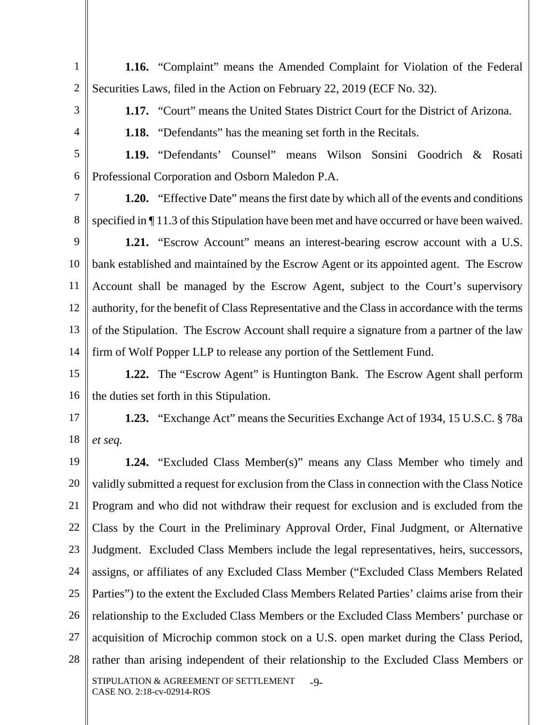**1.16.** "Complaint" means the Amended Complaint for Violation of the Federal Securities Laws, filed in the Action on February 22, 2019 (ECF No. 32).

3

4

1

2

**1.17.** "Court" means the United States District Court for the District of Arizona.

**1.18.** "Defendants" has the meaning set forth in the Recitals.

5 6 **1.19.** "Defendants' Counsel" means Wilson Sonsini Goodrich & Rosati Professional Corporation and Osborn Maledon P.A.

7 8 **1.20.** "Effective Date" means the first date by which all of the events and conditions specified in ¶ 11.3 of this Stipulation have been met and have occurred or have been waived.

9 10 11 12 13 14 **1.21.** "Escrow Account" means an interest-bearing escrow account with a U.S. bank established and maintained by the Escrow Agent or its appointed agent. The Escrow Account shall be managed by the Escrow Agent, subject to the Court's supervisory authority, for the benefit of Class Representative and the Class in accordance with the terms of the Stipulation. The Escrow Account shall require a signature from a partner of the law firm of Wolf Popper LLP to release any portion of the Settlement Fund.

15 16 **1.22.** The "Escrow Agent" is Huntington Bank. The Escrow Agent shall perform the duties set forth in this Stipulation.

17 18 **1.23.** "Exchange Act" means the Securities Exchange Act of 1934, 15 U.S.C. § 78a *et seq.*

19 20 21 22 23 24 25 26 27 28 STIPULATION & AGREEMENT OF SETTLEMENT CASE NO. 2:18-cv-02914-ROS  $-9-$ **1.24.** "Excluded Class Member(s)" means any Class Member who timely and validly submitted a request for exclusion from the Class in connection with the Class Notice Program and who did not withdraw their request for exclusion and is excluded from the Class by the Court in the Preliminary Approval Order, Final Judgment, or Alternative Judgment. Excluded Class Members include the legal representatives, heirs, successors, assigns, or affiliates of any Excluded Class Member ("Excluded Class Members Related Parties") to the extent the Excluded Class Members Related Parties' claims arise from their relationship to the Excluded Class Members or the Excluded Class Members' purchase or acquisition of Microchip common stock on a U.S. open market during the Class Period, rather than arising independent of their relationship to the Excluded Class Members or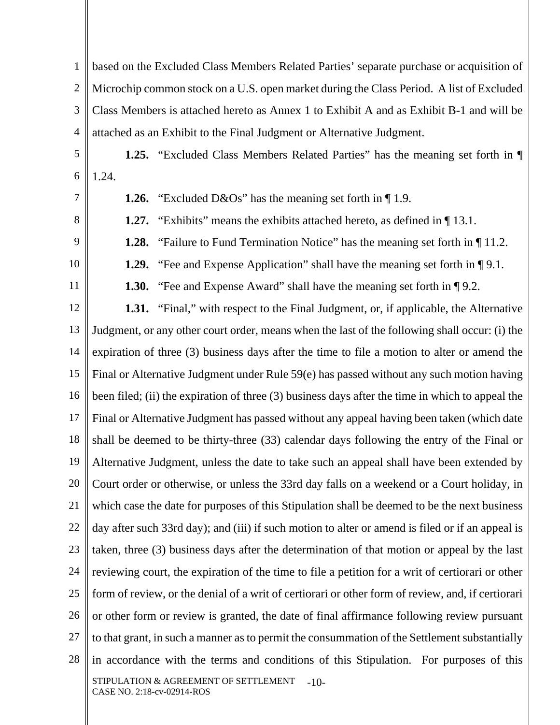1 2 3 4 based on the Excluded Class Members Related Parties' separate purchase or acquisition of Microchip common stock on a U.S. open market during the Class Period. A list of Excluded Class Members is attached hereto as Annex 1 to Exhibit A and as Exhibit B-1 and will be attached as an Exhibit to the Final Judgment or Alternative Judgment.

5 6 **1.25.** "Excluded Class Members Related Parties" has the meaning set forth in ¶ 1.24.

7

8

9

10

11

**1.26.** "Excluded D&Os" has the meaning set forth in  $\P$  1.9.

**1.27.** "Exhibits" means the exhibits attached hereto, as defined in  $\P$  13.1.

**1.28.** "Failure to Fund Termination Notice" has the meaning set forth in  $\P$  11.2.

**1.29.** "Fee and Expense Application" shall have the meaning set forth in  $\P$ 9.1.

**1.30.** "Fee and Expense Award" shall have the meaning set forth in  $\P$  9.2.

12 13 14 15 16 17 18 19 20 21 22 23 24 25 26 27 28 STIPULATION & AGREEMENT OF SETTLEMENT CASE NO. 2:18-cv-02914-ROS -10- **1.31.** "Final," with respect to the Final Judgment, or, if applicable, the Alternative Judgment, or any other court order, means when the last of the following shall occur: (i) the expiration of three (3) business days after the time to file a motion to alter or amend the Final or Alternative Judgment under Rule 59(e) has passed without any such motion having been filed; (ii) the expiration of three (3) business days after the time in which to appeal the Final or Alternative Judgment has passed without any appeal having been taken (which date shall be deemed to be thirty-three (33) calendar days following the entry of the Final or Alternative Judgment, unless the date to take such an appeal shall have been extended by Court order or otherwise, or unless the 33rd day falls on a weekend or a Court holiday, in which case the date for purposes of this Stipulation shall be deemed to be the next business day after such 33rd day); and (iii) if such motion to alter or amend is filed or if an appeal is taken, three (3) business days after the determination of that motion or appeal by the last reviewing court, the expiration of the time to file a petition for a writ of certiorari or other form of review, or the denial of a writ of certiorari or other form of review, and, if certiorari or other form or review is granted, the date of final affirmance following review pursuant to that grant, in such a manner as to permit the consummation of the Settlement substantially in accordance with the terms and conditions of this Stipulation. For purposes of this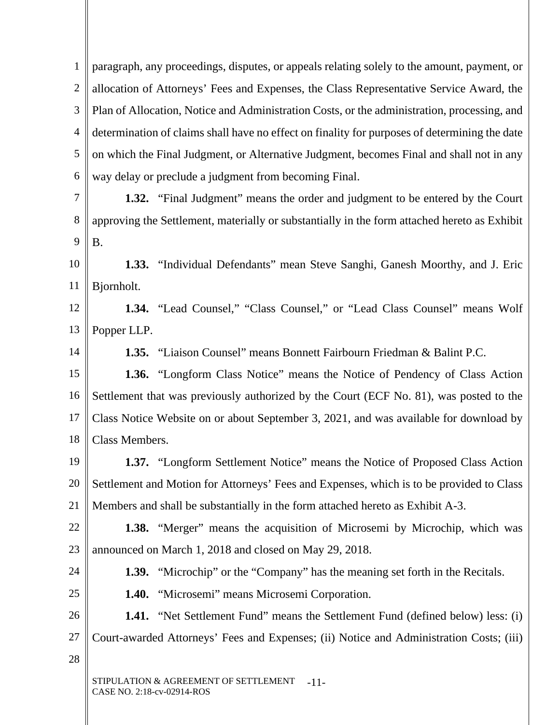1 2 3 4 5 6 paragraph, any proceedings, disputes, or appeals relating solely to the amount, payment, or allocation of Attorneys' Fees and Expenses, the Class Representative Service Award, the Plan of Allocation, Notice and Administration Costs, or the administration, processing, and determination of claims shall have no effect on finality for purposes of determining the date on which the Final Judgment, or Alternative Judgment, becomes Final and shall not in any way delay or preclude a judgment from becoming Final.

7 8 9 **1.32.** "Final Judgment" means the order and judgment to be entered by the Court approving the Settlement, materially or substantially in the form attached hereto as Exhibit B.

10 11 **1.33.** "Individual Defendants" mean Steve Sanghi, Ganesh Moorthy, and J. Eric Bjornholt.

12 13 **1.34.** "Lead Counsel," "Class Counsel," or "Lead Class Counsel" means Wolf Popper LLP.

14

**1.35.** "Liaison Counsel" means Bonnett Fairbourn Friedman & Balint P.C.

15 16 17 18 **1.36.** "Longform Class Notice" means the Notice of Pendency of Class Action Settlement that was previously authorized by the Court (ECF No. 81), was posted to the Class Notice Website on or about September 3, 2021, and was available for download by Class Members.

19 20 21 **1.37.** "Longform Settlement Notice" means the Notice of Proposed Class Action Settlement and Motion for Attorneys' Fees and Expenses, which is to be provided to Class Members and shall be substantially in the form attached hereto as Exhibit A-3.

22 23 **1.38.** "Merger" means the acquisition of Microsemi by Microchip, which was announced on March 1, 2018 and closed on May 29, 2018.

24 25 **1.39.** "Microchip" or the "Company" has the meaning set forth in the Recitals.

**1.40.** "Microsemi" means Microsemi Corporation.

26 27 **1.41.** "Net Settlement Fund" means the Settlement Fund (defined below) less: (i) Court-awarded Attorneys' Fees and Expenses; (ii) Notice and Administration Costs; (iii)

28

STIPULATION & AGREEMENT OF SETTLEMENT CASE NO. 2:18-cv-02914-ROS -11-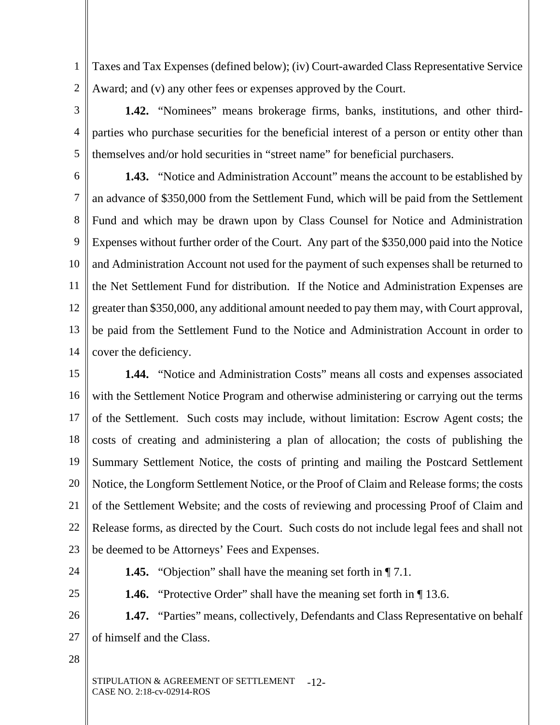1 2 Taxes and Tax Expenses (defined below); (iv) Court-awarded Class Representative Service Award; and (v) any other fees or expenses approved by the Court.

**1.42.** "Nominees" means brokerage firms, banks, institutions, and other thirdparties who purchase securities for the beneficial interest of a person or entity other than themselves and/or hold securities in "street name" for beneficial purchasers.

6 7 8 9 10 11 12 13 14 **1.43.** "Notice and Administration Account" means the account to be established by an advance of \$350,000 from the Settlement Fund, which will be paid from the Settlement Fund and which may be drawn upon by Class Counsel for Notice and Administration Expenses without further order of the Court. Any part of the \$350,000 paid into the Notice and Administration Account not used for the payment of such expenses shall be returned to the Net Settlement Fund for distribution. If the Notice and Administration Expenses are greater than \$350,000, any additional amount needed to pay them may, with Court approval, be paid from the Settlement Fund to the Notice and Administration Account in order to cover the deficiency.

15 16 17 18 19 20 21 22 23 **1.44.** "Notice and Administration Costs" means all costs and expenses associated with the Settlement Notice Program and otherwise administering or carrying out the terms of the Settlement. Such costs may include, without limitation: Escrow Agent costs; the costs of creating and administering a plan of allocation; the costs of publishing the Summary Settlement Notice, the costs of printing and mailing the Postcard Settlement Notice, the Longform Settlement Notice, or the Proof of Claim and Release forms; the costs of the Settlement Website; and the costs of reviewing and processing Proof of Claim and Release forms, as directed by the Court. Such costs do not include legal fees and shall not be deemed to be Attorneys' Fees and Expenses.

25

24

3

4

5

**1.45.** "Objection" shall have the meaning set forth in  $\P$  7.1.

**1.46.** "Protective Order" shall have the meaning set forth in  $\P$  13.6.

26 27 **1.47.** "Parties" means, collectively, Defendants and Class Representative on behalf of himself and the Class.

28

STIPULATION & AGREEMENT OF SETTLEMENT -12-CASE NO. 2:18-cv-02914-ROS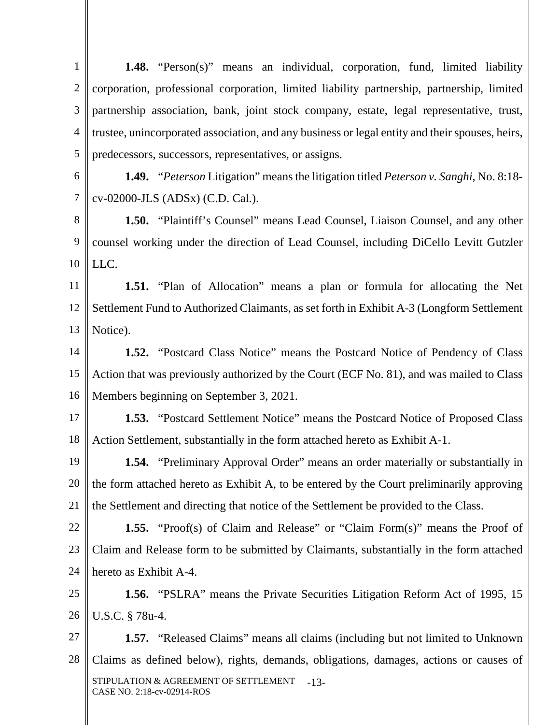| $\mathbf{1}$   | <b>1.48.</b> "Person(s)" means an individual, corporation, fund, limited liability                           |  |
|----------------|--------------------------------------------------------------------------------------------------------------|--|
| $\overline{2}$ | corporation, professional corporation, limited liability partnership, partnership, limited                   |  |
| 3              | partnership association, bank, joint stock company, estate, legal representative, trust,                     |  |
| $\overline{4}$ | trustee, unincorporated association, and any business or legal entity and their spouses, heirs,              |  |
| 5              | predecessors, successors, representatives, or assigns.                                                       |  |
| 6              | <b>1.49.</b> " <i>Peterson</i> Litigation" means the litigation titled <i>Peterson v. Sanghi</i> , No. 8:18- |  |
| $\overline{7}$ | cv-02000-JLS (ADSx) (C.D. Cal.).                                                                             |  |
| 8              | 1.50. "Plaintiff's Counsel" means Lead Counsel, Liaison Counsel, and any other                               |  |
| 9              | counsel working under the direction of Lead Counsel, including DiCello Levitt Gutzler                        |  |
| 10             | LLC.                                                                                                         |  |
| 11             | <b>1.51.</b> "Plan of Allocation" means a plan or formula for allocating the Net                             |  |
| 12             | Settlement Fund to Authorized Claimants, as set forth in Exhibit A-3 (Longform Settlement                    |  |
| 13             | Notice).                                                                                                     |  |
| 14             | <b>1.52.</b> "Postcard Class Notice" means the Postcard Notice of Pendency of Class                          |  |
| 15             | Action that was previously authorized by the Court (ECF No. 81), and was mailed to Class                     |  |
| 16             | Members beginning on September 3, 2021.                                                                      |  |

17 18 **1.53.** "Postcard Settlement Notice" means the Postcard Notice of Proposed Class Action Settlement, substantially in the form attached hereto as Exhibit A-1.

19 20 21 **1.54.** "Preliminary Approval Order" means an order materially or substantially in the form attached hereto as Exhibit A, to be entered by the Court preliminarily approving the Settlement and directing that notice of the Settlement be provided to the Class.

22 23 24 **1.55.** "Proof(s) of Claim and Release" or "Claim Form(s)" means the Proof of Claim and Release form to be submitted by Claimants, substantially in the form attached hereto as Exhibit A-4.

25 26 **1.56.** "PSLRA" means the Private Securities Litigation Reform Act of 1995, 15 U.S.C. § 78u-4.

27 28 STIPULATION & AGREEMENT OF SETTLEMENT CASE NO. 2:18-cv-02914-ROS -13- **1.57.** "Released Claims" means all claims (including but not limited to Unknown Claims as defined below), rights, demands, obligations, damages, actions or causes of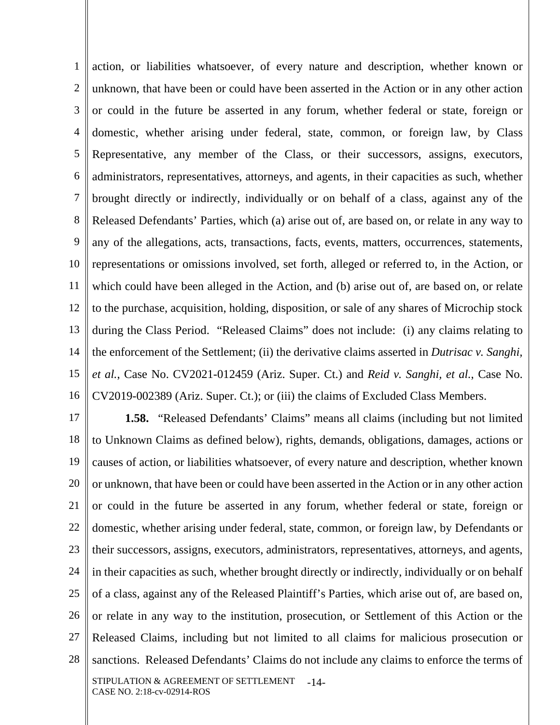1 2 3 4 5 6 7 8 9 10 11 12 13 14 15 16 action, or liabilities whatsoever, of every nature and description, whether known or unknown, that have been or could have been asserted in the Action or in any other action or could in the future be asserted in any forum, whether federal or state, foreign or domestic, whether arising under federal, state, common, or foreign law, by Class Representative, any member of the Class, or their successors, assigns, executors, administrators, representatives, attorneys, and agents, in their capacities as such, whether brought directly or indirectly, individually or on behalf of a class, against any of the Released Defendants' Parties, which (a) arise out of, are based on, or relate in any way to any of the allegations, acts, transactions, facts, events, matters, occurrences, statements, representations or omissions involved, set forth, alleged or referred to, in the Action, or which could have been alleged in the Action, and (b) arise out of, are based on, or relate to the purchase, acquisition, holding, disposition, or sale of any shares of Microchip stock during the Class Period. "Released Claims" does not include: (i) any claims relating to the enforcement of the Settlement; (ii) the derivative claims asserted in *Dutrisac v. Sanghi, et al.*, Case No. CV2021-012459 (Ariz. Super. Ct.) and *Reid v. Sanghi, et al.*, Case No. CV2019-002389 (Ariz. Super. Ct.); or (iii) the claims of Excluded Class Members.

17 18 19 20 21 22 23 24 25 26 27 28 STIPULATION & AGREEMENT OF SETTLEMENT CASE NO. 2:18-cv-02914-ROS -14- **1.58.** "Released Defendants' Claims" means all claims (including but not limited to Unknown Claims as defined below), rights, demands, obligations, damages, actions or causes of action, or liabilities whatsoever, of every nature and description, whether known or unknown, that have been or could have been asserted in the Action or in any other action or could in the future be asserted in any forum, whether federal or state, foreign or domestic, whether arising under federal, state, common, or foreign law, by Defendants or their successors, assigns, executors, administrators, representatives, attorneys, and agents, in their capacities as such, whether brought directly or indirectly, individually or on behalf of a class, against any of the Released Plaintiff's Parties, which arise out of, are based on, or relate in any way to the institution, prosecution, or Settlement of this Action or the Released Claims, including but not limited to all claims for malicious prosecution or sanctions. Released Defendants' Claims do not include any claims to enforce the terms of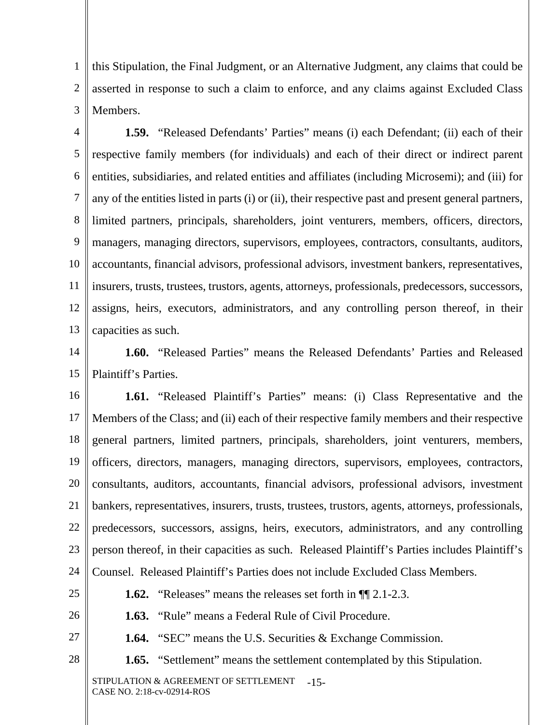1 2 3 this Stipulation, the Final Judgment, or an Alternative Judgment, any claims that could be asserted in response to such a claim to enforce, and any claims against Excluded Class Members.

4 5 6 7 8 9 10 11 12 13 **1.59.** "Released Defendants' Parties" means (i) each Defendant; (ii) each of their respective family members (for individuals) and each of their direct or indirect parent entities, subsidiaries, and related entities and affiliates (including Microsemi); and (iii) for any of the entities listed in parts (i) or (ii), their respective past and present general partners, limited partners, principals, shareholders, joint venturers, members, officers, directors, managers, managing directors, supervisors, employees, contractors, consultants, auditors, accountants, financial advisors, professional advisors, investment bankers, representatives, insurers, trusts, trustees, trustors, agents, attorneys, professionals, predecessors, successors, assigns, heirs, executors, administrators, and any controlling person thereof, in their capacities as such.

14 15 **1.60.** "Released Parties" means the Released Defendants' Parties and Released Plaintiff's Parties.

16 17 18 19 20 21 22 23 24 **1.61.** "Released Plaintiff's Parties" means: (i) Class Representative and the Members of the Class; and (ii) each of their respective family members and their respective general partners, limited partners, principals, shareholders, joint venturers, members, officers, directors, managers, managing directors, supervisors, employees, contractors, consultants, auditors, accountants, financial advisors, professional advisors, investment bankers, representatives, insurers, trusts, trustees, trustors, agents, attorneys, professionals, predecessors, successors, assigns, heirs, executors, administrators, and any controlling person thereof, in their capacities as such. Released Plaintiff's Parties includes Plaintiff's Counsel. Released Plaintiff's Parties does not include Excluded Class Members.

- 25
- 26
- **1.63.** "Rule" means a Federal Rule of Civil Procedure.

**1.62.** "Releases" means the releases set forth in ¶¶ 2.1-2.3.

27

**1.64.** "SEC" means the U.S. Securities & Exchange Commission.

28

**1.65.** "Settlement" means the settlement contemplated by this Stipulation.

STIPULATION & AGREEMENT OF SETTLEMENT -15-CASE NO. 2:18-cv-02914-ROS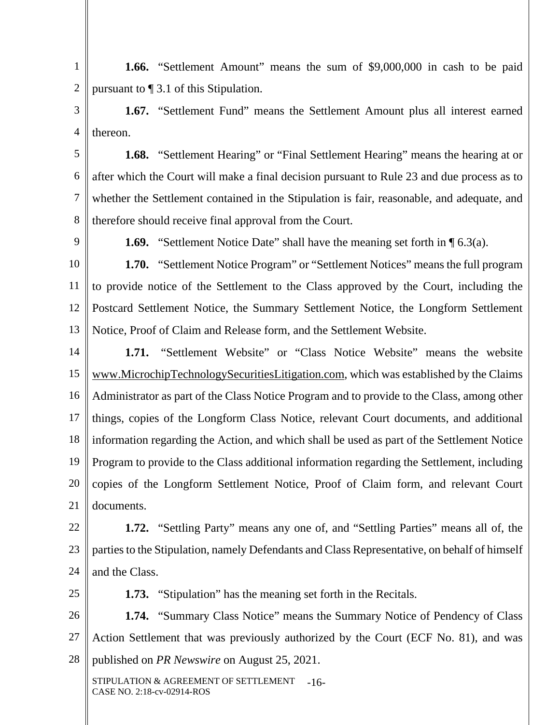1 2 **1.66.** "Settlement Amount" means the sum of \$9,000,000 in cash to be paid pursuant to ¶ 3.1 of this Stipulation.

3 4 **1.67.** "Settlement Fund" means the Settlement Amount plus all interest earned thereon.

5 6 7 8 **1.68.** "Settlement Hearing" or "Final Settlement Hearing" means the hearing at or after which the Court will make a final decision pursuant to Rule 23 and due process as to whether the Settlement contained in the Stipulation is fair, reasonable, and adequate, and therefore should receive final approval from the Court.

9

**1.69.** "Settlement Notice Date" shall have the meaning set forth in  $\P$  6.3(a).

10 11 12 13 **1.70.** "Settlement Notice Program" or "Settlement Notices" means the full program to provide notice of the Settlement to the Class approved by the Court, including the Postcard Settlement Notice, the Summary Settlement Notice, the Longform Settlement Notice, Proof of Claim and Release form, and the Settlement Website.

14 15 16 17 18 19 20 21 **1.71.** "Settlement Website" or "Class Notice Website" means the website www.MicrochipTechnologySecuritiesLitigation.com, which was established by the Claims Administrator as part of the Class Notice Program and to provide to the Class, among other things, copies of the Longform Class Notice, relevant Court documents, and additional information regarding the Action, and which shall be used as part of the Settlement Notice Program to provide to the Class additional information regarding the Settlement, including copies of the Longform Settlement Notice, Proof of Claim form, and relevant Court documents.

22 23 24 **1.72.** "Settling Party" means any one of, and "Settling Parties" means all of, the parties to the Stipulation, namely Defendants and Class Representative, on behalf of himself and the Class.

25

**1.73.** "Stipulation" has the meaning set forth in the Recitals.

26 27 28 **1.74.** "Summary Class Notice" means the Summary Notice of Pendency of Class Action Settlement that was previously authorized by the Court (ECF No. 81), and was published on *PR Newswire* on August 25, 2021.

STIPULATION & AGREEMENT OF SETTLEMENT -16-CASE NO. 2:18-cv-02914-ROS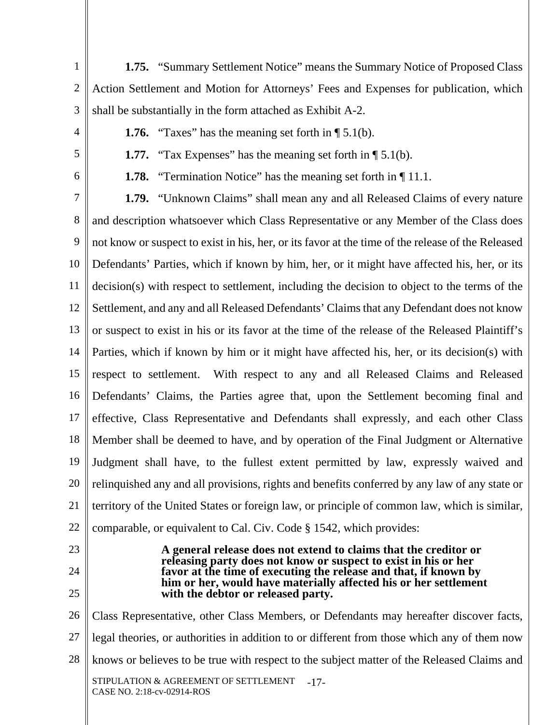1  $\mathcal{L}$ 3 **1.75.** "Summary Settlement Notice" means the Summary Notice of Proposed Class Action Settlement and Motion for Attorneys' Fees and Expenses for publication, which shall be substantially in the form attached as Exhibit A-2.

4

**1.76.** "Taxes" has the meaning set forth in  $\P$  5.1(b).

5

6

**1.77.** "Tax Expenses" has the meaning set forth in  $\P$  5.1(b).

**1.78.** "Termination Notice" has the meaning set forth in ¶ 11.1.

7 8 9 10 11 12 13 14 15 16 17 18 19 20 21 22 **1.79.** "Unknown Claims" shall mean any and all Released Claims of every nature and description whatsoever which Class Representative or any Member of the Class does not know or suspect to exist in his, her, or its favor at the time of the release of the Released Defendants' Parties, which if known by him, her, or it might have affected his, her, or its decision(s) with respect to settlement, including the decision to object to the terms of the Settlement, and any and all Released Defendants' Claims that any Defendant does not know or suspect to exist in his or its favor at the time of the release of the Released Plaintiff's Parties, which if known by him or it might have affected his, her, or its decision(s) with respect to settlement. With respect to any and all Released Claims and Released Defendants' Claims, the Parties agree that, upon the Settlement becoming final and effective, Class Representative and Defendants shall expressly, and each other Class Member shall be deemed to have, and by operation of the Final Judgment or Alternative Judgment shall have, to the fullest extent permitted by law, expressly waived and relinquished any and all provisions, rights and benefits conferred by any law of any state or territory of the United States or foreign law, or principle of common law, which is similar, comparable, or equivalent to Cal. Civ. Code § 1542, which provides:

- 23
- 24 25

**A general release does not extend to claims that the creditor or releasing party does not know or suspect to exist in his or her favor at the time of executing the release and that, if known by him or her, would have materially affected his or her settlement with the debtor or released party.** 

26 27 28 STIPULATION & AGREEMENT OF SETTLEMENT CASE NO. 2:18-cv-02914-ROS -17- Class Representative, other Class Members, or Defendants may hereafter discover facts, legal theories, or authorities in addition to or different from those which any of them now knows or believes to be true with respect to the subject matter of the Released Claims and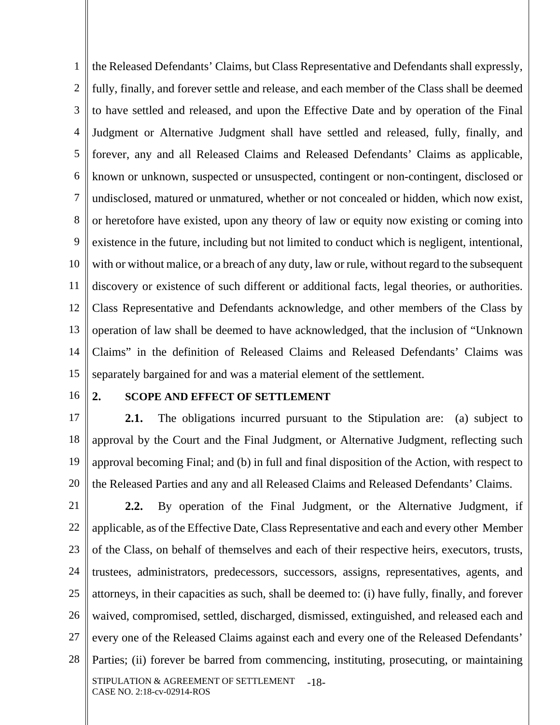1 2 3 4 5 6 7 8 9 10 11 12 13 14 15 the Released Defendants' Claims, but Class Representative and Defendants shall expressly, fully, finally, and forever settle and release, and each member of the Class shall be deemed to have settled and released, and upon the Effective Date and by operation of the Final Judgment or Alternative Judgment shall have settled and released, fully, finally, and forever, any and all Released Claims and Released Defendants' Claims as applicable, known or unknown, suspected or unsuspected, contingent or non-contingent, disclosed or undisclosed, matured or unmatured, whether or not concealed or hidden, which now exist, or heretofore have existed, upon any theory of law or equity now existing or coming into existence in the future, including but not limited to conduct which is negligent, intentional, with or without malice, or a breach of any duty, law or rule, without regard to the subsequent discovery or existence of such different or additional facts, legal theories, or authorities. Class Representative and Defendants acknowledge, and other members of the Class by operation of law shall be deemed to have acknowledged, that the inclusion of "Unknown Claims" in the definition of Released Claims and Released Defendants' Claims was separately bargained for and was a material element of the settlement.

16

#### **2. SCOPE AND EFFECT OF SETTLEMENT**

17 18 19 20 **2.1.** The obligations incurred pursuant to the Stipulation are: (a) subject to approval by the Court and the Final Judgment, or Alternative Judgment, reflecting such approval becoming Final; and (b) in full and final disposition of the Action, with respect to the Released Parties and any and all Released Claims and Released Defendants' Claims.

21 22 23 24 25 26 27 28 STIPULATION & AGREEMENT OF SETTLEMENT CASE NO. 2:18-cv-02914-ROS -18- **2.2.** By operation of the Final Judgment, or the Alternative Judgment, if applicable, as of the Effective Date, Class Representative and each and every other Member of the Class, on behalf of themselves and each of their respective heirs, executors, trusts, trustees, administrators, predecessors, successors, assigns, representatives, agents, and attorneys, in their capacities as such, shall be deemed to: (i) have fully, finally, and forever waived, compromised, settled, discharged, dismissed, extinguished, and released each and every one of the Released Claims against each and every one of the Released Defendants' Parties; (ii) forever be barred from commencing, instituting, prosecuting, or maintaining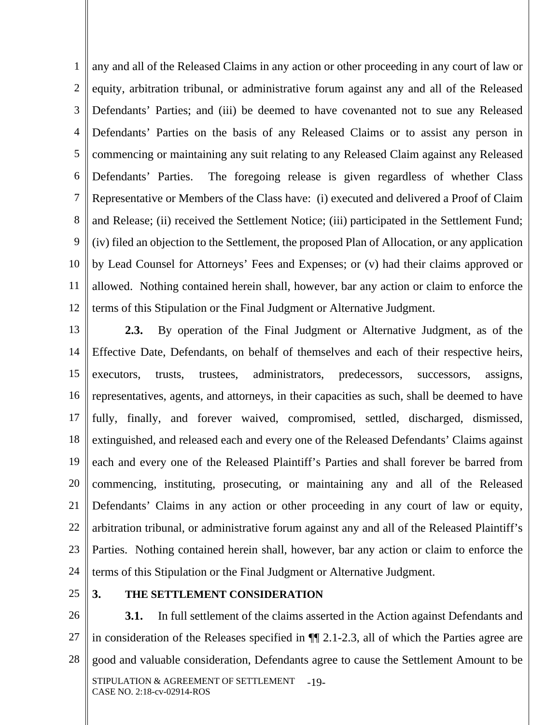1 2 3 4 5 6 7 8 9 10 11 12 any and all of the Released Claims in any action or other proceeding in any court of law or equity, arbitration tribunal, or administrative forum against any and all of the Released Defendants' Parties; and (iii) be deemed to have covenanted not to sue any Released Defendants' Parties on the basis of any Released Claims or to assist any person in commencing or maintaining any suit relating to any Released Claim against any Released Defendants' Parties. The foregoing release is given regardless of whether Class Representative or Members of the Class have: (i) executed and delivered a Proof of Claim and Release; (ii) received the Settlement Notice; (iii) participated in the Settlement Fund; (iv) filed an objection to the Settlement, the proposed Plan of Allocation, or any application by Lead Counsel for Attorneys' Fees and Expenses; or (v) had their claims approved or allowed. Nothing contained herein shall, however, bar any action or claim to enforce the terms of this Stipulation or the Final Judgment or Alternative Judgment.

13 14 15 16 17 18 19 20 21 22 23 24 **2.3.** By operation of the Final Judgment or Alternative Judgment, as of the Effective Date, Defendants, on behalf of themselves and each of their respective heirs, executors, trusts, trustees, administrators, predecessors, successors, assigns, representatives, agents, and attorneys, in their capacities as such, shall be deemed to have fully, finally, and forever waived, compromised, settled, discharged, dismissed, extinguished, and released each and every one of the Released Defendants' Claims against each and every one of the Released Plaintiff's Parties and shall forever be barred from commencing, instituting, prosecuting, or maintaining any and all of the Released Defendants' Claims in any action or other proceeding in any court of law or equity, arbitration tribunal, or administrative forum against any and all of the Released Plaintiff's Parties. Nothing contained herein shall, however, bar any action or claim to enforce the terms of this Stipulation or the Final Judgment or Alternative Judgment.

25

## **3. THE SETTLEMENT CONSIDERATION**

26 27 28 STIPULATION & AGREEMENT OF SETTLEMENT -19-CASE NO. 2:18-cv-02914-ROS **3.1.** In full settlement of the claims asserted in the Action against Defendants and in consideration of the Releases specified in ¶¶ 2.1-2.3, all of which the Parties agree are good and valuable consideration, Defendants agree to cause the Settlement Amount to be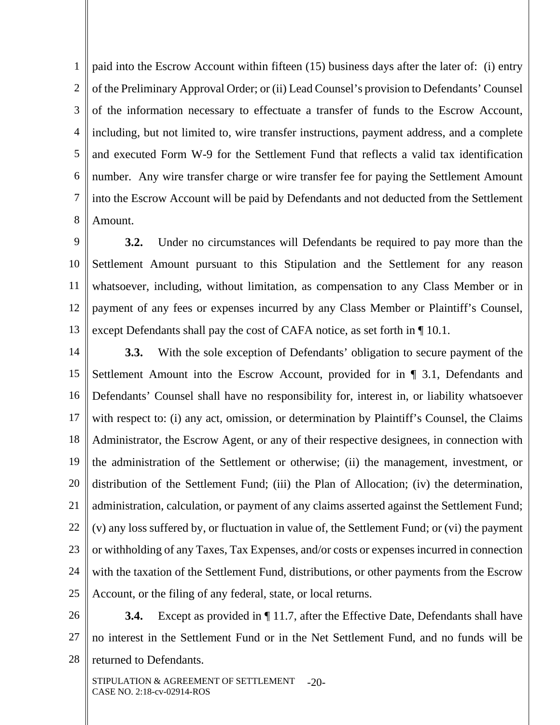1 2 3 4 5 6 7 8 paid into the Escrow Account within fifteen (15) business days after the later of: (i) entry of the Preliminary Approval Order; or (ii) Lead Counsel's provision to Defendants' Counsel of the information necessary to effectuate a transfer of funds to the Escrow Account, including, but not limited to, wire transfer instructions, payment address, and a complete and executed Form W-9 for the Settlement Fund that reflects a valid tax identification number. Any wire transfer charge or wire transfer fee for paying the Settlement Amount into the Escrow Account will be paid by Defendants and not deducted from the Settlement Amount.

9 10 11 12 13 **3.2.** Under no circumstances will Defendants be required to pay more than the Settlement Amount pursuant to this Stipulation and the Settlement for any reason whatsoever, including, without limitation, as compensation to any Class Member or in payment of any fees or expenses incurred by any Class Member or Plaintiff's Counsel, except Defendants shall pay the cost of CAFA notice, as set forth in ¶ 10.1.

14 15 16 17 18 19 20 21 22 23 24 25 **3.3.** With the sole exception of Defendants' obligation to secure payment of the Settlement Amount into the Escrow Account, provided for in ¶ 3.1, Defendants and Defendants' Counsel shall have no responsibility for, interest in, or liability whatsoever with respect to: (i) any act, omission, or determination by Plaintiff's Counsel, the Claims Administrator, the Escrow Agent, or any of their respective designees, in connection with the administration of the Settlement or otherwise; (ii) the management, investment, or distribution of the Settlement Fund; (iii) the Plan of Allocation; (iv) the determination, administration, calculation, or payment of any claims asserted against the Settlement Fund; (v) any loss suffered by, or fluctuation in value of, the Settlement Fund; or (vi) the payment or withholding of any Taxes, Tax Expenses, and/or costs or expenses incurred in connection with the taxation of the Settlement Fund, distributions, or other payments from the Escrow Account, or the filing of any federal, state, or local returns.

26

27 28 **3.4.** Except as provided in  $\P$  11.7, after the Effective Date, Defendants shall have no interest in the Settlement Fund or in the Net Settlement Fund, and no funds will be returned to Defendants.

STIPULATION & AGREEMENT OF SETTLEMENT CASE NO. 2:18-cv-02914-ROS  $-20-$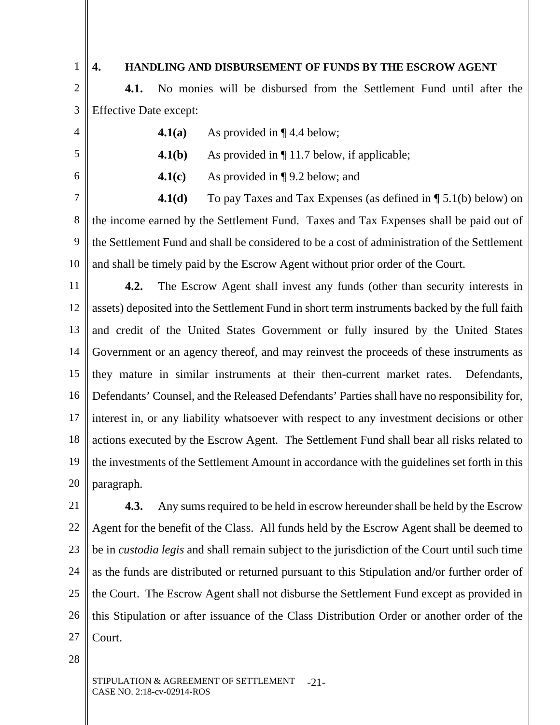1

#### **4. HANDLING AND DISBURSEMENT OF FUNDS BY THE ESCROW AGENT**

2 3 **4.1.** No monies will be disbursed from the Settlement Fund until after the Effective Date except:

4 5

6

**4.1(a)** As provided in ¶ 4.4 below;

**4.1(b)** As provided in  $\P$  11.7 below, if applicable;

**4.1(c)** As provided in ¶ 9.2 below; and

7 8 9 10 **4.1(d)** To pay Taxes and Tax Expenses (as defined in  $\P$  5.1(b) below) on the income earned by the Settlement Fund. Taxes and Tax Expenses shall be paid out of the Settlement Fund and shall be considered to be a cost of administration of the Settlement and shall be timely paid by the Escrow Agent without prior order of the Court.

11 12 13 14 15 16 17 18 19 20 **4.2.** The Escrow Agent shall invest any funds (other than security interests in assets) deposited into the Settlement Fund in short term instruments backed by the full faith and credit of the United States Government or fully insured by the United States Government or an agency thereof, and may reinvest the proceeds of these instruments as they mature in similar instruments at their then-current market rates. Defendants, Defendants' Counsel, and the Released Defendants' Parties shall have no responsibility for, interest in, or any liability whatsoever with respect to any investment decisions or other actions executed by the Escrow Agent. The Settlement Fund shall bear all risks related to the investments of the Settlement Amount in accordance with the guidelines set forth in this paragraph.

21 22 23 24 25 26 27 **4.3.** Any sums required to be held in escrow hereunder shall be held by the Escrow Agent for the benefit of the Class. All funds held by the Escrow Agent shall be deemed to be in *custodia legis* and shall remain subject to the jurisdiction of the Court until such time as the funds are distributed or returned pursuant to this Stipulation and/or further order of the Court. The Escrow Agent shall not disburse the Settlement Fund except as provided in this Stipulation or after issuance of the Class Distribution Order or another order of the Court.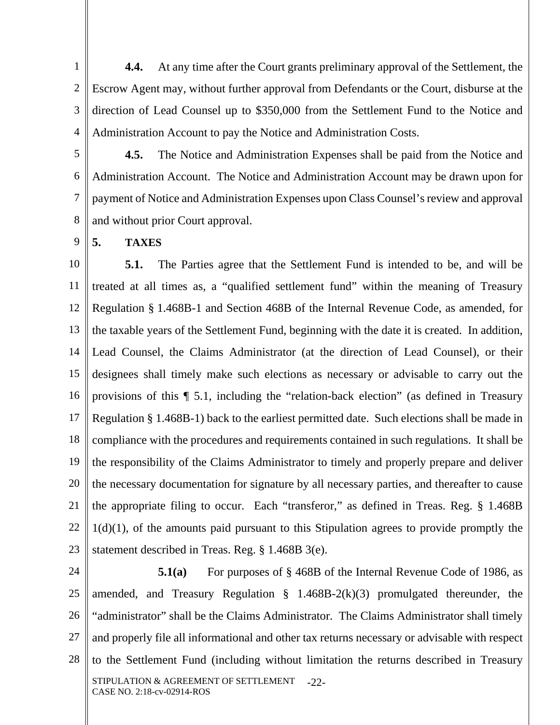1 2 3 4 **4.4.** At any time after the Court grants preliminary approval of the Settlement, the Escrow Agent may, without further approval from Defendants or the Court, disburse at the direction of Lead Counsel up to \$350,000 from the Settlement Fund to the Notice and Administration Account to pay the Notice and Administration Costs.

5 6 7 8 **4.5.** The Notice and Administration Expenses shall be paid from the Notice and Administration Account. The Notice and Administration Account may be drawn upon for payment of Notice and Administration Expenses upon Class Counsel's review and approval and without prior Court approval.

**5. TAXES** 

9

10 11 12 13 14 15 16 17 18 19 20 21 22 23 **5.1.** The Parties agree that the Settlement Fund is intended to be, and will be treated at all times as, a "qualified settlement fund" within the meaning of Treasury Regulation § 1.468B-1 and Section 468B of the Internal Revenue Code, as amended, for the taxable years of the Settlement Fund, beginning with the date it is created. In addition, Lead Counsel, the Claims Administrator (at the direction of Lead Counsel), or their designees shall timely make such elections as necessary or advisable to carry out the provisions of this ¶ 5.1, including the "relation-back election" (as defined in Treasury Regulation § 1.468B-1) back to the earliest permitted date. Such elections shall be made in compliance with the procedures and requirements contained in such regulations. It shall be the responsibility of the Claims Administrator to timely and properly prepare and deliver the necessary documentation for signature by all necessary parties, and thereafter to cause the appropriate filing to occur. Each "transferor," as defined in Treas. Reg. § 1.468B  $1(d)(1)$ , of the amounts paid pursuant to this Stipulation agrees to provide promptly the statement described in Treas. Reg. § 1.468B 3(e).

24 25 26 27 28 STIPULATION & AGREEMENT OF SETTLEMENT CASE NO. 2:18-cv-02914-ROS -22- **5.1(a)** For purposes of § 468B of the Internal Revenue Code of 1986, as amended, and Treasury Regulation  $\S$  1.468B-2(k)(3) promulgated thereunder, the "administrator" shall be the Claims Administrator. The Claims Administrator shall timely and properly file all informational and other tax returns necessary or advisable with respect to the Settlement Fund (including without limitation the returns described in Treasury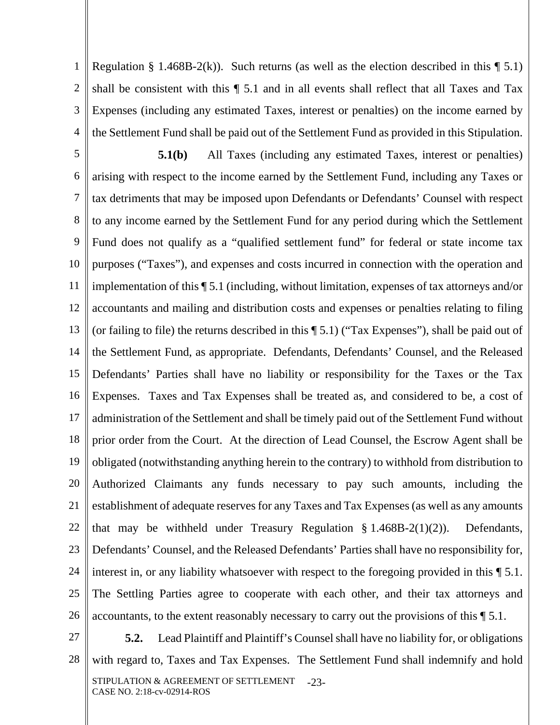1 2 3 4 Regulation § 1.468B-2(k)). Such returns (as well as the election described in this  $\P$  5.1) shall be consistent with this ¶ 5.1 and in all events shall reflect that all Taxes and Tax Expenses (including any estimated Taxes, interest or penalties) on the income earned by the Settlement Fund shall be paid out of the Settlement Fund as provided in this Stipulation.

5 6 7 8 9 10 11 12 13 14 15 16 17 18 19 20 21 22 23 24 25 26 **5.1(b)** All Taxes (including any estimated Taxes, interest or penalties) arising with respect to the income earned by the Settlement Fund, including any Taxes or tax detriments that may be imposed upon Defendants or Defendants' Counsel with respect to any income earned by the Settlement Fund for any period during which the Settlement Fund does not qualify as a "qualified settlement fund" for federal or state income tax purposes ("Taxes"), and expenses and costs incurred in connection with the operation and implementation of this ¶ 5.1 (including, without limitation, expenses of tax attorneys and/or accountants and mailing and distribution costs and expenses or penalties relating to filing (or failing to file) the returns described in this ¶ 5.1) ("Tax Expenses"), shall be paid out of the Settlement Fund, as appropriate. Defendants, Defendants' Counsel, and the Released Defendants' Parties shall have no liability or responsibility for the Taxes or the Tax Expenses. Taxes and Tax Expenses shall be treated as, and considered to be, a cost of administration of the Settlement and shall be timely paid out of the Settlement Fund without prior order from the Court. At the direction of Lead Counsel, the Escrow Agent shall be obligated (notwithstanding anything herein to the contrary) to withhold from distribution to Authorized Claimants any funds necessary to pay such amounts, including the establishment of adequate reserves for any Taxes and Tax Expenses (as well as any amounts that may be withheld under Treasury Regulation  $\S 1.468B-2(1)(2)$ . Defendants, Defendants' Counsel, and the Released Defendants' Parties shall have no responsibility for, interest in, or any liability whatsoever with respect to the foregoing provided in this  $\P$  5.1. The Settling Parties agree to cooperate with each other, and their tax attorneys and accountants, to the extent reasonably necessary to carry out the provisions of this ¶ 5.1.

27

28 STIPULATION & AGREEMENT OF SETTLEMENT CASE NO. 2:18-cv-02914-ROS -23- **5.2.** Lead Plaintiff and Plaintiff's Counsel shall have no liability for, or obligations with regard to, Taxes and Tax Expenses. The Settlement Fund shall indemnify and hold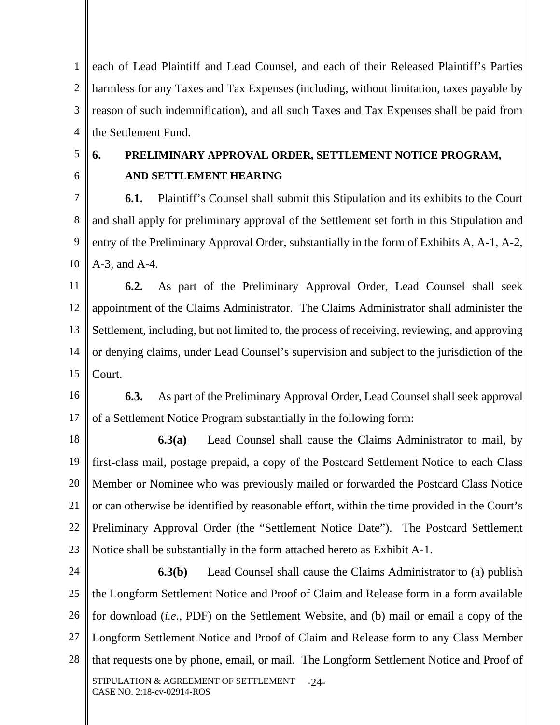1 2 3 4 each of Lead Plaintiff and Lead Counsel, and each of their Released Plaintiff's Parties harmless for any Taxes and Tax Expenses (including, without limitation, taxes payable by reason of such indemnification), and all such Taxes and Tax Expenses shall be paid from the Settlement Fund.

5

6

# **6. PRELIMINARY APPROVAL ORDER, SETTLEMENT NOTICE PROGRAM, AND SETTLEMENT HEARING**

7 8 9 10 **6.1.** Plaintiff's Counsel shall submit this Stipulation and its exhibits to the Court and shall apply for preliminary approval of the Settlement set forth in this Stipulation and entry of the Preliminary Approval Order, substantially in the form of Exhibits A, A-1, A-2, A-3, and A-4.

11 12 13 14 15 **6.2.** As part of the Preliminary Approval Order, Lead Counsel shall seek appointment of the Claims Administrator. The Claims Administrator shall administer the Settlement, including, but not limited to, the process of receiving, reviewing, and approving or denying claims, under Lead Counsel's supervision and subject to the jurisdiction of the Court.

16 17 **6.3.** As part of the Preliminary Approval Order, Lead Counsel shall seek approval of a Settlement Notice Program substantially in the following form:

18 19 20 21 22 23 **6.3(a)** Lead Counsel shall cause the Claims Administrator to mail, by first-class mail, postage prepaid, a copy of the Postcard Settlement Notice to each Class Member or Nominee who was previously mailed or forwarded the Postcard Class Notice or can otherwise be identified by reasonable effort, within the time provided in the Court's Preliminary Approval Order (the "Settlement Notice Date"). The Postcard Settlement Notice shall be substantially in the form attached hereto as Exhibit A-1.

24 25 26 27 28 STIPULATION & AGREEMENT OF SETTLEMENT CASE NO. 2:18-cv-02914-ROS  $-24-$ **6.3(b)** Lead Counsel shall cause the Claims Administrator to (a) publish the Longform Settlement Notice and Proof of Claim and Release form in a form available for download (*i.e*., PDF) on the Settlement Website, and (b) mail or email a copy of the Longform Settlement Notice and Proof of Claim and Release form to any Class Member that requests one by phone, email, or mail. The Longform Settlement Notice and Proof of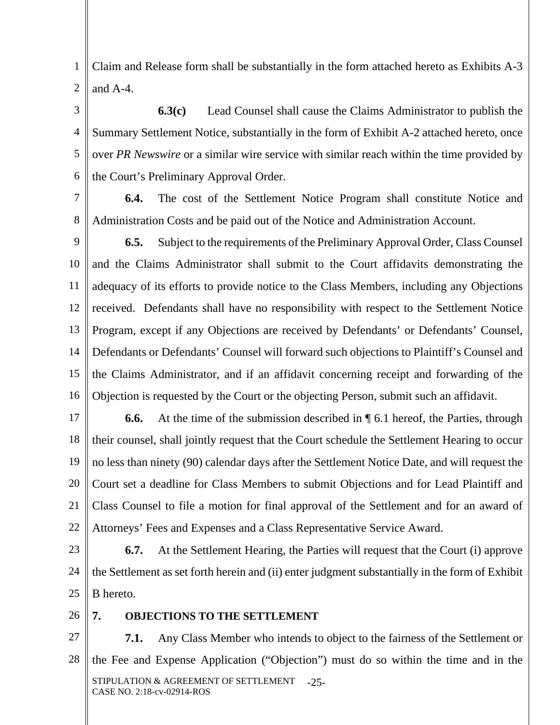1 2 Claim and Release form shall be substantially in the form attached hereto as Exhibits A-3 and A-4.

3 4 5 6 **6.3(c)** Lead Counsel shall cause the Claims Administrator to publish the Summary Settlement Notice, substantially in the form of Exhibit A-2 attached hereto, once over *PR Newswire* or a similar wire service with similar reach within the time provided by the Court's Preliminary Approval Order.

7 **6.4.** The cost of the Settlement Notice Program shall constitute Notice and Administration Costs and be paid out of the Notice and Administration Account.

9 10 11 12 13 14 15 16 **6.5.** Subject to the requirements of the Preliminary Approval Order, Class Counsel and the Claims Administrator shall submit to the Court affidavits demonstrating the adequacy of its efforts to provide notice to the Class Members, including any Objections received. Defendants shall have no responsibility with respect to the Settlement Notice Program, except if any Objections are received by Defendants' or Defendants' Counsel, Defendants or Defendants' Counsel will forward such objections to Plaintiff's Counsel and the Claims Administrator, and if an affidavit concerning receipt and forwarding of the Objection is requested by the Court or the objecting Person, submit such an affidavit.

17 18 19 20 21 22 **6.6.** At the time of the submission described in ¶ 6.1 hereof, the Parties, through their counsel, shall jointly request that the Court schedule the Settlement Hearing to occur no less than ninety (90) calendar days after the Settlement Notice Date, and will request the Court set a deadline for Class Members to submit Objections and for Lead Plaintiff and Class Counsel to file a motion for final approval of the Settlement and for an award of Attorneys' Fees and Expenses and a Class Representative Service Award.

23 24 25 **6.7.** At the Settlement Hearing, the Parties will request that the Court (i) approve the Settlement as set forth herein and (ii) enter judgment substantially in the form of Exhibit B hereto.

26

8

## **7. OBJECTIONS TO THE SETTLEMENT**

27 28 STIPULATION & AGREEMENT OF SETTLEMENT CASE NO. 2:18-cv-02914-ROS -25- **7.1.** Any Class Member who intends to object to the fairness of the Settlement or the Fee and Expense Application ("Objection") must do so within the time and in the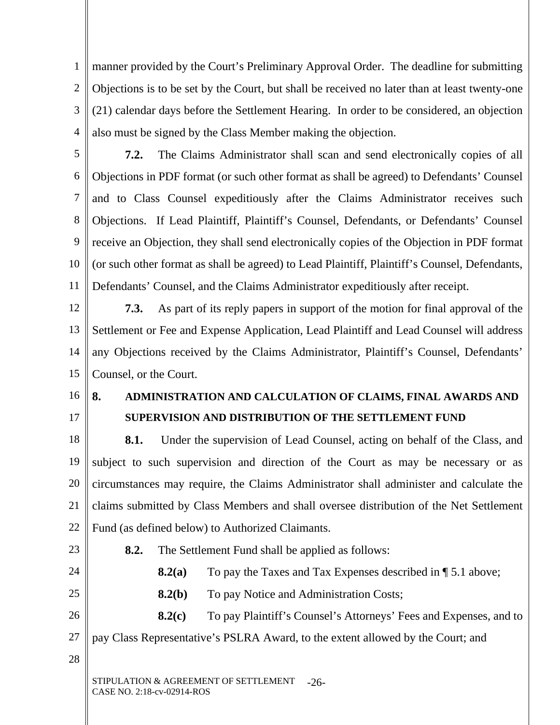1 2 3 4 manner provided by the Court's Preliminary Approval Order. The deadline for submitting Objections is to be set by the Court, but shall be received no later than at least twenty-one (21) calendar days before the Settlement Hearing. In order to be considered, an objection also must be signed by the Class Member making the objection.

5

6 7 8 9 10 11 **7.2.** The Claims Administrator shall scan and send electronically copies of all Objections in PDF format (or such other format as shall be agreed) to Defendants' Counsel and to Class Counsel expeditiously after the Claims Administrator receives such Objections. If Lead Plaintiff, Plaintiff's Counsel, Defendants, or Defendants' Counsel receive an Objection, they shall send electronically copies of the Objection in PDF format (or such other format as shall be agreed) to Lead Plaintiff, Plaintiff's Counsel, Defendants, Defendants' Counsel, and the Claims Administrator expeditiously after receipt.

12 13 14 15 **7.3.** As part of its reply papers in support of the motion for final approval of the Settlement or Fee and Expense Application, Lead Plaintiff and Lead Counsel will address any Objections received by the Claims Administrator, Plaintiff's Counsel, Defendants' Counsel, or the Court.

- 16
- 17

# **8. ADMINISTRATION AND CALCULATION OF CLAIMS, FINAL AWARDS AND SUPERVISION AND DISTRIBUTION OF THE SETTLEMENT FUND**

18 19 20 21 22 **8.1.** Under the supervision of Lead Counsel, acting on behalf of the Class, and subject to such supervision and direction of the Court as may be necessary or as circumstances may require, the Claims Administrator shall administer and calculate the claims submitted by Class Members and shall oversee distribution of the Net Settlement Fund (as defined below) to Authorized Claimants.

23 24 25 26 27 28 STIPULATION & AGREEMENT OF SETTLEMENT CASE NO. 2:18-cv-02914-ROS  $-26-$ **8.2.** The Settlement Fund shall be applied as follows: **8.2(a)** To pay the Taxes and Tax Expenses described in  $\P$  5.1 above; **8.2(b)** To pay Notice and Administration Costs; **8.2(c)** To pay Plaintiff's Counsel's Attorneys' Fees and Expenses, and to pay Class Representative's PSLRA Award, to the extent allowed by the Court; and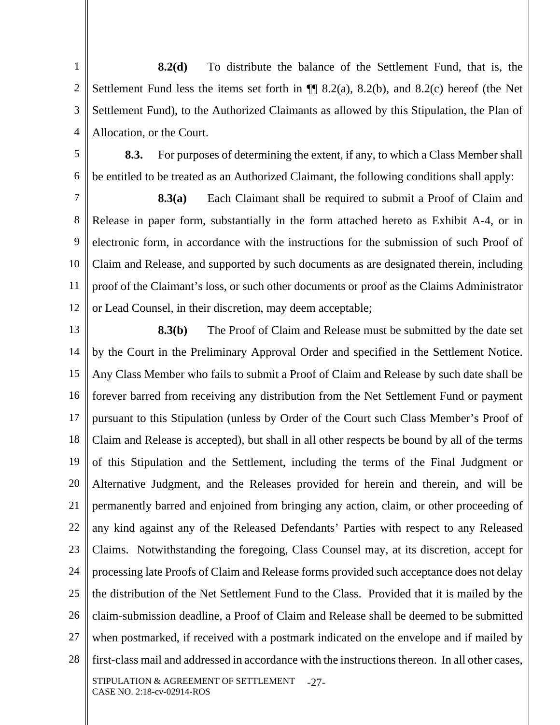1 2 3 4 **8.2(d)** To distribute the balance of the Settlement Fund, that is, the Settlement Fund less the items set forth in ¶¶ 8.2(a), 8.2(b), and 8.2(c) hereof (the Net Settlement Fund), to the Authorized Claimants as allowed by this Stipulation, the Plan of Allocation, or the Court.

5

6

**8.3.** For purposes of determining the extent, if any, to which a Class Member shall be entitled to be treated as an Authorized Claimant, the following conditions shall apply:

7 8 9 10 11 12 **8.3(a)** Each Claimant shall be required to submit a Proof of Claim and Release in paper form, substantially in the form attached hereto as Exhibit A-4, or in electronic form, in accordance with the instructions for the submission of such Proof of Claim and Release, and supported by such documents as are designated therein, including proof of the Claimant's loss, or such other documents or proof as the Claims Administrator or Lead Counsel, in their discretion, may deem acceptable;

13 14 15 16 17 18 19 20 21 22 23 24 25 26 27 28 STIPULATION & AGREEMENT OF SETTLEMENT CASE NO. 2:18-cv-02914-ROS -27- **8.3(b)** The Proof of Claim and Release must be submitted by the date set by the Court in the Preliminary Approval Order and specified in the Settlement Notice. Any Class Member who fails to submit a Proof of Claim and Release by such date shall be forever barred from receiving any distribution from the Net Settlement Fund or payment pursuant to this Stipulation (unless by Order of the Court such Class Member's Proof of Claim and Release is accepted), but shall in all other respects be bound by all of the terms of this Stipulation and the Settlement, including the terms of the Final Judgment or Alternative Judgment, and the Releases provided for herein and therein, and will be permanently barred and enjoined from bringing any action, claim, or other proceeding of any kind against any of the Released Defendants' Parties with respect to any Released Claims. Notwithstanding the foregoing, Class Counsel may, at its discretion, accept for processing late Proofs of Claim and Release forms provided such acceptance does not delay the distribution of the Net Settlement Fund to the Class. Provided that it is mailed by the claim-submission deadline, a Proof of Claim and Release shall be deemed to be submitted when postmarked, if received with a postmark indicated on the envelope and if mailed by first-class mail and addressed in accordance with the instructions thereon. In all other cases,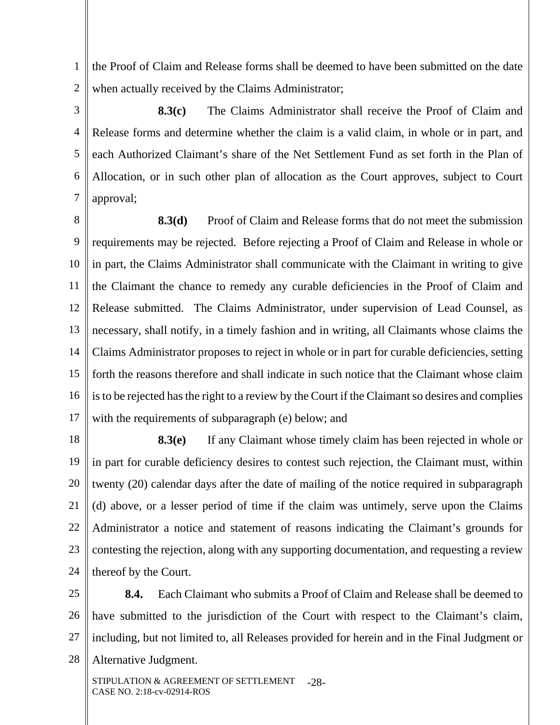1 2 the Proof of Claim and Release forms shall be deemed to have been submitted on the date when actually received by the Claims Administrator;

3 4 5 6 7 **8.3(c)** The Claims Administrator shall receive the Proof of Claim and Release forms and determine whether the claim is a valid claim, in whole or in part, and each Authorized Claimant's share of the Net Settlement Fund as set forth in the Plan of Allocation, or in such other plan of allocation as the Court approves, subject to Court approval;

8 9 10 11 12 13 14 15 16 17 **8.3(d)** Proof of Claim and Release forms that do not meet the submission requirements may be rejected. Before rejecting a Proof of Claim and Release in whole or in part, the Claims Administrator shall communicate with the Claimant in writing to give the Claimant the chance to remedy any curable deficiencies in the Proof of Claim and Release submitted. The Claims Administrator, under supervision of Lead Counsel, as necessary, shall notify, in a timely fashion and in writing, all Claimants whose claims the Claims Administrator proposes to reject in whole or in part for curable deficiencies, setting forth the reasons therefore and shall indicate in such notice that the Claimant whose claim is to be rejected has the right to a review by the Court if the Claimant so desires and complies with the requirements of subparagraph (e) below; and

18 19 20 21 22 23 24 **8.3(e)** If any Claimant whose timely claim has been rejected in whole or in part for curable deficiency desires to contest such rejection, the Claimant must, within twenty (20) calendar days after the date of mailing of the notice required in subparagraph (d) above, or a lesser period of time if the claim was untimely, serve upon the Claims Administrator a notice and statement of reasons indicating the Claimant's grounds for contesting the rejection, along with any supporting documentation, and requesting a review thereof by the Court.

25 26 27 28 **8.4.** Each Claimant who submits a Proof of Claim and Release shall be deemed to have submitted to the jurisdiction of the Court with respect to the Claimant's claim, including, but not limited to, all Releases provided for herein and in the Final Judgment or Alternative Judgment.

STIPULATION & AGREEMENT OF SETTLEMENT CASE NO. 2:18-cv-02914-ROS -28-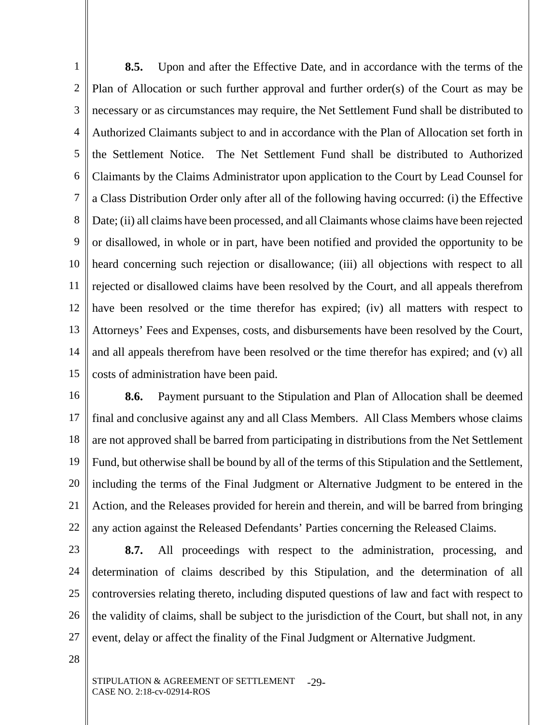1 2 3 4 5 6 7 8 9 10 11 12 13 14 15 **8.5.** Upon and after the Effective Date, and in accordance with the terms of the Plan of Allocation or such further approval and further order(s) of the Court as may be necessary or as circumstances may require, the Net Settlement Fund shall be distributed to Authorized Claimants subject to and in accordance with the Plan of Allocation set forth in the Settlement Notice. The Net Settlement Fund shall be distributed to Authorized Claimants by the Claims Administrator upon application to the Court by Lead Counsel for a Class Distribution Order only after all of the following having occurred: (i) the Effective Date; (ii) all claims have been processed, and all Claimants whose claims have been rejected or disallowed, in whole or in part, have been notified and provided the opportunity to be heard concerning such rejection or disallowance; (iii) all objections with respect to all rejected or disallowed claims have been resolved by the Court, and all appeals therefrom have been resolved or the time therefor has expired; (iv) all matters with respect to Attorneys' Fees and Expenses, costs, and disbursements have been resolved by the Court, and all appeals therefrom have been resolved or the time therefor has expired; and (v) all costs of administration have been paid.

16 17 18 19 20 21 22 **8.6.** Payment pursuant to the Stipulation and Plan of Allocation shall be deemed final and conclusive against any and all Class Members. All Class Members whose claims are not approved shall be barred from participating in distributions from the Net Settlement Fund, but otherwise shall be bound by all of the terms of this Stipulation and the Settlement, including the terms of the Final Judgment or Alternative Judgment to be entered in the Action, and the Releases provided for herein and therein, and will be barred from bringing any action against the Released Defendants' Parties concerning the Released Claims.

23

24 25 26 27 **8.7.** All proceedings with respect to the administration, processing, and determination of claims described by this Stipulation, and the determination of all controversies relating thereto, including disputed questions of law and fact with respect to the validity of claims, shall be subject to the jurisdiction of the Court, but shall not, in any event, delay or affect the finality of the Final Judgment or Alternative Judgment.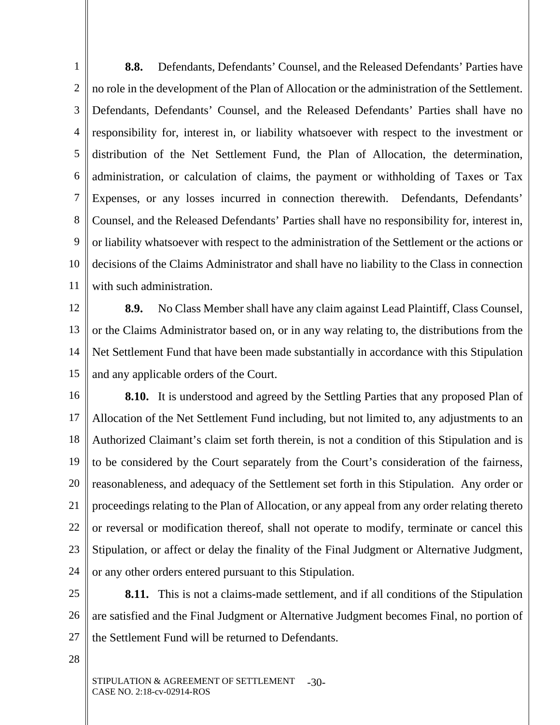1 2 3 4 5 6 7 8 9 10 11 **8.8.** Defendants, Defendants' Counsel, and the Released Defendants' Parties have no role in the development of the Plan of Allocation or the administration of the Settlement. Defendants, Defendants' Counsel, and the Released Defendants' Parties shall have no responsibility for, interest in, or liability whatsoever with respect to the investment or distribution of the Net Settlement Fund, the Plan of Allocation, the determination, administration, or calculation of claims, the payment or withholding of Taxes or Tax Expenses, or any losses incurred in connection therewith. Defendants, Defendants' Counsel, and the Released Defendants' Parties shall have no responsibility for, interest in, or liability whatsoever with respect to the administration of the Settlement or the actions or decisions of the Claims Administrator and shall have no liability to the Class in connection with such administration.

12

13 14 15 **8.9.** No Class Member shall have any claim against Lead Plaintiff, Class Counsel, or the Claims Administrator based on, or in any way relating to, the distributions from the Net Settlement Fund that have been made substantially in accordance with this Stipulation and any applicable orders of the Court.

16 17 18 19 20 21 22 23 24 **8.10.** It is understood and agreed by the Settling Parties that any proposed Plan of Allocation of the Net Settlement Fund including, but not limited to, any adjustments to an Authorized Claimant's claim set forth therein, is not a condition of this Stipulation and is to be considered by the Court separately from the Court's consideration of the fairness, reasonableness, and adequacy of the Settlement set forth in this Stipulation. Any order or proceedings relating to the Plan of Allocation, or any appeal from any order relating thereto or reversal or modification thereof, shall not operate to modify, terminate or cancel this Stipulation, or affect or delay the finality of the Final Judgment or Alternative Judgment, or any other orders entered pursuant to this Stipulation.

25 26 27 **8.11.** This is not a claims-made settlement, and if all conditions of the Stipulation are satisfied and the Final Judgment or Alternative Judgment becomes Final, no portion of the Settlement Fund will be returned to Defendants.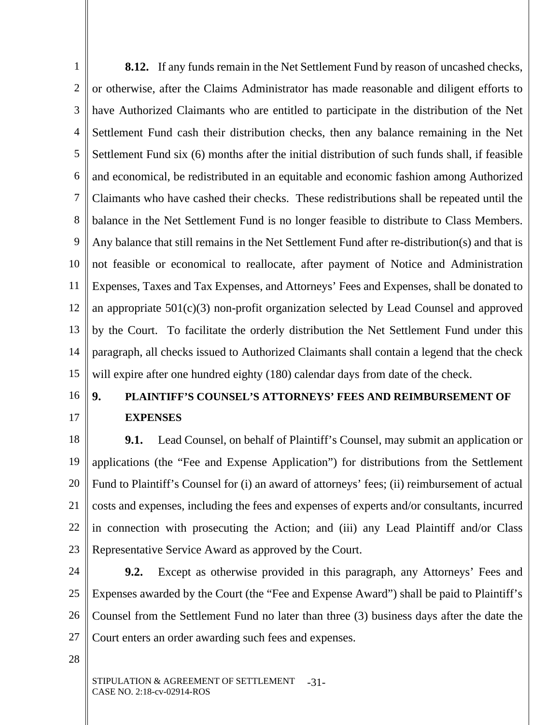1 2 3 4 5 6 7 8 9 10 11 12 13 14 15 **8.12.** If any funds remain in the Net Settlement Fund by reason of uncashed checks, or otherwise, after the Claims Administrator has made reasonable and diligent efforts to have Authorized Claimants who are entitled to participate in the distribution of the Net Settlement Fund cash their distribution checks, then any balance remaining in the Net Settlement Fund six (6) months after the initial distribution of such funds shall, if feasible and economical, be redistributed in an equitable and economic fashion among Authorized Claimants who have cashed their checks. These redistributions shall be repeated until the balance in the Net Settlement Fund is no longer feasible to distribute to Class Members. Any balance that still remains in the Net Settlement Fund after re-distribution(s) and that is not feasible or economical to reallocate, after payment of Notice and Administration Expenses, Taxes and Tax Expenses, and Attorneys' Fees and Expenses, shall be donated to an appropriate 501(c)(3) non-profit organization selected by Lead Counsel and approved by the Court. To facilitate the orderly distribution the Net Settlement Fund under this paragraph, all checks issued to Authorized Claimants shall contain a legend that the check will expire after one hundred eighty (180) calendar days from date of the check.

## 16 17

# **9. PLAINTIFF'S COUNSEL'S ATTORNEYS' FEES AND REIMBURSEMENT OF EXPENSES**

18 19 20 21 22 23 **9.1.** Lead Counsel, on behalf of Plaintiff's Counsel, may submit an application or applications (the "Fee and Expense Application") for distributions from the Settlement Fund to Plaintiff's Counsel for (i) an award of attorneys' fees; (ii) reimbursement of actual costs and expenses, including the fees and expenses of experts and/or consultants, incurred in connection with prosecuting the Action; and (iii) any Lead Plaintiff and/or Class Representative Service Award as approved by the Court.

24 25 26 27 **9.2.** Except as otherwise provided in this paragraph, any Attorneys' Fees and Expenses awarded by the Court (the "Fee and Expense Award") shall be paid to Plaintiff's Counsel from the Settlement Fund no later than three (3) business days after the date the Court enters an order awarding such fees and expenses.

28

STIPULATION & AGREEMENT OF SETTLEMENT CASE NO. 2:18-cv-02914-ROS -31-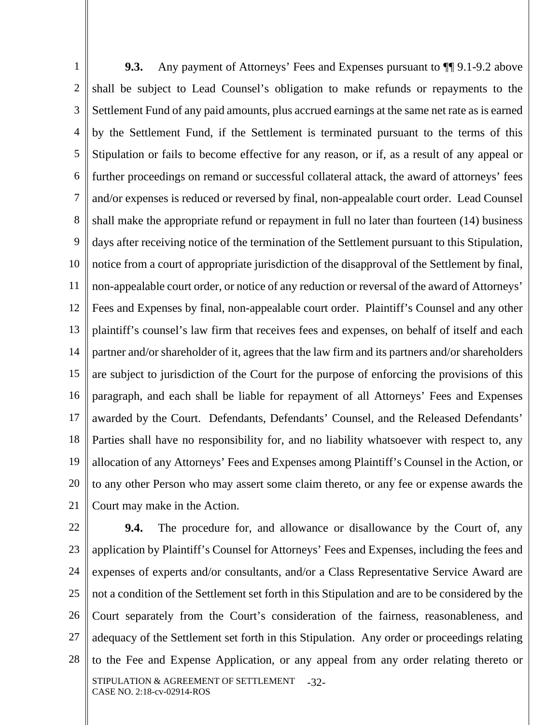1 2 3 4 5 6 7 8 9 10 11 12 13 14 15 16 17 18 19 20 21 **9.3.** Any payment of Attorneys' Fees and Expenses pursuant to  $\P$  9.1-9.2 above shall be subject to Lead Counsel's obligation to make refunds or repayments to the Settlement Fund of any paid amounts, plus accrued earnings at the same net rate as is earned by the Settlement Fund, if the Settlement is terminated pursuant to the terms of this Stipulation or fails to become effective for any reason, or if, as a result of any appeal or further proceedings on remand or successful collateral attack, the award of attorneys' fees and/or expenses is reduced or reversed by final, non-appealable court order. Lead Counsel shall make the appropriate refund or repayment in full no later than fourteen (14) business days after receiving notice of the termination of the Settlement pursuant to this Stipulation, notice from a court of appropriate jurisdiction of the disapproval of the Settlement by final, non-appealable court order, or notice of any reduction or reversal of the award of Attorneys' Fees and Expenses by final, non-appealable court order. Plaintiff's Counsel and any other plaintiff's counsel's law firm that receives fees and expenses, on behalf of itself and each partner and/or shareholder of it, agrees that the law firm and its partners and/or shareholders are subject to jurisdiction of the Court for the purpose of enforcing the provisions of this paragraph, and each shall be liable for repayment of all Attorneys' Fees and Expenses awarded by the Court. Defendants, Defendants' Counsel, and the Released Defendants' Parties shall have no responsibility for, and no liability whatsoever with respect to, any allocation of any Attorneys' Fees and Expenses among Plaintiff's Counsel in the Action, or to any other Person who may assert some claim thereto, or any fee or expense awards the Court may make in the Action.

22 23 24 25 26 27 28 STIPULATION & AGREEMENT OF SETTLEMENT CASE NO. 2:18-cv-02914-ROS -32- **9.4.** The procedure for, and allowance or disallowance by the Court of, any application by Plaintiff's Counsel for Attorneys' Fees and Expenses, including the fees and expenses of experts and/or consultants, and/or a Class Representative Service Award are not a condition of the Settlement set forth in this Stipulation and are to be considered by the Court separately from the Court's consideration of the fairness, reasonableness, and adequacy of the Settlement set forth in this Stipulation. Any order or proceedings relating to the Fee and Expense Application, or any appeal from any order relating thereto or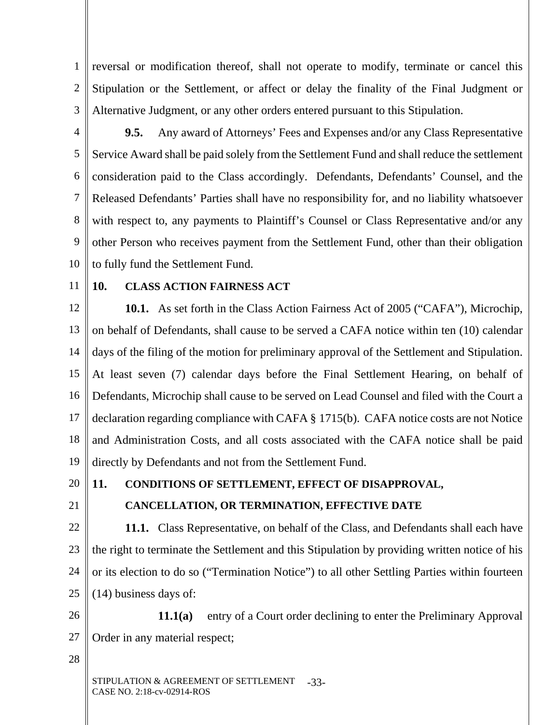1 2 3 reversal or modification thereof, shall not operate to modify, terminate or cancel this Stipulation or the Settlement, or affect or delay the finality of the Final Judgment or Alternative Judgment, or any other orders entered pursuant to this Stipulation.

4 5 6 7 8 9 10 **9.5.** Any award of Attorneys' Fees and Expenses and/or any Class Representative Service Award shall be paid solely from the Settlement Fund and shall reduce the settlement consideration paid to the Class accordingly. Defendants, Defendants' Counsel, and the Released Defendants' Parties shall have no responsibility for, and no liability whatsoever with respect to, any payments to Plaintiff's Counsel or Class Representative and/or any other Person who receives payment from the Settlement Fund, other than their obligation to fully fund the Settlement Fund.

11

#### **10. CLASS ACTION FAIRNESS ACT**

12 13 14 15 16 17 18 19 **10.1.** As set forth in the Class Action Fairness Act of 2005 ("CAFA"), Microchip, on behalf of Defendants, shall cause to be served a CAFA notice within ten (10) calendar days of the filing of the motion for preliminary approval of the Settlement and Stipulation. At least seven (7) calendar days before the Final Settlement Hearing, on behalf of Defendants, Microchip shall cause to be served on Lead Counsel and filed with the Court a declaration regarding compliance with CAFA § 1715(b). CAFA notice costs are not Notice and Administration Costs, and all costs associated with the CAFA notice shall be paid directly by Defendants and not from the Settlement Fund.

20

## **11. CONDITIONS OF SETTLEMENT, EFFECT OF DISAPPROVAL,**

21

# **CANCELLATION, OR TERMINATION, EFFECTIVE DATE**

22 23 24 25 **11.1.** Class Representative, on behalf of the Class, and Defendants shall each have the right to terminate the Settlement and this Stipulation by providing written notice of his or its election to do so ("Termination Notice") to all other Settling Parties within fourteen (14) business days of:

26 27 **11.1(a)** entry of a Court order declining to enter the Preliminary Approval Order in any material respect;

28

STIPULATION & AGREEMENT OF SETTLEMENT CASE NO. 2:18-cv-02914-ROS -33-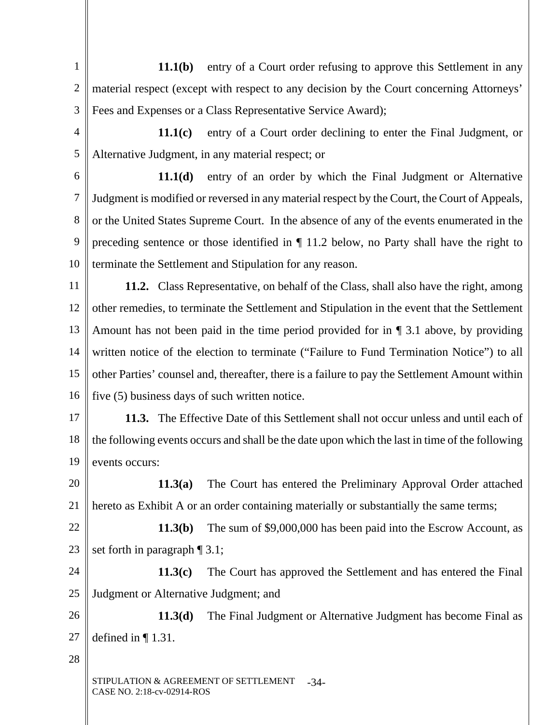1 2 3 **11.1(b)** entry of a Court order refusing to approve this Settlement in any material respect (except with respect to any decision by the Court concerning Attorneys' Fees and Expenses or a Class Representative Service Award);

4 5 **11.1(c)** entry of a Court order declining to enter the Final Judgment, or Alternative Judgment, in any material respect; or

6 7 8 9 10 **11.1(d)** entry of an order by which the Final Judgment or Alternative Judgment is modified or reversed in any material respect by the Court, the Court of Appeals, or the United States Supreme Court. In the absence of any of the events enumerated in the preceding sentence or those identified in ¶ 11.2 below, no Party shall have the right to terminate the Settlement and Stipulation for any reason.

11 12 13 14 15 16 **11.2.** Class Representative, on behalf of the Class, shall also have the right, among other remedies, to terminate the Settlement and Stipulation in the event that the Settlement Amount has not been paid in the time period provided for in ¶ 3.1 above, by providing written notice of the election to terminate ("Failure to Fund Termination Notice") to all other Parties' counsel and, thereafter, there is a failure to pay the Settlement Amount within five (5) business days of such written notice.

17 18 19 **11.3.** The Effective Date of this Settlement shall not occur unless and until each of the following events occurs and shall be the date upon which the last in time of the following events occurs:

20 21 **11.3(a)** The Court has entered the Preliminary Approval Order attached hereto as Exhibit A or an order containing materially or substantially the same terms;

22 23 **11.3(b)** The sum of \$9,000,000 has been paid into the Escrow Account, as set forth in paragraph  $\P$  3.1;

24 25 **11.3(c)** The Court has approved the Settlement and has entered the Final Judgment or Alternative Judgment; and

26 27 **11.3(d)** The Final Judgment or Alternative Judgment has become Final as defined in  $\P$  1.31.

28

STIPULATION & AGREEMENT OF SETTLEMENT CASE NO. 2:18-cv-02914-ROS -34-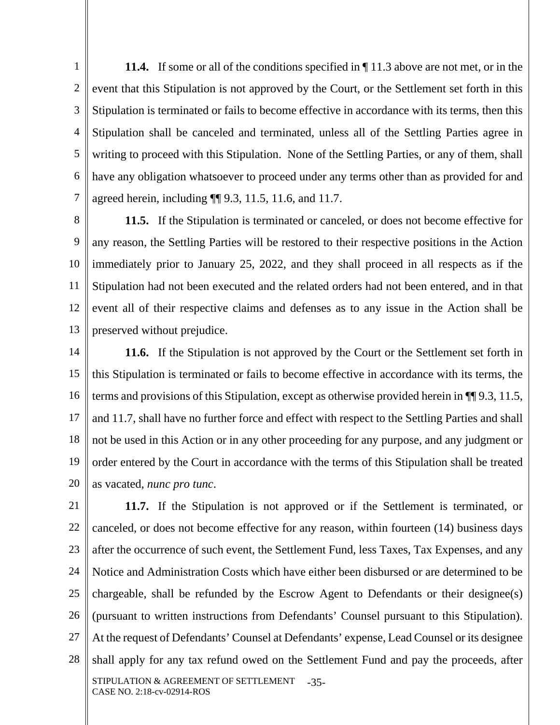1 2 3 4 5 6 7 **11.4.** If some or all of the conditions specified in ¶ 11.3 above are not met, or in the event that this Stipulation is not approved by the Court, or the Settlement set forth in this Stipulation is terminated or fails to become effective in accordance with its terms, then this Stipulation shall be canceled and terminated, unless all of the Settling Parties agree in writing to proceed with this Stipulation. None of the Settling Parties, or any of them, shall have any obligation whatsoever to proceed under any terms other than as provided for and agreed herein, including ¶¶ 9.3, 11.5, 11.6, and 11.7.

8 9 10 11 12 13 **11.5.** If the Stipulation is terminated or canceled, or does not become effective for any reason, the Settling Parties will be restored to their respective positions in the Action immediately prior to January 25, 2022, and they shall proceed in all respects as if the Stipulation had not been executed and the related orders had not been entered, and in that event all of their respective claims and defenses as to any issue in the Action shall be preserved without prejudice.

14 15 16 17 18 19 20 **11.6.** If the Stipulation is not approved by the Court or the Settlement set forth in this Stipulation is terminated or fails to become effective in accordance with its terms, the terms and provisions of this Stipulation, except as otherwise provided herein in ¶¶ 9.3, 11.5, and 11.7, shall have no further force and effect with respect to the Settling Parties and shall not be used in this Action or in any other proceeding for any purpose, and any judgment or order entered by the Court in accordance with the terms of this Stipulation shall be treated as vacated, *nunc pro tunc*.

21 22 23 24 25 26 27 28 STIPULATION & AGREEMENT OF SETTLEMENT CASE NO. 2:18-cv-02914-ROS -35- **11.7.** If the Stipulation is not approved or if the Settlement is terminated, or canceled, or does not become effective for any reason, within fourteen (14) business days after the occurrence of such event, the Settlement Fund, less Taxes, Tax Expenses, and any Notice and Administration Costs which have either been disbursed or are determined to be chargeable, shall be refunded by the Escrow Agent to Defendants or their designee(s) (pursuant to written instructions from Defendants' Counsel pursuant to this Stipulation). At the request of Defendants' Counsel at Defendants' expense, Lead Counsel or its designee shall apply for any tax refund owed on the Settlement Fund and pay the proceeds, after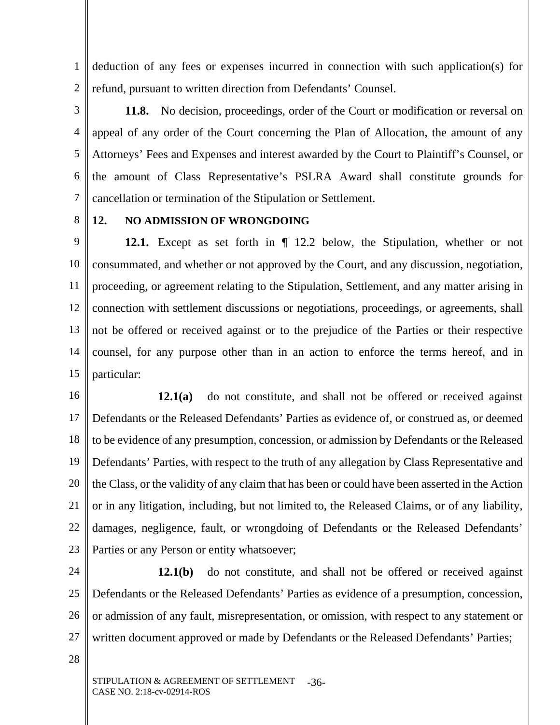1 2 deduction of any fees or expenses incurred in connection with such application(s) for refund, pursuant to written direction from Defendants' Counsel.

3 4 5 6 7 **11.8.** No decision, proceedings, order of the Court or modification or reversal on appeal of any order of the Court concerning the Plan of Allocation, the amount of any Attorneys' Fees and Expenses and interest awarded by the Court to Plaintiff's Counsel, or the amount of Class Representative's PSLRA Award shall constitute grounds for cancellation or termination of the Stipulation or Settlement.

8

### **12. NO ADMISSION OF WRONGDOING**

9 10 11 12 13 14 15 **12.1.** Except as set forth in ¶ 12.2 below, the Stipulation, whether or not consummated, and whether or not approved by the Court, and any discussion, negotiation, proceeding, or agreement relating to the Stipulation, Settlement, and any matter arising in connection with settlement discussions or negotiations, proceedings, or agreements, shall not be offered or received against or to the prejudice of the Parties or their respective counsel, for any purpose other than in an action to enforce the terms hereof, and in particular:

16 17 18 19 20 21 22 23 **12.1(a)** do not constitute, and shall not be offered or received against Defendants or the Released Defendants' Parties as evidence of, or construed as, or deemed to be evidence of any presumption, concession, or admission by Defendants or the Released Defendants' Parties, with respect to the truth of any allegation by Class Representative and the Class, or the validity of any claim that has been or could have been asserted in the Action or in any litigation, including, but not limited to, the Released Claims, or of any liability, damages, negligence, fault, or wrongdoing of Defendants or the Released Defendants' Parties or any Person or entity whatsoever;

24 25 26 27 **12.1(b)** do not constitute, and shall not be offered or received against Defendants or the Released Defendants' Parties as evidence of a presumption, concession, or admission of any fault, misrepresentation, or omission, with respect to any statement or written document approved or made by Defendants or the Released Defendants' Parties;

28

STIPULATION & AGREEMENT OF SETTLEMENT CASE NO. 2:18-cv-02914-ROS -36-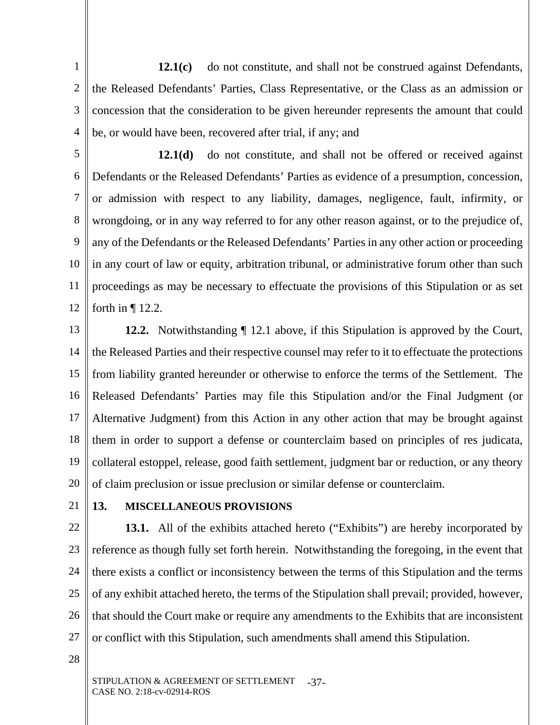1 2 3 4 12.1(c) do not constitute, and shall not be construed against Defendants, the Released Defendants' Parties, Class Representative, or the Class as an admission or concession that the consideration to be given hereunder represents the amount that could be, or would have been, recovered after trial, if any; and

5

6 7 8 9 10 11 12 **12.1(d)** do not constitute, and shall not be offered or received against Defendants or the Released Defendants' Parties as evidence of a presumption, concession, or admission with respect to any liability, damages, negligence, fault, infirmity, or wrongdoing, or in any way referred to for any other reason against, or to the prejudice of, any of the Defendants or the Released Defendants' Parties in any other action or proceeding in any court of law or equity, arbitration tribunal, or administrative forum other than such proceedings as may be necessary to effectuate the provisions of this Stipulation or as set forth in  $\P$  12.2.

13 14 15 16 17 18 19 20 **12.2.** Notwithstanding  $\P$  12.1 above, if this Stipulation is approved by the Court, the Released Parties and their respective counsel may refer to it to effectuate the protections from liability granted hereunder or otherwise to enforce the terms of the Settlement. The Released Defendants' Parties may file this Stipulation and/or the Final Judgment (or Alternative Judgment) from this Action in any other action that may be brought against them in order to support a defense or counterclaim based on principles of res judicata, collateral estoppel, release, good faith settlement, judgment bar or reduction, or any theory of claim preclusion or issue preclusion or similar defense or counterclaim.

21

# **13. MISCELLANEOUS PROVISIONS**

22 23 24 25 26 27 **13.1.** All of the exhibits attached hereto ("Exhibits") are hereby incorporated by reference as though fully set forth herein. Notwithstanding the foregoing, in the event that there exists a conflict or inconsistency between the terms of this Stipulation and the terms of any exhibit attached hereto, the terms of the Stipulation shall prevail; provided, however, that should the Court make or require any amendments to the Exhibits that are inconsistent or conflict with this Stipulation, such amendments shall amend this Stipulation.

28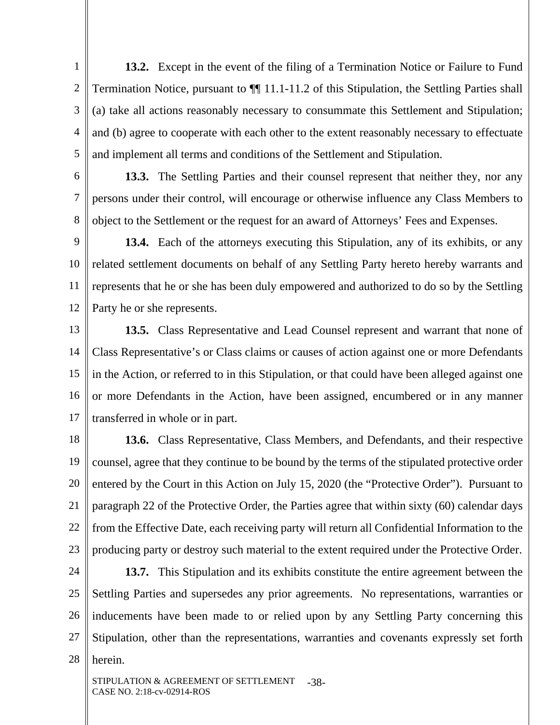1 2 3 4 5 **13.2.** Except in the event of the filing of a Termination Notice or Failure to Fund Termination Notice, pursuant to ¶¶ 11.1-11.2 of this Stipulation, the Settling Parties shall (a) take all actions reasonably necessary to consummate this Settlement and Stipulation; and (b) agree to cooperate with each other to the extent reasonably necessary to effectuate and implement all terms and conditions of the Settlement and Stipulation.

**13.3.** The Settling Parties and their counsel represent that neither they, nor any persons under their control, will encourage or otherwise influence any Class Members to object to the Settlement or the request for an award of Attorneys' Fees and Expenses.

6

7

8

9 10 11 12 **13.4.** Each of the attorneys executing this Stipulation, any of its exhibits, or any related settlement documents on behalf of any Settling Party hereto hereby warrants and represents that he or she has been duly empowered and authorized to do so by the Settling Party he or she represents.

13 14 15 16 17 **13.5.** Class Representative and Lead Counsel represent and warrant that none of Class Representative's or Class claims or causes of action against one or more Defendants in the Action, or referred to in this Stipulation, or that could have been alleged against one or more Defendants in the Action, have been assigned, encumbered or in any manner transferred in whole or in part.

18 19 20 21 22 23 **13.6.** Class Representative, Class Members, and Defendants, and their respective counsel, agree that they continue to be bound by the terms of the stipulated protective order entered by the Court in this Action on July 15, 2020 (the "Protective Order"). Pursuant to paragraph 22 of the Protective Order, the Parties agree that within sixty (60) calendar days from the Effective Date, each receiving party will return all Confidential Information to the producing party or destroy such material to the extent required under the Protective Order.

24 25 26 27 28 **13.7.** This Stipulation and its exhibits constitute the entire agreement between the Settling Parties and supersedes any prior agreements. No representations, warranties or inducements have been made to or relied upon by any Settling Party concerning this Stipulation, other than the representations, warranties and covenants expressly set forth herein.

STIPULATION & AGREEMENT OF SETTLEMENT CASE NO. 2:18-cv-02914-ROS -38-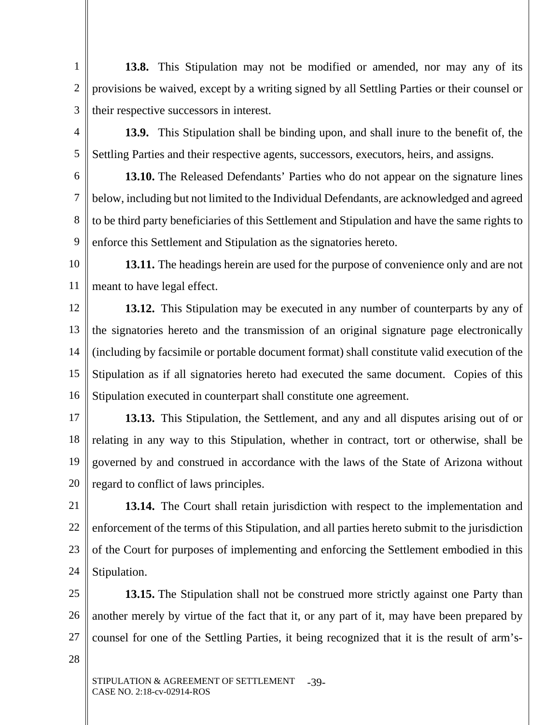1 2 3 **13.8.** This Stipulation may not be modified or amended, nor may any of its provisions be waived, except by a writing signed by all Settling Parties or their counsel or their respective successors in interest.

4 5 **13.9.** This Stipulation shall be binding upon, and shall inure to the benefit of, the Settling Parties and their respective agents, successors, executors, heirs, and assigns.

6 7 8 9 **13.10.** The Released Defendants' Parties who do not appear on the signature lines below, including but not limited to the Individual Defendants, are acknowledged and agreed to be third party beneficiaries of this Settlement and Stipulation and have the same rights to enforce this Settlement and Stipulation as the signatories hereto.

10 11 **13.11.** The headings herein are used for the purpose of convenience only and are not meant to have legal effect.

12 13 14 15 16 **13.12.** This Stipulation may be executed in any number of counterparts by any of the signatories hereto and the transmission of an original signature page electronically (including by facsimile or portable document format) shall constitute valid execution of the Stipulation as if all signatories hereto had executed the same document. Copies of this Stipulation executed in counterpart shall constitute one agreement.

17 18 19 20 **13.13.** This Stipulation, the Settlement, and any and all disputes arising out of or relating in any way to this Stipulation, whether in contract, tort or otherwise, shall be governed by and construed in accordance with the laws of the State of Arizona without regard to conflict of laws principles.

21 22 23 24 **13.14.** The Court shall retain jurisdiction with respect to the implementation and enforcement of the terms of this Stipulation, and all parties hereto submit to the jurisdiction of the Court for purposes of implementing and enforcing the Settlement embodied in this Stipulation.

25 26 27 **13.15.** The Stipulation shall not be construed more strictly against one Party than another merely by virtue of the fact that it, or any part of it, may have been prepared by counsel for one of the Settling Parties, it being recognized that it is the result of arm's-

28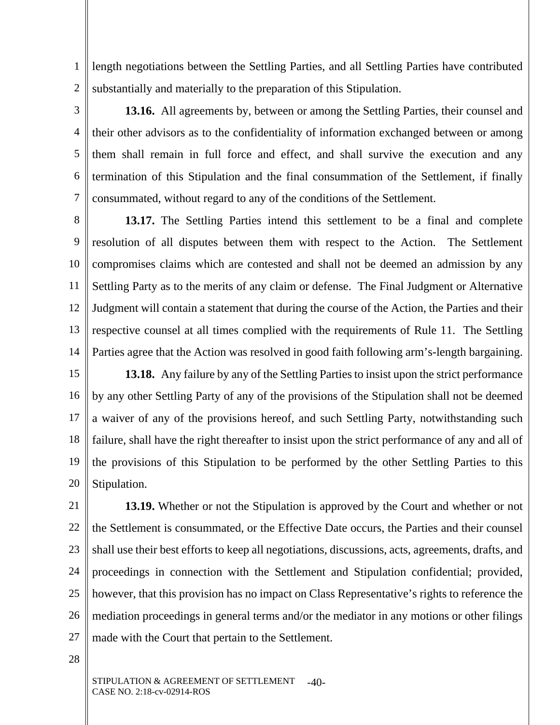1 2 length negotiations between the Settling Parties, and all Settling Parties have contributed substantially and materially to the preparation of this Stipulation.

5 6 7 **13.16.** All agreements by, between or among the Settling Parties, their counsel and their other advisors as to the confidentiality of information exchanged between or among them shall remain in full force and effect, and shall survive the execution and any termination of this Stipulation and the final consummation of the Settlement, if finally consummated, without regard to any of the conditions of the Settlement.

8 9 10 11 12 13 14 **13.17.** The Settling Parties intend this settlement to be a final and complete resolution of all disputes between them with respect to the Action. The Settlement compromises claims which are contested and shall not be deemed an admission by any Settling Party as to the merits of any claim or defense. The Final Judgment or Alternative Judgment will contain a statement that during the course of the Action, the Parties and their respective counsel at all times complied with the requirements of Rule 11. The Settling Parties agree that the Action was resolved in good faith following arm's-length bargaining.

15 16 17 18 19 20 **13.18.** Any failure by any of the Settling Parties to insist upon the strict performance by any other Settling Party of any of the provisions of the Stipulation shall not be deemed a waiver of any of the provisions hereof, and such Settling Party, notwithstanding such failure, shall have the right thereafter to insist upon the strict performance of any and all of the provisions of this Stipulation to be performed by the other Settling Parties to this Stipulation.

21 22 23 24 25 26 27 **13.19.** Whether or not the Stipulation is approved by the Court and whether or not the Settlement is consummated, or the Effective Date occurs, the Parties and their counsel shall use their best efforts to keep all negotiations, discussions, acts, agreements, drafts, and proceedings in connection with the Settlement and Stipulation confidential; provided, however, that this provision has no impact on Class Representative's rights to reference the mediation proceedings in general terms and/or the mediator in any motions or other filings made with the Court that pertain to the Settlement.

28

3

4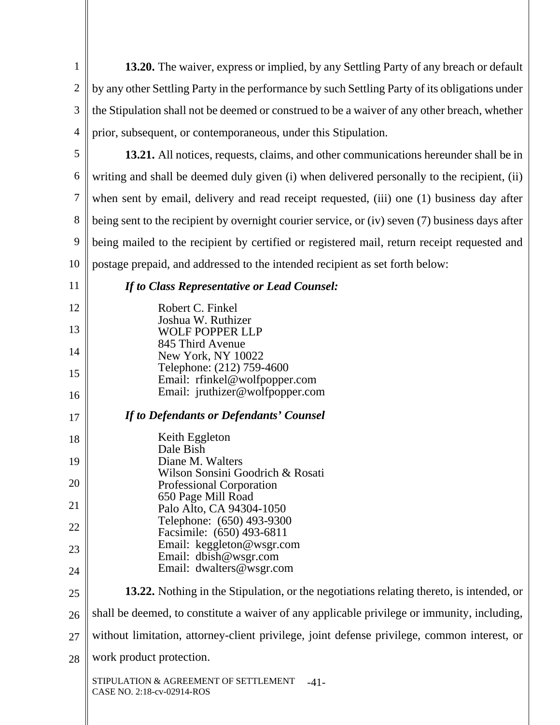1 2 3 4 **13.20.** The waiver, express or implied, by any Settling Party of any breach or default by any other Settling Party in the performance by such Settling Party of its obligations under the Stipulation shall not be deemed or construed to be a waiver of any other breach, whether prior, subsequent, or contemporaneous, under this Stipulation.

5 6 7 8 9 10 **13.21.** All notices, requests, claims, and other communications hereunder shall be in writing and shall be deemed duly given (i) when delivered personally to the recipient, (ii) when sent by email, delivery and read receipt requested, (iii) one (1) business day after being sent to the recipient by overnight courier service, or (iv) seven (7) business days after being mailed to the recipient by certified or registered mail, return receipt requested and postage prepaid, and addressed to the intended recipient as set forth below:

- 11
- *If to Class Representative or Lead Counsel:*

| 12 | Robert C. Finkel                                                                                |
|----|-------------------------------------------------------------------------------------------------|
| 13 | Joshua W. Ruthizer<br><b>WOLF POPPER LLP</b>                                                    |
| 14 | 845 Third Avenue<br>New York, NY 10022                                                          |
| 15 | Telephone: (212) 759-4600<br>Email: rfinkel@wolfpopper.com                                      |
| 16 | Email: jruthizer@wolfpopper.com                                                                 |
| 17 | If to Defendants or Defendants' Counsel                                                         |
| 18 | Keith Eggleton                                                                                  |
| 19 | Dale Bish<br>Diane M. Walters                                                                   |
|    | Wilson Sonsini Goodrich & Rosati                                                                |
| 20 | Professional Corporation<br>650 Page Mill Road                                                  |
| 21 | Palo Alto, CA 94304-1050                                                                        |
| 22 | Telephone: (650) 493-9300<br>Facsimile: (650) 493-6811                                          |
| 23 | Email: keggleton@wsgr.com                                                                       |
| 24 | Email: dbish@wsgr.com<br>Email: dwalters@wsgr.com                                               |
| 25 | <b>13.22.</b> Nothing in the Stipulation, or the negotiations relating thereto, is intended, or |
| 26 | shall be deemed, to constitute a waiver of any applicable privilege or immunity, including,     |
| 27 | without limitation, attorney-client privilege, joint defense privilege, common interest, or     |
|    |                                                                                                 |

28 work product protection.

> STIPULATION & AGREEMENT OF SETTLEMENT CASE NO. 2:18-cv-02914-ROS -41-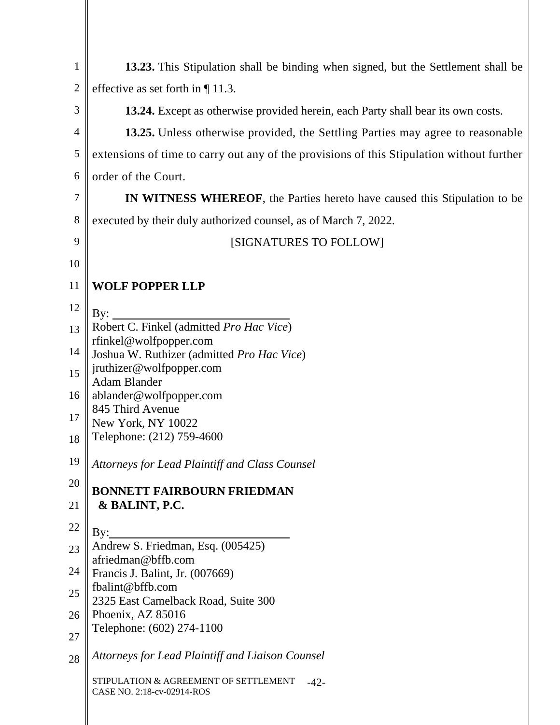| $\mathbf{1}$   | 13.23. This Stipulation shall be binding when signed, but the Settlement shall be         |
|----------------|-------------------------------------------------------------------------------------------|
| $\overline{2}$ | effective as set forth in $\P$ 11.3.                                                      |
| 3              | 13.24. Except as otherwise provided herein, each Party shall bear its own costs.          |
| $\overline{4}$ | 13.25. Unless otherwise provided, the Settling Parties may agree to reasonable            |
| 5              | extensions of time to carry out any of the provisions of this Stipulation without further |
| 6              | order of the Court.                                                                       |
| 7              | <b>IN WITNESS WHEREOF,</b> the Parties hereto have caused this Stipulation to be          |
| 8              | executed by their duly authorized counsel, as of March 7, 2022.                           |
| 9              | [SIGNATURES TO FOLLOW]                                                                    |
| 10             |                                                                                           |
| 11             | <b>WOLF POPPER LLP</b>                                                                    |
| 12             | By:                                                                                       |
| 13             | Robert C. Finkel (admitted Pro Hac Vice)<br>rfinkel@wolfpopper.com                        |
| 14             | Joshua W. Ruthizer (admitted Pro Hac Vice)                                                |
| 15             | jruthizer@wolfpopper.com<br><b>Adam Blander</b>                                           |
| 16             | ablander@wolfpopper.com                                                                   |
| 17             | 845 Third Avenue<br>New York, NY 10022                                                    |
| 18             | Telephone: (212) 759-4600                                                                 |
| 19             | Attorneys for Lead Plaintiff and Class Counsel                                            |
| 20             | <b>BONNETT FAIRBOURN FRIEDMAN</b>                                                         |
| 21             | & BALINT, P.C.                                                                            |
| 22             | $\rm\,By:$                                                                                |
| 23             | Andrew S. Friedman, Esq. (005425)<br>afriedman@bffb.com                                   |
| 24             | Francis J. Balint, Jr. (007669)<br>fbalint@bffb.com                                       |
| 25             | 2325 East Camelback Road, Suite 300                                                       |
| 26             | Phoenix, AZ 85016<br>Telephone: (602) 274-1100                                            |
| 27             |                                                                                           |
| 28             | Attorneys for Lead Plaintiff and Liaison Counsel                                          |
|                | STIPULATION & AGREEMENT OF SETTLEMENT<br>$-42-$<br>CASE NO. 2:18-cv-02914-ROS             |
|                |                                                                                           |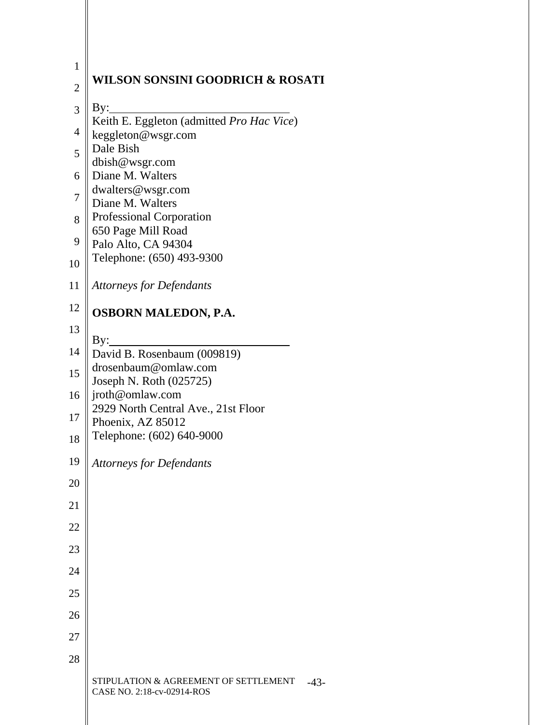| $\mathbf{1}$   | <b>WILSON SONSINI GOODRICH &amp; ROSATI</b>                                                   |
|----------------|-----------------------------------------------------------------------------------------------|
| $\overline{c}$ |                                                                                               |
| $\overline{3}$ | By:<br>Keith E. Eggleton (admitted Pro Hac Vice)                                              |
| $\overline{4}$ | keggleton@wsgr.com                                                                            |
| 5              | Dale Bish<br>dbish@wsgr.com                                                                   |
| 6              | Diane M. Walters                                                                              |
| 7              | dwalters@wsgr.com<br>Diane M. Walters                                                         |
| 8              | Professional Corporation                                                                      |
| 9              | 650 Page Mill Road<br>Palo Alto, CA 94304                                                     |
| 10             | Telephone: (650) 493-9300                                                                     |
| 11             | <b>Attorneys for Defendants</b>                                                               |
| 12             | OSBORN MALEDON, P.A.                                                                          |
| 13             | By:                                                                                           |
| 14             | David B. Rosenbaum (009819)                                                                   |
| 15             | drosenbaum@omlaw.com<br>Joseph N. Roth (025725)                                               |
| 16             | jroth@omlaw.com                                                                               |
| 17             | 2929 North Central Ave., 21st Floor<br>Phoenix, AZ 85012                                      |
| 18             | Telephone: (602) 640-9000                                                                     |
| 19             | <b>Attorneys for Defendants</b>                                                               |
| 20             |                                                                                               |
| 21             |                                                                                               |
| 22             |                                                                                               |
| 23             |                                                                                               |
| 24             |                                                                                               |
| 25             |                                                                                               |
| 26             |                                                                                               |
| 27             |                                                                                               |
| 28             |                                                                                               |
|                | <b>JLATION &amp; AGREEMENT OF SETTLEMENT</b><br>STIPU<br>$-43-$<br>CASE NO. 2:18-cv-02914-ROS |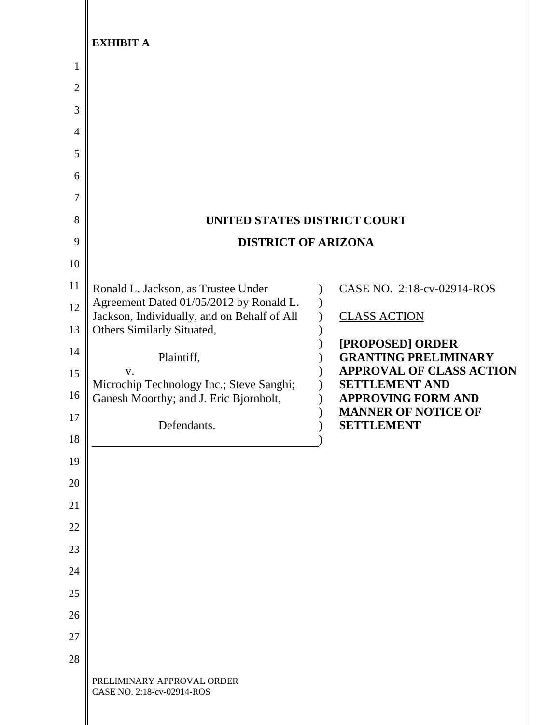|                | <b>EXHIBIT A</b>                                                                   |                                                                |
|----------------|------------------------------------------------------------------------------------|----------------------------------------------------------------|
| $\mathbf{1}$   |                                                                                    |                                                                |
| $\overline{2}$ |                                                                                    |                                                                |
| 3              |                                                                                    |                                                                |
| 4              |                                                                                    |                                                                |
| 5              |                                                                                    |                                                                |
| 6              |                                                                                    |                                                                |
| 7              |                                                                                    |                                                                |
| 8              | UNITED STATES DISTRICT COURT                                                       |                                                                |
| 9              | <b>DISTRICT OF ARIZONA</b>                                                         |                                                                |
| 10<br>11       |                                                                                    |                                                                |
| 12             | Ronald L. Jackson, as Trustee Under<br>Agreement Dated 01/05/2012 by Ronald L.     | CASE NO. 2:18-cv-02914-ROS                                     |
| 13             | Jackson, Individually, and on Behalf of All<br>Others Similarly Situated,          | <b>CLASS ACTION</b>                                            |
| 14             |                                                                                    | [PROPOSED] ORDER                                               |
| 15             | Plaintiff,<br>V.                                                                   | <b>GRANTING PRELIMINARY</b><br><b>APPROVAL OF CLASS ACTION</b> |
| 16             | Microchip Technology Inc.; Steve Sanghi;<br>Ganesh Moorthy; and J. Eric Bjornholt, | <b>SETTLEMENT AND</b><br><b>APPROVING FORM AND</b>             |
| 17             |                                                                                    | <b>MANNER OF NOTICE OF</b>                                     |
| 18             | Defendants.                                                                        | <b>SETTLEMENT</b>                                              |
| 19             |                                                                                    |                                                                |
| 20             |                                                                                    |                                                                |
| 21             |                                                                                    |                                                                |
| 22             |                                                                                    |                                                                |
| 23             |                                                                                    |                                                                |
| 24             |                                                                                    |                                                                |
| 25             |                                                                                    |                                                                |
| 26             |                                                                                    |                                                                |
| 27             |                                                                                    |                                                                |
| 28             |                                                                                    |                                                                |
|                | PRELIMINARY APPROVAL ORDER<br>CASE NO. 2:18-cv-02914-ROS                           |                                                                |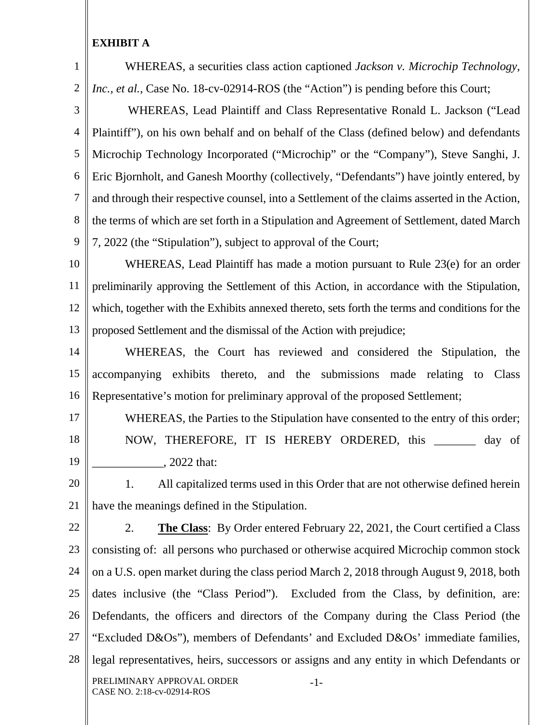1

2

WHEREAS, a securities class action captioned *Jackson v. Microchip Technology, Inc., et al.*, Case No. 18-cv-02914-ROS (the "Action") is pending before this Court;

3 4 5 6 7 8 9 WHEREAS, Lead Plaintiff and Class Representative Ronald L. Jackson ("Lead Plaintiff"), on his own behalf and on behalf of the Class (defined below) and defendants Microchip Technology Incorporated ("Microchip" or the "Company"), Steve Sanghi, J. Eric Bjornholt, and Ganesh Moorthy (collectively, "Defendants") have jointly entered, by and through their respective counsel, into a Settlement of the claims asserted in the Action, the terms of which are set forth in a Stipulation and Agreement of Settlement, dated March 7, 2022 (the "Stipulation"), subject to approval of the Court;

10 11 12 13 WHEREAS, Lead Plaintiff has made a motion pursuant to Rule 23(e) for an order preliminarily approving the Settlement of this Action, in accordance with the Stipulation, which, together with the Exhibits annexed thereto, sets forth the terms and conditions for the proposed Settlement and the dismissal of the Action with prejudice;

14 15 16 WHEREAS, the Court has reviewed and considered the Stipulation, the accompanying exhibits thereto, and the submissions made relating to Class Representative's motion for preliminary approval of the proposed Settlement;

17 18

19

WHEREAS, the Parties to the Stipulation have consented to the entry of this order; NOW, THEREFORE, IT IS HEREBY ORDERED, this \_\_\_\_\_\_\_ day of \_\_\_\_\_\_\_\_\_\_\_\_, 2022 that:

20 21 1. All capitalized terms used in this Order that are not otherwise defined herein have the meanings defined in the Stipulation.

22

23 24 25 26 27 28 PRELIMINARY APPROVAL ORDER CASE NO. 2:18-cv-02914-ROS -1- 2. **The Class**: By Order entered February 22, 2021, the Court certified a Class consisting of: all persons who purchased or otherwise acquired Microchip common stock on a U.S. open market during the class period March 2, 2018 through August 9, 2018, both dates inclusive (the "Class Period"). Excluded from the Class, by definition, are: Defendants, the officers and directors of the Company during the Class Period (the "Excluded D&Os"), members of Defendants' and Excluded D&Os' immediate families, legal representatives, heirs, successors or assigns and any entity in which Defendants or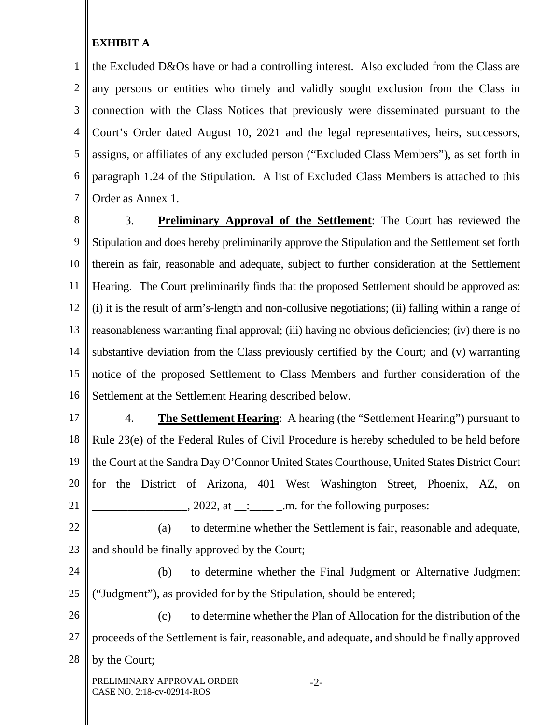1 2 3 4 5 6 7 the Excluded D&Os have or had a controlling interest. Also excluded from the Class are any persons or entities who timely and validly sought exclusion from the Class in connection with the Class Notices that previously were disseminated pursuant to the Court's Order dated August 10, 2021 and the legal representatives, heirs, successors, assigns, or affiliates of any excluded person ("Excluded Class Members"), as set forth in paragraph 1.24 of the Stipulation. A list of Excluded Class Members is attached to this Order as Annex 1.

8 9 10 11 12 13 14 15 16 3. **Preliminary Approval of the Settlement**: The Court has reviewed the Stipulation and does hereby preliminarily approve the Stipulation and the Settlement set forth therein as fair, reasonable and adequate, subject to further consideration at the Settlement Hearing. The Court preliminarily finds that the proposed Settlement should be approved as: (i) it is the result of arm's-length and non-collusive negotiations; (ii) falling within a range of reasonableness warranting final approval; (iii) having no obvious deficiencies; (iv) there is no substantive deviation from the Class previously certified by the Court; and (v) warranting notice of the proposed Settlement to Class Members and further consideration of the Settlement at the Settlement Hearing described below.

17 18 19 20 21 4. **The Settlement Hearing**: A hearing (the "Settlement Hearing") pursuant to Rule 23(e) of the Federal Rules of Civil Procedure is hereby scheduled to be held before the Court at the Sandra Day O'Connor United States Courthouse, United States District Court for the District of Arizona, 401 West Washington Street, Phoenix, AZ, on  $\therefore$  2022, at  $\frac{1}{\cdot}$   $\frac{1}{\cdot}$   $\frac{1}{\cdot}$   $\frac{1}{\cdot}$   $\frac{1}{\cdot}$   $\frac{1}{\cdot}$   $\frac{1}{\cdot}$   $\frac{1}{\cdot}$   $\frac{1}{\cdot}$   $\frac{1}{\cdot}$   $\frac{1}{\cdot}$   $\frac{1}{\cdot}$   $\frac{1}{\cdot}$   $\frac{1}{\cdot}$   $\frac{1}{\cdot}$   $\frac{1}{\cdot}$   $\frac{1}{\cdot}$   $\frac{1}{\cdot}$   $\frac{1}{\cdot$ 

22 23 (a) to determine whether the Settlement is fair, reasonable and adequate, and should be finally approved by the Court;

24 25 (b) to determine whether the Final Judgment or Alternative Judgment ("Judgment"), as provided for by the Stipulation, should be entered;

26 27 28 (c) to determine whether the Plan of Allocation for the distribution of the proceeds of the Settlement is fair, reasonable, and adequate, and should be finally approved by the Court;

PRELIMINARY APPROVAL ORDER CASE NO. 2:18-cv-02914-ROS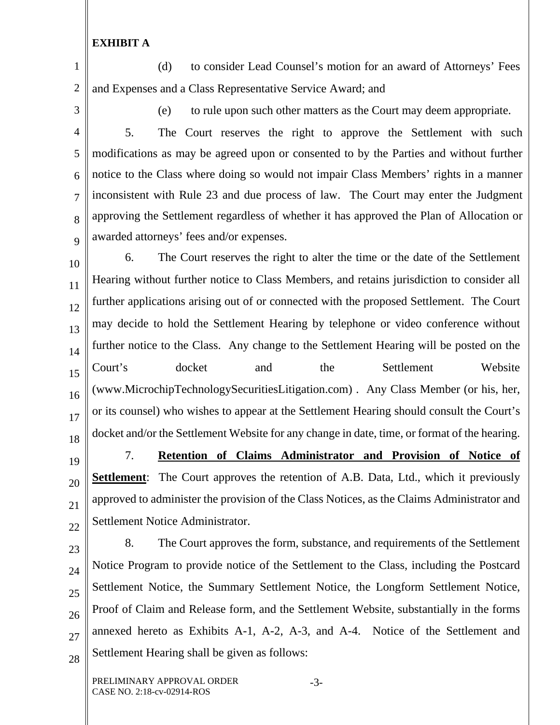1 2 (d) to consider Lead Counsel's motion for an award of Attorneys' Fees and Expenses and a Class Representative Service Award; and

3

7

8

19

20

21

22

(e) to rule upon such other matters as the Court may deem appropriate.

4 5 6 9 5. The Court reserves the right to approve the Settlement with such modifications as may be agreed upon or consented to by the Parties and without further notice to the Class where doing so would not impair Class Members' rights in a manner inconsistent with Rule 23 and due process of law. The Court may enter the Judgment approving the Settlement regardless of whether it has approved the Plan of Allocation or awarded attorneys' fees and/or expenses.

10 11 12 13 14 15 16 17 18 6. The Court reserves the right to alter the time or the date of the Settlement Hearing without further notice to Class Members, and retains jurisdiction to consider all further applications arising out of or connected with the proposed Settlement. The Court may decide to hold the Settlement Hearing by telephone or video conference without further notice to the Class. Any change to the Settlement Hearing will be posted on the Court's docket and the Settlement Website (www.MicrochipTechnologySecuritiesLitigation.com) . Any Class Member (or his, her, or its counsel) who wishes to appear at the Settlement Hearing should consult the Court's docket and/or the Settlement Website for any change in date, time, or format of the hearing.

7. **Retention of Claims Administrator and Provision of Notice of Settlement**: The Court approves the retention of A.B. Data, Ltd., which it previously approved to administer the provision of the Class Notices, as the Claims Administrator and Settlement Notice Administrator.

23 24 25 26 27 28 8. The Court approves the form, substance, and requirements of the Settlement Notice Program to provide notice of the Settlement to the Class, including the Postcard Settlement Notice, the Summary Settlement Notice, the Longform Settlement Notice, Proof of Claim and Release form, and the Settlement Website, substantially in the forms annexed hereto as Exhibits A-1, A-2, A-3, and A-4. Notice of the Settlement and Settlement Hearing shall be given as follows:

-3-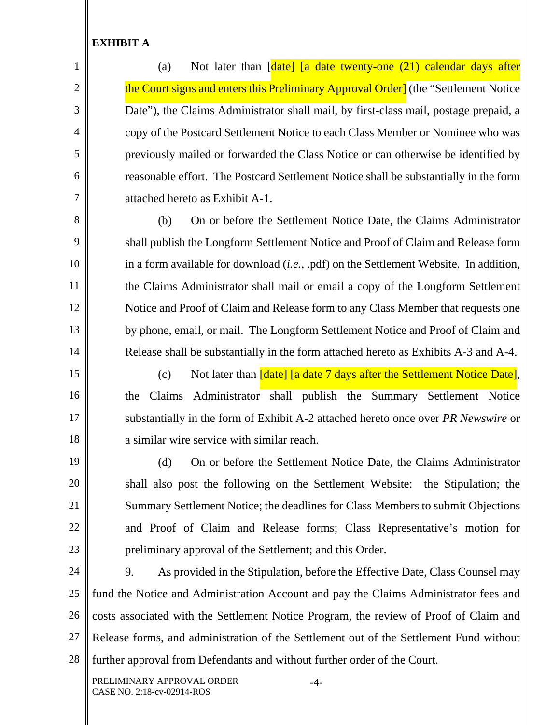1

2

3

4

5

6

7

8

9

10

11

12

13

(a) Not later than  $\lceil \frac{\text{date}}{\text{date}} \rceil$  and  $\text{date}$  twenty-one  $(21)$  calendar days after the Court signs and enters this Preliminary Approval Order] (the "Settlement Notice Date"), the Claims Administrator shall mail, by first-class mail, postage prepaid, a copy of the Postcard Settlement Notice to each Class Member or Nominee who was previously mailed or forwarded the Class Notice or can otherwise be identified by reasonable effort. The Postcard Settlement Notice shall be substantially in the form attached hereto as Exhibit A-1.

 (b) On or before the Settlement Notice Date, the Claims Administrator shall publish the Longform Settlement Notice and Proof of Claim and Release form in a form available for download (*i.e.*, .pdf) on the Settlement Website. In addition, the Claims Administrator shall mail or email a copy of the Longform Settlement Notice and Proof of Claim and Release form to any Class Member that requests one by phone, email, or mail. The Longform Settlement Notice and Proof of Claim and Release shall be substantially in the form attached hereto as Exhibits A-3 and A-4.

14 15

16

17

18

19

20

21

22

23

(c) Not later than *[date] [a date 7 days after the Settlement Notice Date]*, the Claims Administrator shall publish the Summary Settlement Notice substantially in the form of Exhibit A-2 attached hereto once over *PR Newswire* or a similar wire service with similar reach.

 (d) On or before the Settlement Notice Date, the Claims Administrator shall also post the following on the Settlement Website: the Stipulation; the Summary Settlement Notice; the deadlines for Class Members to submit Objections and Proof of Claim and Release forms; Class Representative's motion for preliminary approval of the Settlement; and this Order.

24 25 26 27 28 9. As provided in the Stipulation, before the Effective Date, Class Counsel may fund the Notice and Administration Account and pay the Claims Administrator fees and costs associated with the Settlement Notice Program, the review of Proof of Claim and Release forms, and administration of the Settlement out of the Settlement Fund without further approval from Defendants and without further order of the Court.

PRELIMINARY APPROVAL ORDER CASE NO. 2:18-cv-02914-ROS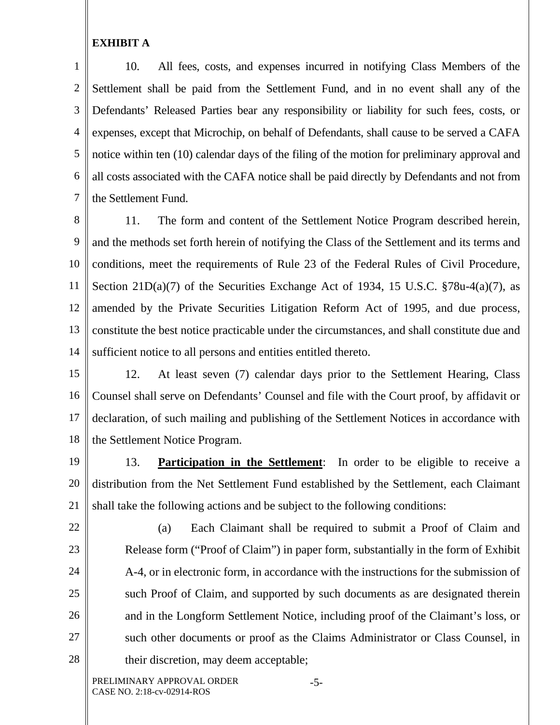1 2 3 4 5 6 7 10. All fees, costs, and expenses incurred in notifying Class Members of the Settlement shall be paid from the Settlement Fund, and in no event shall any of the Defendants' Released Parties bear any responsibility or liability for such fees, costs, or expenses, except that Microchip, on behalf of Defendants, shall cause to be served a CAFA notice within ten (10) calendar days of the filing of the motion for preliminary approval and all costs associated with the CAFA notice shall be paid directly by Defendants and not from the Settlement Fund.

8 9 10 11 12 13 14 11. The form and content of the Settlement Notice Program described herein, and the methods set forth herein of notifying the Class of the Settlement and its terms and conditions, meet the requirements of Rule 23 of the Federal Rules of Civil Procedure, Section 21D(a)(7) of the Securities Exchange Act of 1934, 15 U.S.C. §78u-4(a)(7), as amended by the Private Securities Litigation Reform Act of 1995, and due process, constitute the best notice practicable under the circumstances, and shall constitute due and sufficient notice to all persons and entities entitled thereto.

15

16 17 18 12. At least seven (7) calendar days prior to the Settlement Hearing, Class Counsel shall serve on Defendants' Counsel and file with the Court proof, by affidavit or declaration, of such mailing and publishing of the Settlement Notices in accordance with the Settlement Notice Program.

19

20 21 13. **Participation in the Settlement**: In order to be eligible to receive a distribution from the Net Settlement Fund established by the Settlement, each Claimant shall take the following actions and be subject to the following conditions:

22 23 24 25 26 27 28 (a) Each Claimant shall be required to submit a Proof of Claim and Release form ("Proof of Claim") in paper form, substantially in the form of Exhibit A-4, or in electronic form, in accordance with the instructions for the submission of such Proof of Claim, and supported by such documents as are designated therein and in the Longform Settlement Notice, including proof of the Claimant's loss, or such other documents or proof as the Claims Administrator or Class Counsel, in their discretion, may deem acceptable;

PRELIMINARY APPROVAL ORDER CASE NO. 2:18-cv-02914-ROS

-5-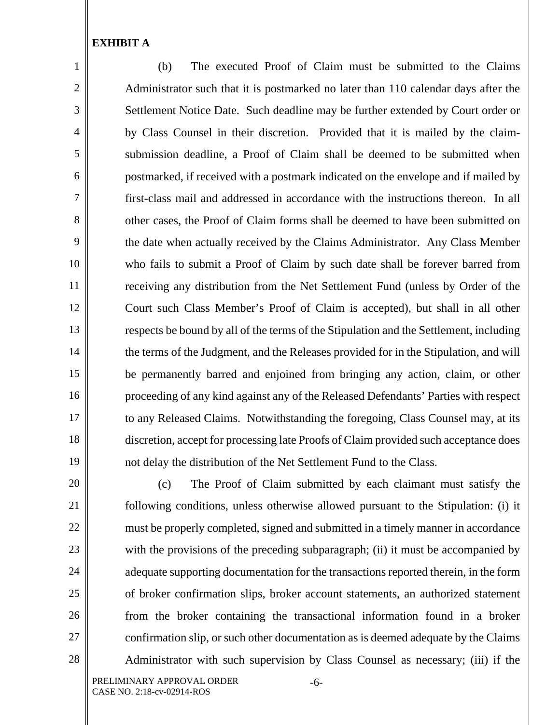1

2

3

4

5

6

7

8

9

10

11

12

13

14

15

16

17

18

19

20

21

22

23

24

25

26

27

28

(b) The executed Proof of Claim must be submitted to the Claims Administrator such that it is postmarked no later than 110 calendar days after the Settlement Notice Date. Such deadline may be further extended by Court order or by Class Counsel in their discretion. Provided that it is mailed by the claimsubmission deadline, a Proof of Claim shall be deemed to be submitted when postmarked, if received with a postmark indicated on the envelope and if mailed by first-class mail and addressed in accordance with the instructions thereon. In all other cases, the Proof of Claim forms shall be deemed to have been submitted on the date when actually received by the Claims Administrator. Any Class Member who fails to submit a Proof of Claim by such date shall be forever barred from receiving any distribution from the Net Settlement Fund (unless by Order of the Court such Class Member's Proof of Claim is accepted), but shall in all other respects be bound by all of the terms of the Stipulation and the Settlement, including the terms of the Judgment, and the Releases provided for in the Stipulation, and will be permanently barred and enjoined from bringing any action, claim, or other proceeding of any kind against any of the Released Defendants' Parties with respect to any Released Claims. Notwithstanding the foregoing, Class Counsel may, at its discretion, accept for processing late Proofs of Claim provided such acceptance does not delay the distribution of the Net Settlement Fund to the Class.

(c) The Proof of Claim submitted by each claimant must satisfy the following conditions, unless otherwise allowed pursuant to the Stipulation: (i) it must be properly completed, signed and submitted in a timely manner in accordance with the provisions of the preceding subparagraph; (ii) it must be accompanied by adequate supporting documentation for the transactions reported therein, in the form of broker confirmation slips, broker account statements, an authorized statement from the broker containing the transactional information found in a broker confirmation slip, or such other documentation as is deemed adequate by the Claims Administrator with such supervision by Class Counsel as necessary; (iii) if the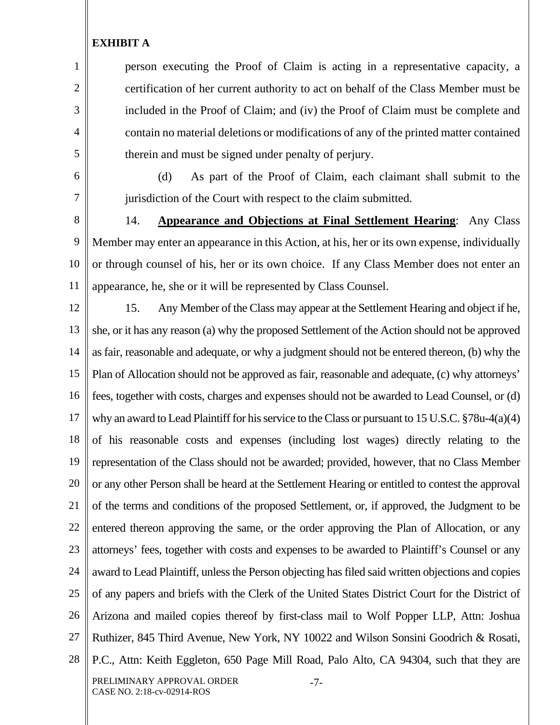person executing the Proof of Claim is acting in a representative capacity, a certification of her current authority to act on behalf of the Class Member must be included in the Proof of Claim; and (iv) the Proof of Claim must be complete and contain no material deletions or modifications of any of the printed matter contained therein and must be signed under penalty of perjury.

6 7

1

2

3

4

5

(d) As part of the Proof of Claim, each claimant shall submit to the jurisdiction of the Court with respect to the claim submitted.

8

9 10 11 14. **Appearance and Objections at Final Settlement Hearing**: Any Class Member may enter an appearance in this Action, at his, her or its own expense, individually or through counsel of his, her or its own choice. If any Class Member does not enter an appearance, he, she or it will be represented by Class Counsel.

12 13 14 15 16 17 18 19 20 21 22 23 24 25 26 27 28 PRELIMINARY APPROVAL ORDER CASE NO. 2:18-cv-02914-ROS -7- 15. Any Member of the Class may appear at the Settlement Hearing and object if he, she, or it has any reason (a) why the proposed Settlement of the Action should not be approved as fair, reasonable and adequate, or why a judgment should not be entered thereon, (b) why the Plan of Allocation should not be approved as fair, reasonable and adequate, (c) why attorneys' fees, together with costs, charges and expenses should not be awarded to Lead Counsel, or (d) why an award to Lead Plaintiff for his service to the Class or pursuant to 15 U.S.C. §78u-4(a)(4) of his reasonable costs and expenses (including lost wages) directly relating to the representation of the Class should not be awarded; provided, however, that no Class Member or any other Person shall be heard at the Settlement Hearing or entitled to contest the approval of the terms and conditions of the proposed Settlement, or, if approved, the Judgment to be entered thereon approving the same, or the order approving the Plan of Allocation, or any attorneys' fees, together with costs and expenses to be awarded to Plaintiff's Counsel or any award to Lead Plaintiff, unless the Person objecting has filed said written objections and copies of any papers and briefs with the Clerk of the United States District Court for the District of Arizona and mailed copies thereof by first-class mail to Wolf Popper LLP, Attn: Joshua Ruthizer, 845 Third Avenue, New York, NY 10022 and Wilson Sonsini Goodrich & Rosati, P.C., Attn: Keith Eggleton, 650 Page Mill Road, Palo Alto, CA 94304, such that they are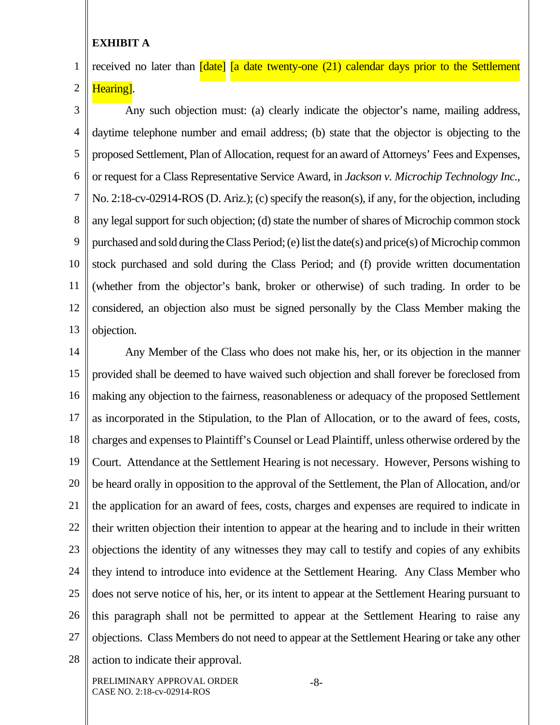1 2 received no later than [date] [a date twenty-one (21) calendar days prior to the Settlement Hearing].

3 4 5 6 7 8 9 10 11 12 13 Any such objection must: (a) clearly indicate the objector's name, mailing address, daytime telephone number and email address; (b) state that the objector is objecting to the proposed Settlement, Plan of Allocation, request for an award of Attorneys' Fees and Expenses, or request for a Class Representative Service Award, in *Jackson v. Microchip Technology Inc.*, No. 2:18-cv-02914-ROS (D. Ariz.); (c) specify the reason(s), if any, for the objection, including any legal support for such objection; (d) state the number of shares of Microchip common stock purchased and sold during the Class Period; (e) list the date(s) and price(s) of Microchip common stock purchased and sold during the Class Period; and (f) provide written documentation (whether from the objector's bank, broker or otherwise) of such trading. In order to be considered, an objection also must be signed personally by the Class Member making the objection.

14 15 16 17 18 19 20 21 22 23 24 25 26 27 28 Any Member of the Class who does not make his, her, or its objection in the manner provided shall be deemed to have waived such objection and shall forever be foreclosed from making any objection to the fairness, reasonableness or adequacy of the proposed Settlement as incorporated in the Stipulation, to the Plan of Allocation, or to the award of fees, costs, charges and expenses to Plaintiff's Counsel or Lead Plaintiff, unless otherwise ordered by the Court. Attendance at the Settlement Hearing is not necessary. However, Persons wishing to be heard orally in opposition to the approval of the Settlement, the Plan of Allocation, and/or the application for an award of fees, costs, charges and expenses are required to indicate in their written objection their intention to appear at the hearing and to include in their written objections the identity of any witnesses they may call to testify and copies of any exhibits they intend to introduce into evidence at the Settlement Hearing. Any Class Member who does not serve notice of his, her, or its intent to appear at the Settlement Hearing pursuant to this paragraph shall not be permitted to appear at the Settlement Hearing to raise any objections. Class Members do not need to appear at the Settlement Hearing or take any other action to indicate their approval.

PRELIMINARY APPROVAL ORDER CASE NO. 2:18-cv-02914-ROS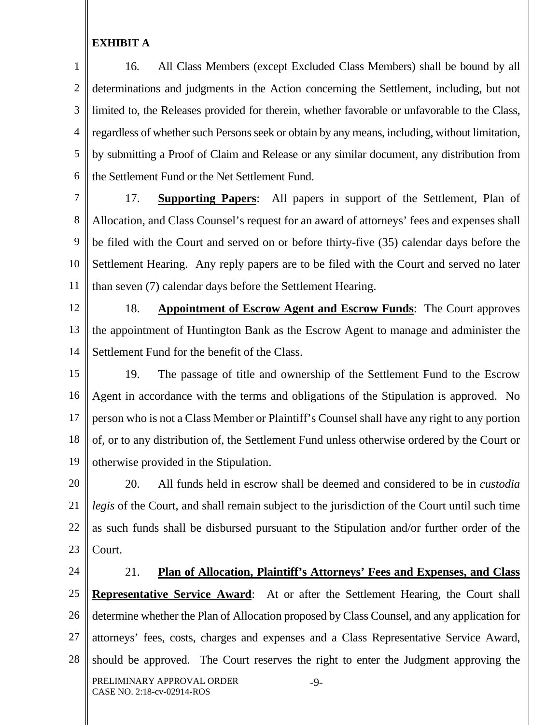1 2 3 4 5 6 16. All Class Members (except Excluded Class Members) shall be bound by all determinations and judgments in the Action concerning the Settlement, including, but not limited to, the Releases provided for therein, whether favorable or unfavorable to the Class, regardless of whether such Persons seek or obtain by any means, including, without limitation, by submitting a Proof of Claim and Release or any similar document, any distribution from the Settlement Fund or the Net Settlement Fund.

7 8 9 10 11 17. **Supporting Papers**: All papers in support of the Settlement, Plan of Allocation, and Class Counsel's request for an award of attorneys' fees and expenses shall be filed with the Court and served on or before thirty-five (35) calendar days before the Settlement Hearing. Any reply papers are to be filed with the Court and served no later than seven (7) calendar days before the Settlement Hearing.

12

13 14 18. **Appointment of Escrow Agent and Escrow Funds**: The Court approves the appointment of Huntington Bank as the Escrow Agent to manage and administer the Settlement Fund for the benefit of the Class.

15 16 17 18 19 19. The passage of title and ownership of the Settlement Fund to the Escrow Agent in accordance with the terms and obligations of the Stipulation is approved. No person who is not a Class Member or Plaintiff's Counsel shall have any right to any portion of, or to any distribution of, the Settlement Fund unless otherwise ordered by the Court or otherwise provided in the Stipulation.

20 21 22 23 20. All funds held in escrow shall be deemed and considered to be in *custodia legis* of the Court, and shall remain subject to the jurisdiction of the Court until such time as such funds shall be disbursed pursuant to the Stipulation and/or further order of the Court.

24 25 26 27 28 PRELIMINARY APPROVAL ORDER CASE NO. 2:18-cv-02914-ROS -9- 21. **Plan of Allocation, Plaintiff's Attorneys' Fees and Expenses, and Class Representative Service Award**: At or after the Settlement Hearing, the Court shall determine whether the Plan of Allocation proposed by Class Counsel, and any application for attorneys' fees, costs, charges and expenses and a Class Representative Service Award, should be approved. The Court reserves the right to enter the Judgment approving the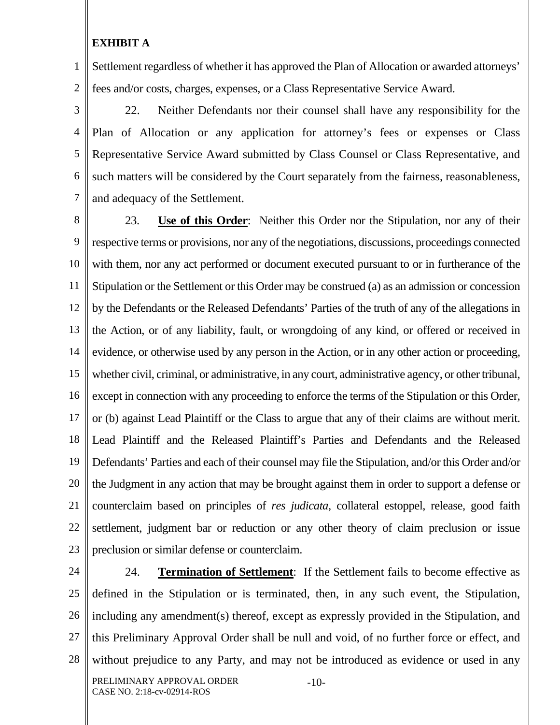1 2 Settlement regardless of whether it has approved the Plan of Allocation or awarded attorneys' fees and/or costs, charges, expenses, or a Class Representative Service Award.

3 4 5 6 7 22. Neither Defendants nor their counsel shall have any responsibility for the Plan of Allocation or any application for attorney's fees or expenses or Class Representative Service Award submitted by Class Counsel or Class Representative, and such matters will be considered by the Court separately from the fairness, reasonableness, and adequacy of the Settlement.

8 9 10 11 12 13 14 15 16 17 18 19 20 21 22 23 23. **Use of this Order**: Neither this Order nor the Stipulation, nor any of their respective terms or provisions, nor any of the negotiations, discussions, proceedings connected with them, nor any act performed or document executed pursuant to or in furtherance of the Stipulation or the Settlement or this Order may be construed (a) as an admission or concession by the Defendants or the Released Defendants' Parties of the truth of any of the allegations in the Action, or of any liability, fault, or wrongdoing of any kind, or offered or received in evidence, or otherwise used by any person in the Action, or in any other action or proceeding, whether civil, criminal, or administrative, in any court, administrative agency, or other tribunal, except in connection with any proceeding to enforce the terms of the Stipulation or this Order, or (b) against Lead Plaintiff or the Class to argue that any of their claims are without merit. Lead Plaintiff and the Released Plaintiff's Parties and Defendants and the Released Defendants' Parties and each of their counsel may file the Stipulation, and/or this Order and/or the Judgment in any action that may be brought against them in order to support a defense or counterclaim based on principles of *res judicata*, collateral estoppel, release, good faith settlement, judgment bar or reduction or any other theory of claim preclusion or issue preclusion or similar defense or counterclaim.

24

25 26 27 28 PRELIMINARY APPROVAL ORDER CASE NO. 2:18-cv-02914-ROS -10- 24. **Termination of Settlement**:If the Settlement fails to become effective as defined in the Stipulation or is terminated, then, in any such event, the Stipulation, including any amendment(s) thereof, except as expressly provided in the Stipulation, and this Preliminary Approval Order shall be null and void, of no further force or effect, and without prejudice to any Party, and may not be introduced as evidence or used in any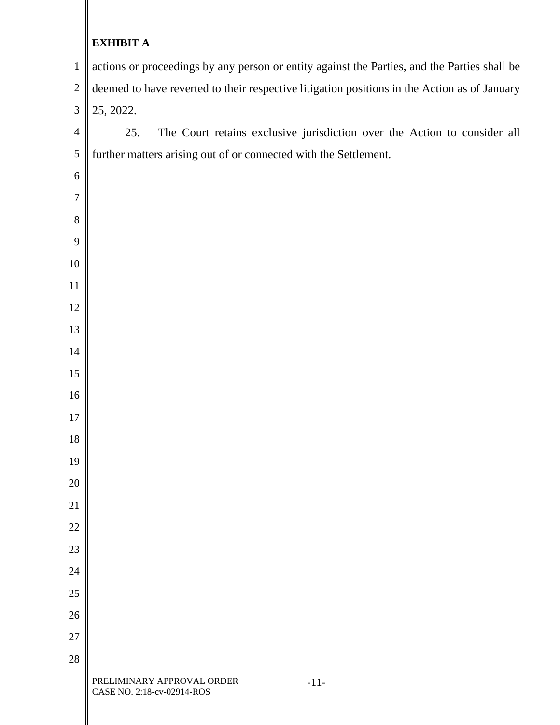| $\mathbf{1}$   | actions or proceedings by any person or entity against the Parties, and the Parties shall be |  |  |  |
|----------------|----------------------------------------------------------------------------------------------|--|--|--|
| $\sqrt{2}$     | deemed to have reverted to their respective litigation positions in the Action as of January |  |  |  |
| 3              | 25, 2022.                                                                                    |  |  |  |
| $\overline{4}$ | The Court retains exclusive jurisdiction over the Action to consider all<br>25.              |  |  |  |
| $\sqrt{5}$     | further matters arising out of or connected with the Settlement.                             |  |  |  |
| 6              |                                                                                              |  |  |  |
| 7              |                                                                                              |  |  |  |
| 8              |                                                                                              |  |  |  |
| 9              |                                                                                              |  |  |  |
| 10             |                                                                                              |  |  |  |
| 11             |                                                                                              |  |  |  |
| 12             |                                                                                              |  |  |  |
| 13             |                                                                                              |  |  |  |
| 14             |                                                                                              |  |  |  |
| 15             |                                                                                              |  |  |  |
| 16             |                                                                                              |  |  |  |
| $17\,$         |                                                                                              |  |  |  |
| 18             |                                                                                              |  |  |  |
| 19             |                                                                                              |  |  |  |
| 20             |                                                                                              |  |  |  |
| 21             |                                                                                              |  |  |  |
| 22             |                                                                                              |  |  |  |
| 23             |                                                                                              |  |  |  |
| 24             |                                                                                              |  |  |  |
| $25\,$         |                                                                                              |  |  |  |
| 26             |                                                                                              |  |  |  |
| 27             |                                                                                              |  |  |  |
| 28             |                                                                                              |  |  |  |
|                | PRELIMINARY APPROVAL ORDER<br>$-11-$<br>CASE NO. 2:18-cv-02914-ROS                           |  |  |  |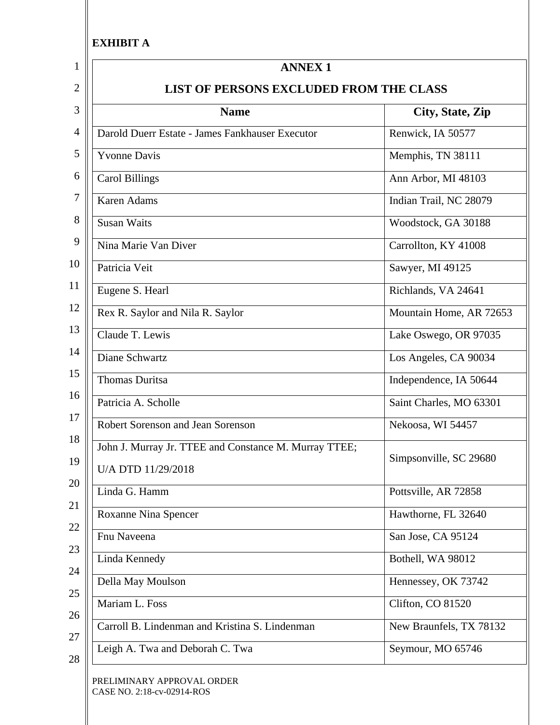II

| <b>Name</b>                                                                 | City, State, Zip        |  |
|-----------------------------------------------------------------------------|-------------------------|--|
| Darold Duerr Estate - James Fankhauser Executor                             | Renwick, IA 50577       |  |
| <b>Yvonne Davis</b>                                                         | Memphis, TN 38111       |  |
| <b>Carol Billings</b>                                                       | Ann Arbor, MI 48103     |  |
| <b>Karen Adams</b>                                                          | Indian Trail, NC 28079  |  |
| <b>Susan Waits</b>                                                          | Woodstock, GA 30188     |  |
| Nina Marie Van Diver                                                        | Carrollton, KY 41008    |  |
| Patricia Veit                                                               | Sawyer, MI 49125        |  |
| Eugene S. Hearl                                                             | Richlands, VA 24641     |  |
| Rex R. Saylor and Nila R. Saylor                                            | Mountain Home, AR 72653 |  |
| Claude T. Lewis                                                             | Lake Oswego, OR 97035   |  |
| Diane Schwartz                                                              | Los Angeles, CA 90034   |  |
| <b>Thomas Duritsa</b>                                                       | Independence, IA 50644  |  |
| Patricia A. Scholle                                                         | Saint Charles, MO 63301 |  |
| Robert Sorenson and Jean Sorenson                                           | Nekoosa, WI 54457       |  |
| John J. Murray Jr. TTEE and Constance M. Murray TTEE;<br>U/A DTD 11/29/2018 | Simpsonville, SC 29680  |  |
| Linda G. Hamm                                                               | Pottsville, AR 72858    |  |
| Roxanne Nina Spencer                                                        | Hawthorne, FL 32640     |  |
| Fnu Naveena                                                                 | San Jose, CA 95124      |  |
| Linda Kennedy                                                               | Bothell, WA 98012       |  |
| Della May Moulson                                                           | Hennessey, OK 73742     |  |
| Mariam L. Foss                                                              | Clifton, CO 81520       |  |
| Carroll B. Lindenman and Kristina S. Lindenman                              | New Braunfels, TX 78132 |  |
| Leigh A. Twa and Deborah C. Twa                                             | Seymour, MO 65746       |  |

CASE NO. 2:18-cv-02914-ROS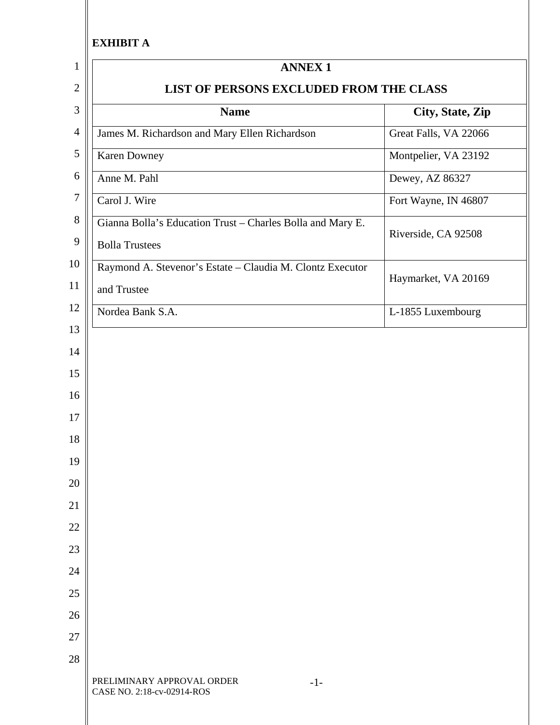| <b>ANNEX 1</b>                                                                      |                       |  |  |
|-------------------------------------------------------------------------------------|-----------------------|--|--|
| LIST OF PERSONS EXCLUDED FROM THE CLASS                                             |                       |  |  |
| <b>Name</b>                                                                         | City, State, Zip      |  |  |
| James M. Richardson and Mary Ellen Richardson                                       | Great Falls, VA 22066 |  |  |
| <b>Karen Downey</b>                                                                 | Montpelier, VA 23192  |  |  |
| Anne M. Pahl                                                                        | Dewey, AZ 86327       |  |  |
| Carol J. Wire                                                                       | Fort Wayne, IN 46807  |  |  |
| Gianna Bolla's Education Trust - Charles Bolla and Mary E.<br><b>Bolla Trustees</b> | Riverside, CA 92508   |  |  |
| Raymond A. Stevenor's Estate - Claudia M. Clontz Executor                           | Haymarket, VA 20169   |  |  |
| and Trustee                                                                         |                       |  |  |
| Nordea Bank S.A.                                                                    | L-1855 Luxembourg     |  |  |
|                                                                                     |                       |  |  |
|                                                                                     |                       |  |  |
|                                                                                     |                       |  |  |
|                                                                                     |                       |  |  |
|                                                                                     |                       |  |  |
|                                                                                     |                       |  |  |
|                                                                                     |                       |  |  |
| PRELIMINARY APPROVAL ORDER<br>$-1-$<br>CASE NO. 2:18-cv-02914-ROS                   |                       |  |  |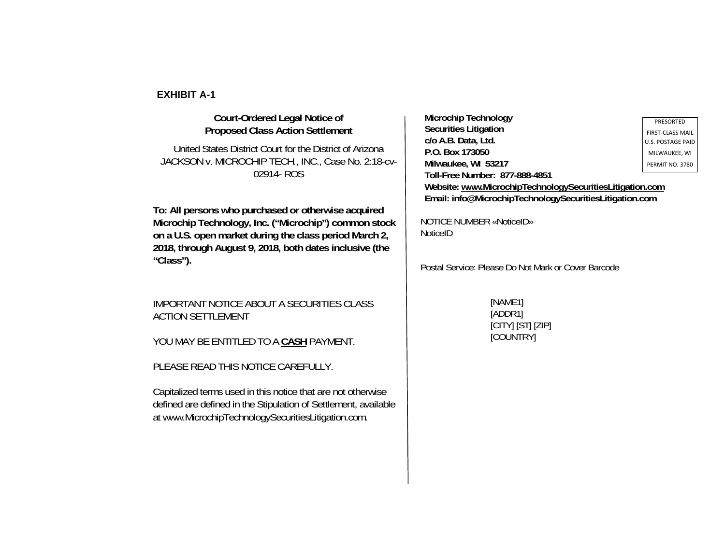### **Court-Ordered Legal Notice of Proposed Class Action Settlement**

## United States District Court for the District of Arizona JACKSON v. MICROCHIP TECH., INC., Case No. 2:18-cv-02914- ROS

**To: All persons who purchased or otherwise acquired Microchip Technology, Inc. ("Microchip") common stock on a U.S. open market during the class period March 2, 2018, through August 9, 2018, both dates inclusive (the "Class").** 

### IMPORTANT NOTICE ABOUT A SECURITIES CLASS ACTION SETTLEMENT

YOU MAY BE ENTITLED TO A **CASH** PAYMENT.

PLEASE READ THIS NOTICE CAREFULLY.

Capitalized terms used in this notice that are not otherwise defined are defined in the Stipulation of Settlement, available at www.MicrochipTechnologySecuritiesLitigation.com.

**Microchip Technology Securities Litigation c/o A.B. Data, Ltd. P.O. Box 173050 Milwaukee, WI 53217 Toll-Free Number: 877-888-4851 Website: www.MicrochipTechnologySecuritiesLitigation.com Email: info@MicrochipTechnologySecuritiesLitigation.com**

NOTICE NUMBER «NoticeID» NoticeID

Postal Service: Please Do Not Mark or Cover Barcode

[NAME1] [ADDR1] [CITY] [ST] [ZIP] [COUNTRY]

PRESORTEDFIRST‐CLASS MAIL U.S. POSTAGE PAIDMILWAUKEE, WI PERMIT NO. 3780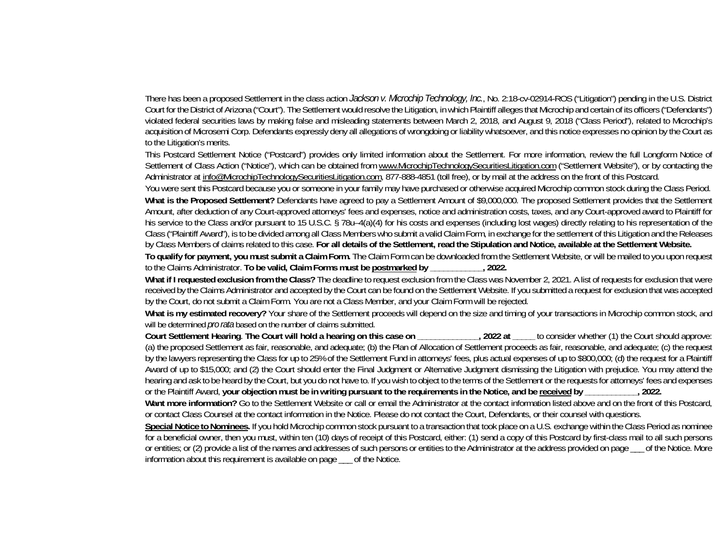There has been a proposed Settlement in the class action *Jackson v. Microchip Technology, Inc.*, No. 2:18-cv-02914-ROS ("Litigation") pending in the U.S. District Court for the District of Arizona ("Court"). The Settlement would resolve the Litigation, in which Plaintiff alleges that Microchip and certain of its officers ("Defendants") violated federal securities laws by making false and misleading statements between March 2, 2018, and August 9, 2018 ("Class Period"), related to Microchip's acquisition of Microsemi Corp. Defendants expressly deny all allegations of wrongdoing or liability whatsoever, and this notice expresses no opinion by the Court as to the Litigation's merits.

This Postcard Settlement Notice ("Postcard") provides only limited information about the Settlement. For more information, review the full Longform Notice of Settlement of Class Action ("Notice"), which can be obtained from www.MicrochipTechnologySecuritiesLitigation.com ("Settlement Website"), or by contacting the Administrator at <u>info@MicrochipTechnologySecuritiesLitigation.com</u>, 877-888-4851 (toll free), or by mail at the address on the front of this Postcard.

You were sent this Postcard because you or someone in your family may have purchased or otherwise acquired Microchip common stock during the Class Period. **What is the Proposed Settlement?** Defendants have agreed to pay a Settlement Amount of \$9,000,000. The proposed Settlement provides that the Settlement Amount, after deduction of any Court-approved attorneys' fees and expenses, notice and administration costs, taxes, and any Court-approved award to Plaintiff for his service to the Class and/or pursuant to 15 U.S.C. § 78u–4(a)(4) for his costs and expenses (including lost wages) directly relating to his representation of the Class ("Plaintiff Award"), is to be divided among all Class Members who submit a valid Claim Form, in exchange for the settlement of this Litigation and the Releases by Class Members of claims related to this case. **For all details of the Settlement, read the Stipulation and Notice, available at the Settlement Website.**

**To qualify for payment, you must submit a Claim Form.** The Claim Form can be downloaded from the Settlement Website, or will be mailed to you upon request to the Claims Administrator. **To be valid, Claim Forms must be postmarked by \_\_\_\_\_\_\_\_\_\_\_\_, 2022.**

**What if I requested exclusion from the Class?** The deadline to request exclusion from the Class was November 2, 2021. A list of requests for exclusion that were received by the Claims Administrator and accepted by the Court can be found on the Settlement Website. If you submitted a request for exclusion that was accepted by the Court, do not submit a Claim Form. You are not a Class Member, and your Claim Form will be rejected.

What is my estimated recovery? Your share of the Settlement proceeds will depend on the size and timing of your transactions in Microchip common stock, and will be determined *pro rata* based on the number of claims submitted.

**Court Settlement Hearing**. **The Court will hold a hearing on this case on \_\_\_\_\_\_\_\_\_\_\_\_\_\_, 2022 at \_\_\_\_\_** to consider whether (1) the Court should approve: (a) the proposed Settlement as fair, reasonable, and adequate; (b) the Plan of Allocation of Settlement proceeds as fair, reasonable, and adequate; (c) the request by the lawyers representing the Class for up to 25% of the Settlement Fund in attorneys' fees, plus actual expenses of up to \$800,000; (d) the request for a Plaintiff Award of up to \$15,000; and (2) the Court should enter the Final Judgment or Alternative Judgment dismissing the Litigation with prejudice. You may attend the hearing and ask to be heard by the Court, but you do not have to. If you wish to object to the terms of the Settlement or the requests for attorneys' fees and expenses or the Plaintiff Award, **your objection must be in writing pursuant to the requirements in the Notice, and be received by \_\_\_\_\_\_\_\_\_\_\_\_, 2022.**

Want more information? Go to the Settlement Website or call or email the Administrator at the contact information listed above and on the front of this Postcard, or contact Class Counsel at the contact information in the Notice. Please do not contact the Court, Defendants, or their counsel with questions.

**Special Notice to Nominees.** If you hold Microchip common stock pursuant to a transaction that took place on a U.S. exchange within the Class Period as nominee for a beneficial owner, then you must, within ten (10) days of receipt of this Postcard, either: (1) send a copy of this Postcard by first-class mail to all such persons or entities; or (2) provide a list of the names and addresses of such persons or entities to the Administrator at the address provided on page \_\_\_ of the Notice. More information about this requirement is available on page \_\_\_ of the Notice.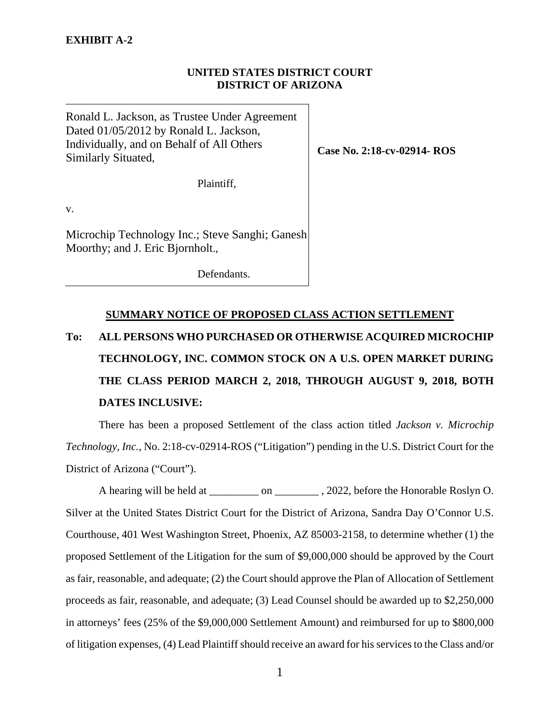### **UNITED STATES DISTRICT COURT DISTRICT OF ARIZONA**

Ronald L. Jackson, as Trustee Under Agreement Dated 01/05/2012 by Ronald L. Jackson, Individually, and on Behalf of All Others Similarly Situated,

Plaintiff,

v.

Microchip Technology Inc.; Steve Sanghi; Ganesh Moorthy; and J. Eric Bjornholt.,

Defendants.

# **SUMMARY NOTICE OF PROPOSED CLASS ACTION SETTLEMENT To: ALL PERSONS WHO PURCHASED OR OTHERWISE ACQUIRED MICROCHIP TECHNOLOGY, INC. COMMON STOCK ON A U.S. OPEN MARKET DURING THE CLASS PERIOD MARCH 2, 2018, THROUGH AUGUST 9, 2018, BOTH DATES INCLUSIVE:**

 There has been a proposed Settlement of the class action titled *Jackson v. Microchip Technology, Inc.*, No. 2:18-cv-02914-ROS ("Litigation") pending in the U.S. District Court for the District of Arizona ("Court").

A hearing will be held at \_\_\_\_\_\_\_ on \_\_\_\_\_\_\_\_\_, 2022, before the Honorable Roslyn O. Silver at the United States District Court for the District of Arizona, Sandra Day O'Connor U.S. Courthouse, 401 West Washington Street, Phoenix, AZ 85003-2158, to determine whether (1) the proposed Settlement of the Litigation for the sum of \$9,000,000 should be approved by the Court as fair, reasonable, and adequate; (2) the Court should approve the Plan of Allocation of Settlement proceeds as fair, reasonable, and adequate; (3) Lead Counsel should be awarded up to \$2,250,000 in attorneys' fees (25% of the \$9,000,000 Settlement Amount) and reimbursed for up to \$800,000 of litigation expenses, (4) Lead Plaintiff should receive an award for his services to the Class and/or

**Case No. 2:18-cv-02914- ROS**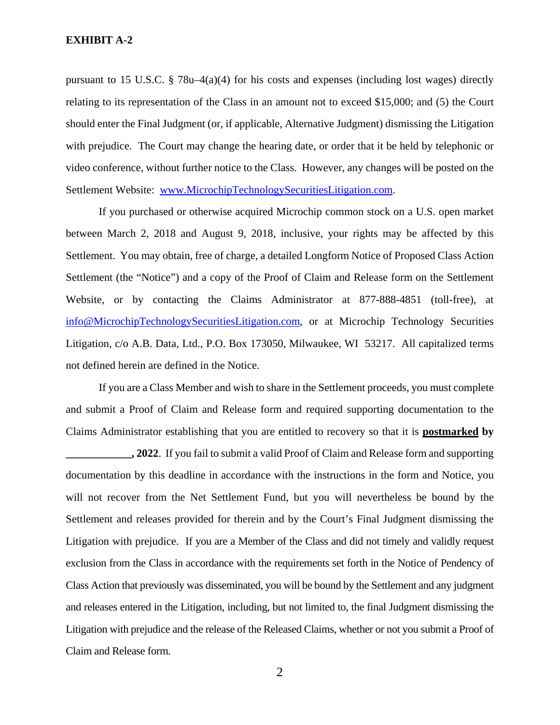pursuant to 15 U.S.C. § 78u–4(a)(4) for his costs and expenses (including lost wages) directly relating to its representation of the Class in an amount not to exceed \$15,000; and (5) the Court should enter the Final Judgment (or, if applicable, Alternative Judgment) dismissing the Litigation with prejudice. The Court may change the hearing date, or order that it be held by telephonic or video conference, without further notice to the Class. However, any changes will be posted on the Settlement Website: www.MicrochipTechnologySecuritiesLitigation.com.

 If you purchased or otherwise acquired Microchip common stock on a U.S. open market between March 2, 2018 and August 9, 2018, inclusive, your rights may be affected by this Settlement. You may obtain, free of charge, a detailed Longform Notice of Proposed Class Action Settlement (the "Notice") and a copy of the Proof of Claim and Release form on the Settlement Website, or by contacting the Claims Administrator at 877-888-4851 (toll-free), at info@MicrochipTechnologySecuritiesLitigation.com, or at Microchip Technology Securities Litigation, c/o A.B. Data, Ltd., P.O. Box 173050, Milwaukee, WI 53217. All capitalized terms not defined herein are defined in the Notice.

 If you are a Class Member and wish to share in the Settlement proceeds, you must complete and submit a Proof of Claim and Release form and required supporting documentation to the Claims Administrator establishing that you are entitled to recovery so that it is **postmarked by** 

**2022.** If you fail to submit a valid Proof of Claim and Release form and supporting documentation by this deadline in accordance with the instructions in the form and Notice, you will not recover from the Net Settlement Fund, but you will nevertheless be bound by the Settlement and releases provided for therein and by the Court's Final Judgment dismissing the Litigation with prejudice. If you are a Member of the Class and did not timely and validly request exclusion from the Class in accordance with the requirements set forth in the Notice of Pendency of Class Action that previously was disseminated, you will be bound by the Settlement and any judgment and releases entered in the Litigation, including, but not limited to, the final Judgment dismissing the Litigation with prejudice and the release of the Released Claims, whether or not you submit a Proof of Claim and Release form.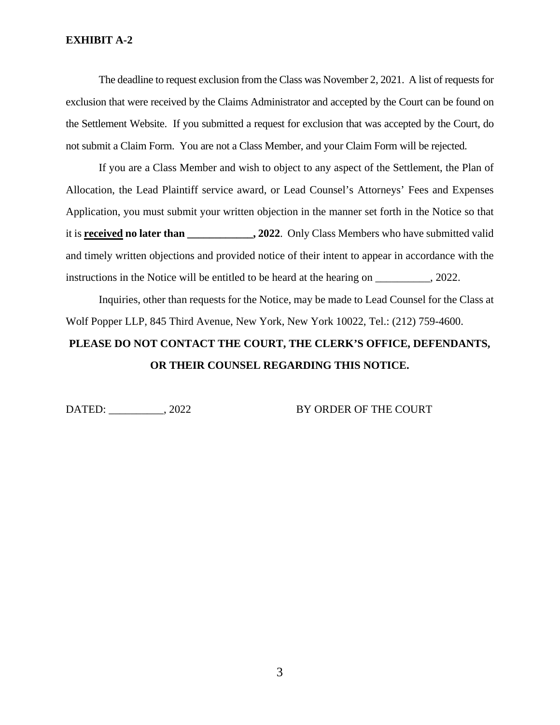The deadline to request exclusion from the Class was November 2, 2021. A list of requests for exclusion that were received by the Claims Administrator and accepted by the Court can be found on the Settlement Website. If you submitted a request for exclusion that was accepted by the Court, do not submit a Claim Form. You are not a Class Member, and your Claim Form will be rejected.

 If you are a Class Member and wish to object to any aspect of the Settlement, the Plan of Allocation, the Lead Plaintiff service award, or Lead Counsel's Attorneys' Fees and Expenses Application, you must submit your written objection in the manner set forth in the Notice so that it is **received no later than \_\_\_\_\_\_\_\_\_\_\_\_, 2022**. Only Class Members who have submitted valid and timely written objections and provided notice of their intent to appear in accordance with the instructions in the Notice will be entitled to be heard at the hearing on \_\_\_\_\_\_\_\_\_\_, 2022.

 Inquiries, other than requests for the Notice, may be made to Lead Counsel for the Class at Wolf Popper LLP, 845 Third Avenue, New York, New York 10022, Tel.: (212) 759-4600.

# **PLEASE DO NOT CONTACT THE COURT, THE CLERK'S OFFICE, DEFENDANTS, OR THEIR COUNSEL REGARDING THIS NOTICE.**

DATED: \_\_\_\_\_\_\_\_\_\_, 2022 BY ORDER OF THE COURT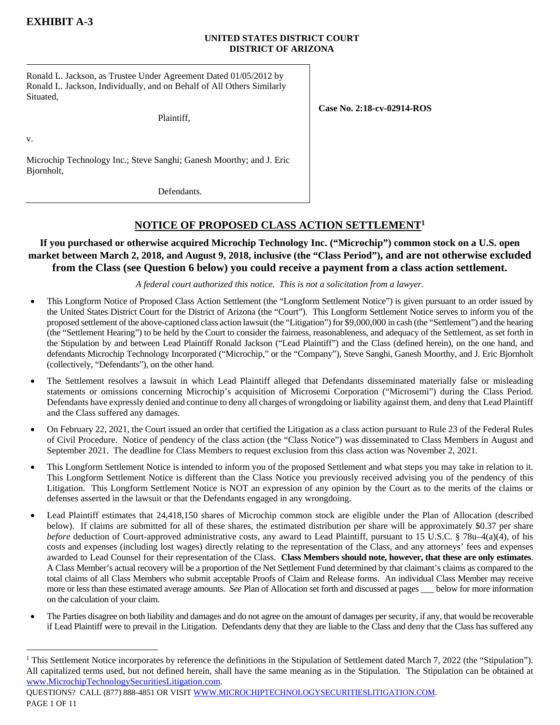### **UNITED STATES DISTRICT COURT DISTRICT OF ARIZONA**

Ronald L. Jackson, as Trustee Under Agreement Dated 01/05/2012 by Ronald L. Jackson, Individually, and on Behalf of All Others Similarly Situated,

Plaintiff,

**Case No. 2:18-cv-02914-ROS** 

v.

1

Microchip Technology Inc.; Steve Sanghi; Ganesh Moorthy; and J. Eric Bjornholt,

Defendants.

# **NOTICE OF PROPOSED CLASS ACTION SETTLEMENT1**

### **If you purchased or otherwise acquired Microchip Technology Inc. ("Microchip") common stock on a U.S. open market between March 2, 2018, and August 9, 2018, inclusive (the "Class Period"), and are not otherwise excluded from the Class (see Question 6 below) you could receive a payment from a class action settlement.**

*A federal court authorized this notice. This is not a solicitation from a lawyer.* 

- This Longform Notice of Proposed Class Action Settlement (the "Longform Settlement Notice") is given pursuant to an order issued by the United States District Court for the District of Arizona (the "Court"). This Longform Settlement Notice serves to inform you of the proposed settlement of the above-captioned class action lawsuit (the "Litigation") for \$9,000,000 in cash (the "Settlement") and the hearing (the "Settlement Hearing") to be held by the Court to consider the fairness, reasonableness, and adequacy of the Settlement, as set forth in the Stipulation by and between Lead Plaintiff Ronald Jackson ("Lead Plaintiff") and the Class (defined herein), on the one hand, and defendants Microchip Technology Incorporated ("Microchip," or the "Company"), Steve Sanghi, Ganesh Moorthy, and J. Eric Bjornholt (collectively, "Defendants"), on the other hand.
- The Settlement resolves a lawsuit in which Lead Plaintiff alleged that Defendants disseminated materially false or misleading statements or omissions concerning Microchip's acquisition of Microsemi Corporation ("Microsemi") during the Class Period. Defendants have expressly denied and continue to deny all charges of wrongdoing or liability against them, and deny that Lead Plaintiff and the Class suffered any damages.
- On February 22, 2021, the Court issued an order that certified the Litigation as a class action pursuant to Rule 23 of the Federal Rules of Civil Procedure. Notice of pendency of the class action (the "Class Notice") was disseminated to Class Members in August and September 2021. The deadline for Class Members to request exclusion from this class action was November 2, 2021.
- This Longform Settlement Notice is intended to inform you of the proposed Settlement and what steps you may take in relation to it. This Longform Settlement Notice is different than the Class Notice you previously received advising you of the pendency of this Litigation. This Longform Settlement Notice is NOT an expression of any opinion by the Court as to the merits of the claims or defenses asserted in the lawsuit or that the Defendants engaged in any wrongdoing.
- Lead Plaintiff estimates that 24,418,150 shares of Microchip common stock are eligible under the Plan of Allocation (described below). If claims are submitted for all of these shares, the estimated distribution per share will be approximately \$0.37 per share *before* deduction of Court-approved administrative costs, any award to Lead Plaintiff, pursuant to 15 U.S.C. § 78u–4(a)(4), of his costs and expenses (including lost wages) directly relating to the representation of the Class, and any attorneys' fees and expenses awarded to Lead Counsel for their representation of the Class. **Class Members should note, however, that these are only estimates**. A Class Member's actual recovery will be a proportion of the Net Settlement Fund determined by that claimant's claims as compared to the total claims of all Class Members who submit acceptable Proofs of Claim and Release forms. An individual Class Member may receive more or less than these estimated average amounts. *See* Plan of Allocation set forth and discussed at pages \_\_\_ below for more information on the calculation of your claim.
- The Parties disagree on both liability and damages and do not agree on the amount of damages per security, if any, that would be recoverable if Lead Plaintiff were to prevail in the Litigation. Defendants deny that they are liable to the Class and deny that the Class has suffered any

<sup>&</sup>lt;sup>1</sup> This Settlement Notice incorporates by reference the definitions in the Stipulation of Settlement dated March 7, 2022 (the "Stipulation"). All capitalized terms used, but not defined herein, shall have the same meaning as in the Stipulation. The Stipulation can be obtained at www.MicrochipTechnologySecuritiesLitigation.com.

QUESTIONS? CALL (877) 888-4851 OR VISIT WWW.MICROCHIPTECHNOLOGYSECURITIESLITIGATION.COM. PAGE 1 OF 11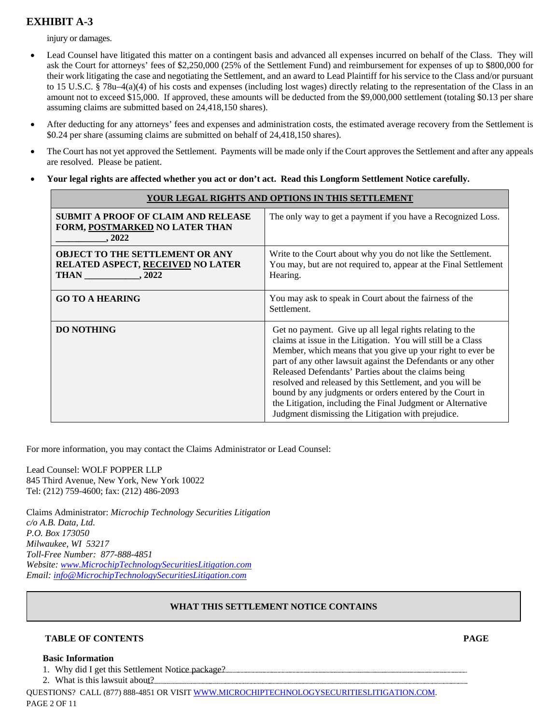injury or damages.

- Lead Counsel have litigated this matter on a contingent basis and advanced all expenses incurred on behalf of the Class. They will ask the Court for attorneys' fees of \$2,250,000 (25% of the Settlement Fund) and reimbursement for expenses of up to \$800,000 for their work litigating the case and negotiating the Settlement, and an award to Lead Plaintiff for his service to the Class and/or pursuant to 15 U.S.C. § 78u–4(a)(4) of his costs and expenses (including lost wages) directly relating to the representation of the Class in an amount not to exceed \$15,000. If approved, these amounts will be deducted from the \$9,000,000 settlement (totaling \$0.13 per share assuming claims are submitted based on 24,418,150 shares).
- After deducting for any attorneys' fees and expenses and administration costs, the estimated average recovery from the Settlement is \$0.24 per share (assuming claims are submitted on behalf of 24,418,150 shares).
- The Court has not yet approved the Settlement. Payments will be made only if the Court approves the Settlement and after any appeals are resolved. Please be patient.
- **Your legal rights are affected whether you act or don't act. Read this Longform Settlement Notice carefully.**

| YOUR LEGAL RIGHTS AND OPTIONS IN THIS SETTLEMENT                                                 |                                                                                                                                                                                                                                                                                                                                                                                                                                                                                                                                                              |  |
|--------------------------------------------------------------------------------------------------|--------------------------------------------------------------------------------------------------------------------------------------------------------------------------------------------------------------------------------------------------------------------------------------------------------------------------------------------------------------------------------------------------------------------------------------------------------------------------------------------------------------------------------------------------------------|--|
| <b>SUBMIT A PROOF OF CLAIM AND RELEASE</b><br>FORM, POSTMARKED NO LATER THAN<br>.2022            | The only way to get a payment if you have a Recognized Loss.                                                                                                                                                                                                                                                                                                                                                                                                                                                                                                 |  |
| <b>OBJECT TO THE SETTLEMENT OR ANY</b><br><b>RELATED ASPECT, RECEIVED NO LATER</b><br>THAN .2022 | Write to the Court about why you do not like the Settlement.<br>You may, but are not required to, appear at the Final Settlement<br>Hearing.                                                                                                                                                                                                                                                                                                                                                                                                                 |  |
| <b>GO TO A HEARING</b>                                                                           | You may ask to speak in Court about the fairness of the<br>Settlement.                                                                                                                                                                                                                                                                                                                                                                                                                                                                                       |  |
| <b>DO NOTHING</b>                                                                                | Get no payment. Give up all legal rights relating to the<br>claims at issue in the Litigation. You will still be a Class<br>Member, which means that you give up your right to ever be<br>part of any other lawsuit against the Defendants or any other<br>Released Defendants' Parties about the claims being<br>resolved and released by this Settlement, and you will be<br>bound by any judgments or orders entered by the Court in<br>the Litigation, including the Final Judgment or Alternative<br>Judgment dismissing the Litigation with prejudice. |  |

For more information, you may contact the Claims Administrator or Lead Counsel:

Lead Counsel: WOLF POPPER LLP 845 Third Avenue, New York, New York 10022 Tel: (212) 759-4600; fax: (212) 486-2093

Claims Administrator: *Microchip Technology Securities Litigation c/o A.B. Data, Ltd. P.O. Box 173050 Milwaukee, WI 53217 Toll-Free Number: 877-888-4851 Website: www.MicrochipTechnologySecuritiesLitigation.com Email: info@MicrochipTechnologySecuritiesLitigation.com* 

### **WHAT THIS SETTLEMENT NOTICE CONTAINS**

### **TABLE OF CONTENTS PAGE**

### **Basic Information**

- 1. Why did I get this Settlement Notice package?
- 2. What is this lawsuit about?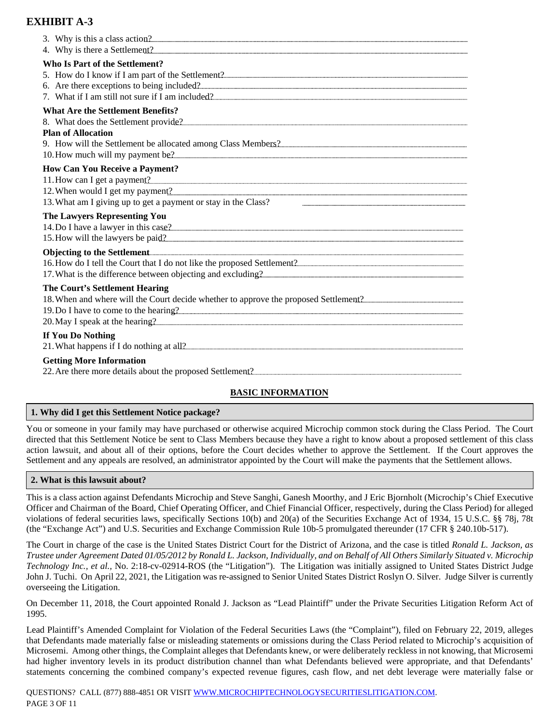| 4. Why is there a Settlement?                                     |
|-------------------------------------------------------------------|
| Who Is Part of the Settlement?                                    |
|                                                                   |
| <b>What Are the Settlement Benefits?</b>                          |
| <b>Plan of Allocation</b>                                         |
|                                                                   |
| <b>How Can You Receive a Payment?</b>                             |
|                                                                   |
| 13. What am I giving up to get a payment or stay in the Class?    |
| <b>The Lawyers Representing You</b>                               |
|                                                                   |
| The Court's Settlement Hearing<br>20. May I speak at the hearing? |
| If You Do Nothing                                                 |
| <b>Getting More Information</b>                                   |

### **BASIC INFORMATION**

### **1. Why did I get this Settlement Notice package?**

You or someone in your family may have purchased or otherwise acquired Microchip common stock during the Class Period. The Court directed that this Settlement Notice be sent to Class Members because they have a right to know about a proposed settlement of this class action lawsuit, and about all of their options, before the Court decides whether to approve the Settlement. If the Court approves the Settlement and any appeals are resolved, an administrator appointed by the Court will make the payments that the Settlement allows.

### **2. What is this lawsuit about?**

This is a class action against Defendants Microchip and Steve Sanghi, Ganesh Moorthy, and J Eric Bjornholt (Microchip's Chief Executive Officer and Chairman of the Board, Chief Operating Officer, and Chief Financial Officer, respectively, during the Class Period) for alleged violations of federal securities laws, specifically Sections 10(b) and 20(a) of the Securities Exchange Act of 1934, 15 U.S.C. §§ 78j, 78t (the "Exchange Act") and U.S. Securities and Exchange Commission Rule 10b-5 promulgated thereunder (17 CFR § 240.10b-517).

The Court in charge of the case is the United States District Court for the District of Arizona, and the case is titled *Ronald L. Jackson, as Trustee under Agreement Dated 01/05/2012 by Ronald L. Jackson, Individually, and on Behalf of All Others Similarly Situated v. Microchip Technology Inc., et al.,* No. 2:18-cv-02914-ROS (the "Litigation"). The Litigation was initially assigned to United States District Judge John J. Tuchi. On April 22, 2021, the Litigation was re-assigned to Senior United States District Roslyn O. Silver. Judge Silver is currently overseeing the Litigation.

On December 11, 2018, the Court appointed Ronald J. Jackson as "Lead Plaintiff" under the Private Securities Litigation Reform Act of 1995.

Lead Plaintiff's Amended Complaint for Violation of the Federal Securities Laws (the "Complaint"), filed on February 22, 2019, alleges that Defendants made materially false or misleading statements or omissions during the Class Period related to Microchip's acquisition of Microsemi. Among other things, the Complaint alleges that Defendants knew, or were deliberately reckless in not knowing, that Microsemi had higher inventory levels in its product distribution channel than what Defendants believed were appropriate, and that Defendants' statements concerning the combined company's expected revenue figures, cash flow, and net debt leverage were materially false or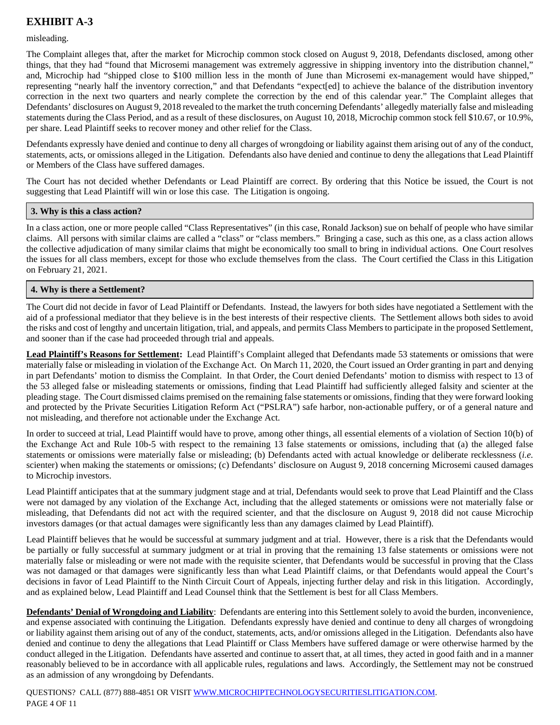### misleading.

The Complaint alleges that, after the market for Microchip common stock closed on August 9, 2018, Defendants disclosed, among other things, that they had "found that Microsemi management was extremely aggressive in shipping inventory into the distribution channel," and, Microchip had "shipped close to \$100 million less in the month of June than Microsemi ex-management would have shipped," representing "nearly half the inventory correction," and that Defendants "expect[ed] to achieve the balance of the distribution inventory correction in the next two quarters and nearly complete the correction by the end of this calendar year." The Complaint alleges that Defendants' disclosures on August 9, 2018 revealed to the market the truth concerning Defendants' allegedly materially false and misleading statements during the Class Period, and as a result of these disclosures, on August 10, 2018, Microchip common stock fell \$10.67, or 10.9%, per share. Lead Plaintiff seeks to recover money and other relief for the Class.

Defendants expressly have denied and continue to deny all charges of wrongdoing or liability against them arising out of any of the conduct, statements, acts, or omissions alleged in the Litigation. Defendants also have denied and continue to deny the allegations that Lead Plaintiff or Members of the Class have suffered damages.

The Court has not decided whether Defendants or Lead Plaintiff are correct. By ordering that this Notice be issued, the Court is not suggesting that Lead Plaintiff will win or lose this case. The Litigation is ongoing.

### **3. Why is this a class action?**

In a class action, one or more people called "Class Representatives" (in this case, Ronald Jackson) sue on behalf of people who have similar claims. All persons with similar claims are called a "class" or "class members." Bringing a case, such as this one, as a class action allows the collective adjudication of many similar claims that might be economically too small to bring in individual actions. One Court resolves the issues for all class members, except for those who exclude themselves from the class. The Court certified the Class in this Litigation on February 21, 2021.

### **4. Why is there a Settlement?**

The Court did not decide in favor of Lead Plaintiff or Defendants. Instead, the lawyers for both sides have negotiated a Settlement with the aid of a professional mediator that they believe is in the best interests of their respective clients. The Settlement allows both sides to avoid the risks and cost of lengthy and uncertain litigation, trial, and appeals, and permits Class Members to participate in the proposed Settlement, and sooner than if the case had proceeded through trial and appeals.

Lead Plaintiff's Reasons for Settlement: Lead Plaintiff's Complaint alleged that Defendants made 53 statements or omissions that were materially false or misleading in violation of the Exchange Act. On March 11, 2020, the Court issued an Order granting in part and denying in part Defendants' motion to dismiss the Complaint. In that Order, the Court denied Defendants' motion to dismiss with respect to 13 of the 53 alleged false or misleading statements or omissions, finding that Lead Plaintiff had sufficiently alleged falsity and scienter at the pleading stage. The Court dismissed claims premised on the remaining false statements or omissions, finding that they were forward looking and protected by the Private Securities Litigation Reform Act ("PSLRA") safe harbor, non-actionable puffery, or of a general nature and not misleading, and therefore not actionable under the Exchange Act.

In order to succeed at trial, Lead Plaintiff would have to prove, among other things, all essential elements of a violation of Section 10(b) of the Exchange Act and Rule 10b-5 with respect to the remaining 13 false statements or omissions, including that (a) the alleged false statements or omissions were materially false or misleading; (b) Defendants acted with actual knowledge or deliberate recklessness (*i.e.*  scienter) when making the statements or omissions; (c) Defendants' disclosure on August 9, 2018 concerning Microsemi caused damages to Microchip investors.

Lead Plaintiff anticipates that at the summary judgment stage and at trial, Defendants would seek to prove that Lead Plaintiff and the Class were not damaged by any violation of the Exchange Act, including that the alleged statements or omissions were not materially false or misleading, that Defendants did not act with the required scienter, and that the disclosure on August 9, 2018 did not cause Microchip investors damages (or that actual damages were significantly less than any damages claimed by Lead Plaintiff).

Lead Plaintiff believes that he would be successful at summary judgment and at trial. However, there is a risk that the Defendants would be partially or fully successful at summary judgment or at trial in proving that the remaining 13 false statements or omissions were not materially false or misleading or were not made with the requisite scienter, that Defendants would be successful in proving that the Class was not damaged or that damages were significantly less than what Lead Plaintiff claims, or that Defendants would appeal the Court's decisions in favor of Lead Plaintiff to the Ninth Circuit Court of Appeals, injecting further delay and risk in this litigation. Accordingly, and as explained below, Lead Plaintiff and Lead Counsel think that the Settlement is best for all Class Members.

**Defendants' Denial of Wrongdoing and Liability**: Defendants are entering into this Settlement solely to avoid the burden, inconvenience, and expense associated with continuing the Litigation. Defendants expressly have denied and continue to deny all charges of wrongdoing or liability against them arising out of any of the conduct, statements, acts, and/or omissions alleged in the Litigation. Defendants also have denied and continue to deny the allegations that Lead Plaintiff or Class Members have suffered damage or were otherwise harmed by the conduct alleged in the Litigation. Defendants have asserted and continue to assert that, at all times, they acted in good faith and in a manner reasonably believed to be in accordance with all applicable rules, regulations and laws. Accordingly, the Settlement may not be construed as an admission of any wrongdoing by Defendants.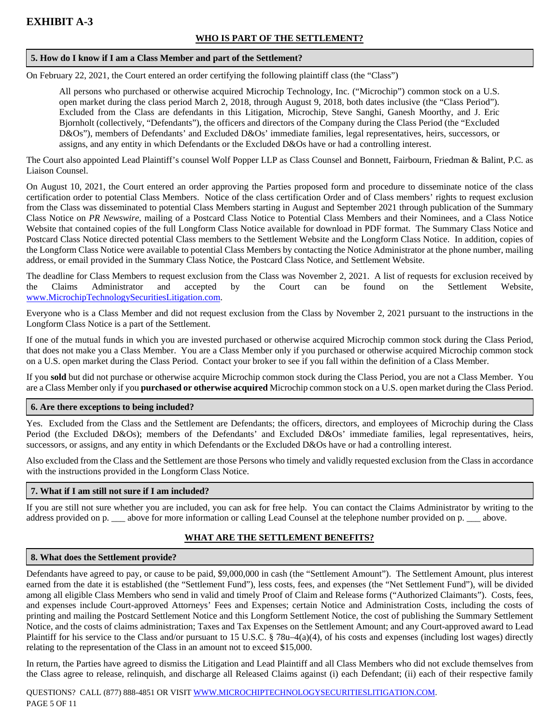### **WHO IS PART OF THE SETTLEMENT?**

### **5. How do I know if I am a Class Member and part of the Settlement?**

On February 22, 2021, the Court entered an order certifying the following plaintiff class (the "Class")

All persons who purchased or otherwise acquired Microchip Technology, Inc. ("Microchip") common stock on a U.S. open market during the class period March 2, 2018, through August 9, 2018, both dates inclusive (the "Class Period"). Excluded from the Class are defendants in this Litigation, Microchip, Steve Sanghi, Ganesh Moorthy, and J. Eric Bjornholt (collectively, "Defendants"), the officers and directors of the Company during the Class Period (the "Excluded D&Os"), members of Defendants' and Excluded D&Os' immediate families, legal representatives, heirs, successors, or assigns, and any entity in which Defendants or the Excluded D&Os have or had a controlling interest.

The Court also appointed Lead Plaintiff's counsel Wolf Popper LLP as Class Counsel and Bonnett, Fairbourn, Friedman & Balint, P.C. as Liaison Counsel.

On August 10, 2021, the Court entered an order approving the Parties proposed form and procedure to disseminate notice of the class certification order to potential Class Members. Notice of the class certification Order and of Class members' rights to request exclusion from the Class was disseminated to potential Class Members starting in August and September 2021 through publication of the Summary Class Notice on *PR Newswire*, mailing of a Postcard Class Notice to Potential Class Members and their Nominees, and a Class Notice Website that contained copies of the full Longform Class Notice available for download in PDF format. The Summary Class Notice and Postcard Class Notice directed potential Class members to the Settlement Website and the Longform Class Notice. In addition, copies of the Longform Class Notice were available to potential Class Members by contacting the Notice Administrator at the phone number, mailing address, or email provided in the Summary Class Notice, the Postcard Class Notice, and Settlement Website.

The deadline for Class Members to request exclusion from the Class was November 2, 2021. A list of requests for exclusion received by the Claims Administrator and accepted by the Court can be found on the Settlement Website, www.MicrochipTechnologySecuritiesLitigation.com.

Everyone who is a Class Member and did not request exclusion from the Class by November 2, 2021 pursuant to the instructions in the Longform Class Notice is a part of the Settlement.

If one of the mutual funds in which you are invested purchased or otherwise acquired Microchip common stock during the Class Period, that does not make you a Class Member. You are a Class Member only if you purchased or otherwise acquired Microchip common stock on a U.S. open market during the Class Period. Contact your broker to see if you fall within the definition of a Class Member.

If you **sold** but did not purchase or otherwise acquire Microchip common stock during the Class Period, you are not a Class Member. You are a Class Member only if you **purchased or otherwise acquired** Microchip common stock on a U.S. open market during the Class Period.

### **6. Are there exceptions to being included?**

Yes. Excluded from the Class and the Settlement are Defendants; the officers, directors, and employees of Microchip during the Class Period (the Excluded D&Os); members of the Defendants' and Excluded D&Os' immediate families, legal representatives, heirs, successors, or assigns, and any entity in which Defendants or the Excluded D&Os have or had a controlling interest.

Also excluded from the Class and the Settlement are those Persons who timely and validly requested exclusion from the Class in accordance with the instructions provided in the Longform Class Notice.

### **7. What if I am still not sure if I am included?**

If you are still not sure whether you are included, you can ask for free help. You can contact the Claims Administrator by writing to the address provided on p. \_\_\_ above for more information or calling Lead Counsel at the telephone number provided on p. \_\_ above.

## **WHAT ARE THE SETTLEMENT BENEFITS?**

## **8. What does the Settlement provide?**

Defendants have agreed to pay, or cause to be paid, \$9,000,000 in cash (the "Settlement Amount"). The Settlement Amount, plus interest earned from the date it is established (the "Settlement Fund"), less costs, fees, and expenses (the "Net Settlement Fund"), will be divided among all eligible Class Members who send in valid and timely Proof of Claim and Release forms ("Authorized Claimants"). Costs, fees, and expenses include Court-approved Attorneys' Fees and Expenses; certain Notice and Administration Costs, including the costs of printing and mailing the Postcard Settlement Notice and this Longform Settlement Notice, the cost of publishing the Summary Settlement Notice, and the costs of claims administration; Taxes and Tax Expenses on the Settlement Amount; and any Court-approved award to Lead Plaintiff for his service to the Class and/or pursuant to 15 U.S.C. § 78u–4(a)(4), of his costs and expenses (including lost wages) directly relating to the representation of the Class in an amount not to exceed \$15,000.

In return, the Parties have agreed to dismiss the Litigation and Lead Plaintiff and all Class Members who did not exclude themselves from the Class agree to release, relinquish, and discharge all Released Claims against (i) each Defendant; (ii) each of their respective family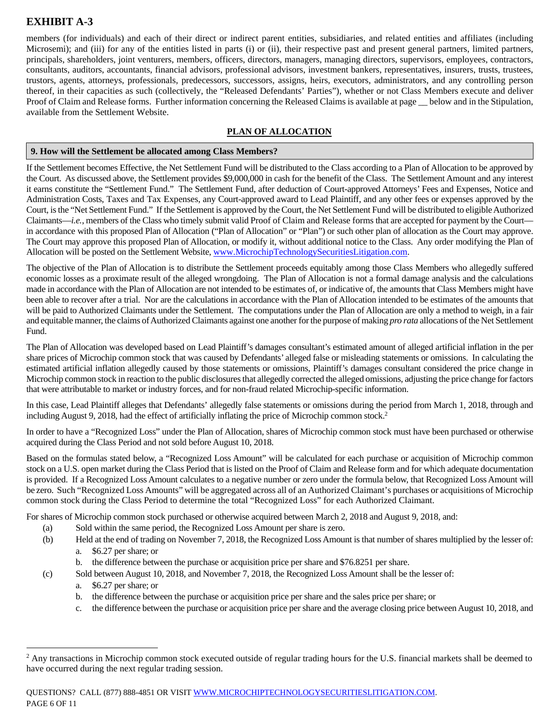members (for individuals) and each of their direct or indirect parent entities, subsidiaries, and related entities and affiliates (including Microsemi); and (iii) for any of the entities listed in parts (i) or (ii), their respective past and present general partners, limited partners, principals, shareholders, joint venturers, members, officers, directors, managers, managing directors, supervisors, employees, contractors, consultants, auditors, accountants, financial advisors, professional advisors, investment bankers, representatives, insurers, trusts, trustees, trustors, agents, attorneys, professionals, predecessors, successors, assigns, heirs, executors, administrators, and any controlling person thereof, in their capacities as such (collectively, the "Released Defendants' Parties"), whether or not Class Members execute and deliver Proof of Claim and Release forms. Further information concerning the Released Claims is available at page  $\_\_$ below and in the Stipulation, available from the Settlement Website.

### **PLAN OF ALLOCATION**

### **9. How will the Settlement be allocated among Class Members?**

If the Settlement becomes Effective, the Net Settlement Fund will be distributed to the Class according to a Plan of Allocation to be approved by the Court. As discussed above, the Settlement provides \$9,000,000 in cash for the benefit of the Class. The Settlement Amount and any interest it earns constitute the "Settlement Fund." The Settlement Fund, after deduction of Court-approved Attorneys' Fees and Expenses, Notice and Administration Costs, Taxes and Tax Expenses, any Court-approved award to Lead Plaintiff, and any other fees or expenses approved by the Court, is the "Net Settlement Fund." If the Settlement is approved by the Court, the Net Settlement Fund will be distributed to eligible Authorized Claimants—*i.e.*, members of the Class who timely submit valid Proof of Claim and Release forms that are accepted for payment by the Court in accordance with this proposed Plan of Allocation ("Plan of Allocation" or "Plan") or such other plan of allocation as the Court may approve. The Court may approve this proposed Plan of Allocation, or modify it, without additional notice to the Class. Any order modifying the Plan of Allocation will be posted on the Settlement Website, www.MicrochipTechnologySecuritiesLitigation.com.

The objective of the Plan of Allocation is to distribute the Settlement proceeds equitably among those Class Members who allegedly suffered economic losses as a proximate result of the alleged wrongdoing. The Plan of Allocation is not a formal damage analysis and the calculations made in accordance with the Plan of Allocation are not intended to be estimates of, or indicative of, the amounts that Class Members might have been able to recover after a trial. Nor are the calculations in accordance with the Plan of Allocation intended to be estimates of the amounts that will be paid to Authorized Claimants under the Settlement. The computations under the Plan of Allocation are only a method to weigh, in a fair and equitable manner, the claims of Authorized Claimants against one another for the purpose of making *pro rata* allocations of the Net Settlement Fund.

The Plan of Allocation was developed based on Lead Plaintiff's damages consultant's estimated amount of alleged artificial inflation in the per share prices of Microchip common stock that was caused by Defendants' alleged false or misleading statements or omissions. In calculating the estimated artificial inflation allegedly caused by those statements or omissions, Plaintiff's damages consultant considered the price change in Microchip common stock in reaction to the public disclosures that allegedly corrected the alleged omissions, adjusting the price change for factors that were attributable to market or industry forces, and for non-fraud related Microchip-specific information.

In this case, Lead Plaintiff alleges that Defendants' allegedly false statements or omissions during the period from March 1, 2018, through and including August 9, 2018, had the effect of artificially inflating the price of Microchip common stock.<sup>2</sup>

In order to have a "Recognized Loss" under the Plan of Allocation, shares of Microchip common stock must have been purchased or otherwise acquired during the Class Period and not sold before August 10, 2018.

Based on the formulas stated below, a "Recognized Loss Amount" will be calculated for each purchase or acquisition of Microchip common stock on a U.S. open market during the Class Period that is listed on the Proof of Claim and Release form and for which adequate documentation is provided. If a Recognized Loss Amount calculates to a negative number or zero under the formula below, that Recognized Loss Amount will be zero. Such "Recognized Loss Amounts" will be aggregated across all of an Authorized Claimant's purchases or acquisitions of Microchip common stock during the Class Period to determine the total "Recognized Loss" for each Authorized Claimant.

For shares of Microchip common stock purchased or otherwise acquired between March 2, 2018 and August 9, 2018, and:

- (a) Sold within the same period, the Recognized Loss Amount per share is zero.
- (b) Held at the end of trading on November 7, 2018, the Recognized Loss Amount is that number of shares multiplied by the lesser of:
	- a. \$6.27 per share; or
	- b. the difference between the purchase or acquisition price per share and \$76.8251 per share.
- (c) Sold between August 10, 2018, and November 7, 2018, the Recognized Loss Amount shall be the lesser of:
	- a. \$6.27 per share; or

1

- b. the difference between the purchase or acquisition price per share and the sales price per share; or
- c. the difference between the purchase or acquisition price per share and the average closing price between August 10, 2018, and

 $2$  Any transactions in Microchip common stock executed outside of regular trading hours for the U.S. financial markets shall be deemed to have occurred during the next regular trading session.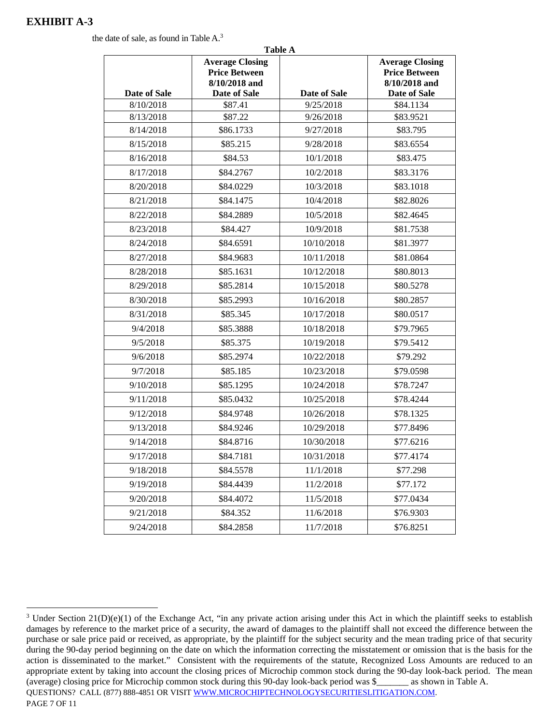the date of sale, as found in Table A.3

|              | 1 adie A<br><b>Average Closing</b><br><b>Price Between</b><br>8/10/2018 and |              | <b>Average Closing</b><br><b>Price Between</b><br>8/10/2018 and |
|--------------|-----------------------------------------------------------------------------|--------------|-----------------------------------------------------------------|
| Date of Sale | Date of Sale                                                                | Date of Sale | Date of Sale                                                    |
| 8/10/2018    | \$87.41                                                                     | 9/25/2018    | \$84.1134                                                       |
| 8/13/2018    | \$87.22                                                                     | 9/26/2018    | \$83.9521                                                       |
| 8/14/2018    | \$86.1733                                                                   | 9/27/2018    | \$83.795                                                        |
| 8/15/2018    | \$85.215                                                                    | 9/28/2018    | \$83.6554                                                       |
| 8/16/2018    | \$84.53                                                                     | 10/1/2018    | \$83.475                                                        |
| 8/17/2018    | \$84.2767                                                                   | 10/2/2018    | \$83.3176                                                       |
| 8/20/2018    | \$84.0229                                                                   | 10/3/2018    | \$83.1018                                                       |
| 8/21/2018    | \$84.1475                                                                   | 10/4/2018    | \$82.8026                                                       |
| 8/22/2018    | \$84.2889                                                                   | 10/5/2018    | \$82.4645                                                       |
| 8/23/2018    | \$84.427                                                                    | 10/9/2018    | \$81.7538                                                       |
| 8/24/2018    | \$84.6591                                                                   | 10/10/2018   | \$81.3977                                                       |
| 8/27/2018    | \$84.9683                                                                   | 10/11/2018   | \$81.0864                                                       |
| 8/28/2018    | \$85.1631                                                                   | 10/12/2018   | \$80.8013                                                       |
| 8/29/2018    | \$85.2814                                                                   | 10/15/2018   | \$80.5278                                                       |
| 8/30/2018    | \$85.2993                                                                   | 10/16/2018   | \$80.2857                                                       |
| 8/31/2018    | \$85.345                                                                    | 10/17/2018   | \$80.0517                                                       |
| 9/4/2018     | \$85.3888                                                                   | 10/18/2018   | \$79.7965                                                       |
| 9/5/2018     | \$85.375                                                                    | 10/19/2018   | \$79.5412                                                       |
| 9/6/2018     | \$85.2974                                                                   | 10/22/2018   | \$79.292                                                        |
| 9/7/2018     | \$85.185                                                                    | 10/23/2018   | \$79.0598                                                       |
| 9/10/2018    | \$85.1295                                                                   | 10/24/2018   | \$78.7247                                                       |
| 9/11/2018    | \$85.0432                                                                   | 10/25/2018   | \$78.4244                                                       |
| 9/12/2018    | \$84.9748                                                                   | 10/26/2018   | \$78.1325                                                       |
| 9/13/2018    | \$84.9246                                                                   | 10/29/2018   | \$77.8496                                                       |
| 9/14/2018    | \$84.8716                                                                   | 10/30/2018   | \$77.6216                                                       |
| 9/17/2018    | \$84.7181                                                                   | 10/31/2018   | \$77.4174                                                       |
| 9/18/2018    | \$84.5578                                                                   | 11/1/2018    | \$77.298                                                        |
| 9/19/2018    | \$84.4439                                                                   | 11/2/2018    | \$77.172                                                        |
| 9/20/2018    | \$84.4072                                                                   | 11/5/2018    | \$77.0434                                                       |
| 9/21/2018    | \$84.352                                                                    | 11/6/2018    | \$76.9303                                                       |
| 9/24/2018    | \$84.2858                                                                   | 11/7/2018    | \$76.8251                                                       |

**Table A**

QUESTIONS? CALL (877) 888-4851 OR VISIT WWW.MICROCHIPTECHNOLOGYSECURITIESLITIGATION.COM. PAGE 7 OF 11 <u>.</u> <sup>3</sup> Under Section  $21(D)(e)(1)$  of the Exchange Act, "in any private action arising under this Act in which the plaintiff seeks to establish damages by reference to the market price of a security, the award of damages to the plaintiff shall not exceed the difference between the purchase or sale price paid or received, as appropriate, by the plaintiff for the subject security and the mean trading price of that security during the 90-day period beginning on the date on which the information correcting the misstatement or omission that is the basis for the action is disseminated to the market." Consistent with the requirements of the statute, Recognized Loss Amounts are reduced to an appropriate extent by taking into account the closing prices of Microchip common stock during the 90-day look-back period. The mean (average) closing price for Microchip common stock during this 90-day look-back period was \$\_\_\_\_\_\_\_ as shown in Table A.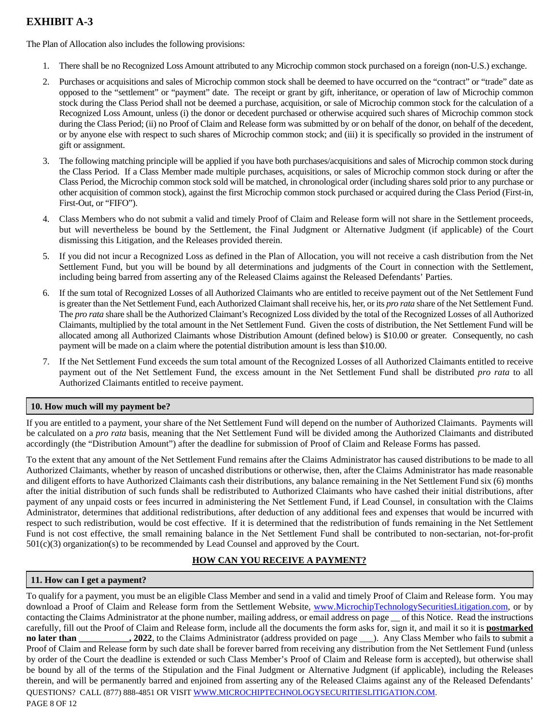The Plan of Allocation also includes the following provisions:

- 1. There shall be no Recognized Loss Amount attributed to any Microchip common stock purchased on a foreign (non-U.S.) exchange.
- 2. Purchases or acquisitions and sales of Microchip common stock shall be deemed to have occurred on the "contract" or "trade" date as opposed to the "settlement" or "payment" date. The receipt or grant by gift, inheritance, or operation of law of Microchip common stock during the Class Period shall not be deemed a purchase, acquisition, or sale of Microchip common stock for the calculation of a Recognized Loss Amount, unless (i) the donor or decedent purchased or otherwise acquired such shares of Microchip common stock during the Class Period; (ii) no Proof of Claim and Release form was submitted by or on behalf of the donor, on behalf of the decedent, or by anyone else with respect to such shares of Microchip common stock; and (iii) it is specifically so provided in the instrument of gift or assignment.
- 3. The following matching principle will be applied if you have both purchases/acquisitions and sales of Microchip common stock during the Class Period. If a Class Member made multiple purchases, acquisitions, or sales of Microchip common stock during or after the Class Period, the Microchip common stock sold will be matched, in chronological order (including shares sold prior to any purchase or other acquisition of common stock), against the first Microchip common stock purchased or acquired during the Class Period (First-in, First-Out, or "FIFO").
- 4. Class Members who do not submit a valid and timely Proof of Claim and Release form will not share in the Settlement proceeds, but will nevertheless be bound by the Settlement, the Final Judgment or Alternative Judgment (if applicable) of the Court dismissing this Litigation, and the Releases provided therein.
- 5. If you did not incur a Recognized Loss as defined in the Plan of Allocation, you will not receive a cash distribution from the Net Settlement Fund, but you will be bound by all determinations and judgments of the Court in connection with the Settlement, including being barred from asserting any of the Released Claims against the Released Defendants' Parties.
- 6. If the sum total of Recognized Losses of all Authorized Claimants who are entitled to receive payment out of the Net Settlement Fund is greater than the Net Settlement Fund, each Authorized Claimant shall receive his, her, or its *pro rata* share of the Net Settlement Fund. The *pro rata* share shall be the Authorized Claimant's Recognized Loss divided by the total of the Recognized Losses of all Authorized Claimants, multiplied by the total amount in the Net Settlement Fund. Given the costs of distribution, the Net Settlement Fund will be allocated among all Authorized Claimants whose Distribution Amount (defined below) is \$10.00 or greater. Consequently, no cash payment will be made on a claim where the potential distribution amount is less than \$10.00.
- 7. If the Net Settlement Fund exceeds the sum total amount of the Recognized Losses of all Authorized Claimants entitled to receive payment out of the Net Settlement Fund, the excess amount in the Net Settlement Fund shall be distributed *pro rata* to all Authorized Claimants entitled to receive payment.

### **10. How much will my payment be?**

If you are entitled to a payment, your share of the Net Settlement Fund will depend on the number of Authorized Claimants. Payments will be calculated on a *pro rata* basis, meaning that the Net Settlement Fund will be divided among the Authorized Claimants and distributed accordingly (the "Distribution Amount") after the deadline for submission of Proof of Claim and Release Forms has passed.

To the extent that any amount of the Net Settlement Fund remains after the Claims Administrator has caused distributions to be made to all Authorized Claimants, whether by reason of uncashed distributions or otherwise, then, after the Claims Administrator has made reasonable and diligent efforts to have Authorized Claimants cash their distributions, any balance remaining in the Net Settlement Fund six (6) months after the initial distribution of such funds shall be redistributed to Authorized Claimants who have cashed their initial distributions, after payment of any unpaid costs or fees incurred in administering the Net Settlement Fund, if Lead Counsel, in consultation with the Claims Administrator, determines that additional redistributions, after deduction of any additional fees and expenses that would be incurred with respect to such redistribution, would be cost effective. If it is determined that the redistribution of funds remaining in the Net Settlement Fund is not cost effective, the small remaining balance in the Net Settlement Fund shall be contributed to non-sectarian, not-for-profit 501(c)(3) organization(s) to be recommended by Lead Counsel and approved by the Court.

### **HOW CAN YOU RECEIVE A PAYMENT?**

### **11. How can I get a payment?**

QUESTIONS? CALL (877) 888-4851 OR VISIT WWW.MICROCHIPTECHNOLOGYSECURITIESLITIGATION.COM. PAGE 8 OF 12 To qualify for a payment, you must be an eligible Class Member and send in a valid and timely Proof of Claim and Release form. You may download a Proof of Claim and Release form from the Settlement Website, www.MicrochipTechnologySecuritiesLitigation.com, or by contacting the Claims Administrator at the phone number, mailing address, or email address on page \_\_ of this Notice. Read the instructions carefully, fill out the Proof of Claim and Release form, include all the documents the form asks for, sign it, and mail it so it is **postmarked no later than \_\_\_\_\_\_\_\_\_\_\_, 2022**, to the Claims Administrator (address provided on page \_\_\_). Any Class Member who fails to submit a Proof of Claim and Release form by such date shall be forever barred from receiving any distribution from the Net Settlement Fund (unless by order of the Court the deadline is extended or such Class Member's Proof of Claim and Release form is accepted), but otherwise shall be bound by all of the terms of the Stipulation and the Final Judgment or Alternative Judgment (if applicable), including the Releases therein, and will be permanently barred and enjoined from asserting any of the Released Claims against any of the Released Defendants'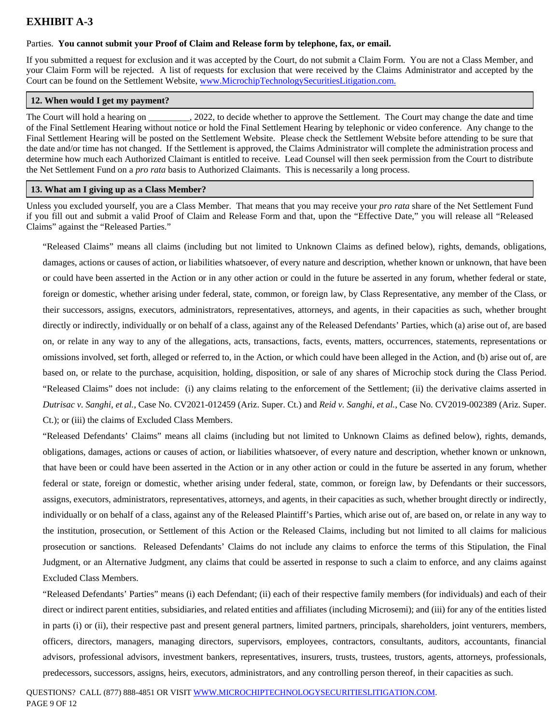### Parties. **You cannot submit your Proof of Claim and Release form by telephone, fax, or email.**

If you submitted a request for exclusion and it was accepted by the Court, do not submit a Claim Form. You are not a Class Member, and your Claim Form will be rejected. A list of requests for exclusion that were received by the Claims Administrator and accepted by the Court can be found on the Settlement Website, www.MicrochipTechnologySecuritiesLitigation.com.

### **12. When would I get my payment?**

The Court will hold a hearing on 2022, to decide whether to approve the Settlement. The Court may change the date and time of the Final Settlement Hearing without notice or hold the Final Settlement Hearing by telephonic or video conference. Any change to the Final Settlement Hearing will be posted on the Settlement Website. Please check the Settlement Website before attending to be sure that the date and/or time has not changed. If the Settlement is approved, the Claims Administrator will complete the administration process and determine how much each Authorized Claimant is entitled to receive. Lead Counsel will then seek permission from the Court to distribute the Net Settlement Fund on a *pro rata* basis to Authorized Claimants. This is necessarily a long process.

### **13. What am I giving up as a Class Member?**

Unless you excluded yourself, you are a Class Member. That means that you may receive your *pro rata* share of the Net Settlement Fund if you fill out and submit a valid Proof of Claim and Release Form and that, upon the "Effective Date," you will release all "Released Claims" against the "Released Parties."

"Released Claims" means all claims (including but not limited to Unknown Claims as defined below), rights, demands, obligations, damages, actions or causes of action, or liabilities whatsoever, of every nature and description, whether known or unknown, that have been or could have been asserted in the Action or in any other action or could in the future be asserted in any forum, whether federal or state, foreign or domestic, whether arising under federal, state, common, or foreign law, by Class Representative, any member of the Class, or their successors, assigns, executors, administrators, representatives, attorneys, and agents, in their capacities as such, whether brought directly or indirectly, individually or on behalf of a class, against any of the Released Defendants' Parties, which (a) arise out of, are based on, or relate in any way to any of the allegations, acts, transactions, facts, events, matters, occurrences, statements, representations or omissions involved, set forth, alleged or referred to, in the Action, or which could have been alleged in the Action, and (b) arise out of, are based on, or relate to the purchase, acquisition, holding, disposition, or sale of any shares of Microchip stock during the Class Period. "Released Claims" does not include: (i) any claims relating to the enforcement of the Settlement; (ii) the derivative claims asserted in *Dutrisac v. Sanghi, et al.*, Case No. CV2021-012459 (Ariz. Super. Ct.) and *Reid v. Sanghi, et al.*, Case No. CV2019-002389 (Ariz. Super. Ct.); or (iii) the claims of Excluded Class Members.

"Released Defendants' Claims" means all claims (including but not limited to Unknown Claims as defined below), rights, demands, obligations, damages, actions or causes of action, or liabilities whatsoever, of every nature and description, whether known or unknown, that have been or could have been asserted in the Action or in any other action or could in the future be asserted in any forum, whether federal or state, foreign or domestic, whether arising under federal, state, common, or foreign law, by Defendants or their successors, assigns, executors, administrators, representatives, attorneys, and agents, in their capacities as such, whether brought directly or indirectly, individually or on behalf of a class, against any of the Released Plaintiff's Parties, which arise out of, are based on, or relate in any way to the institution, prosecution, or Settlement of this Action or the Released Claims, including but not limited to all claims for malicious prosecution or sanctions. Released Defendants' Claims do not include any claims to enforce the terms of this Stipulation, the Final Judgment, or an Alternative Judgment, any claims that could be asserted in response to such a claim to enforce, and any claims against Excluded Class Members.

"Released Defendants' Parties" means (i) each Defendant; (ii) each of their respective family members (for individuals) and each of their direct or indirect parent entities, subsidiaries, and related entities and affiliates (including Microsemi); and (iii) for any of the entities listed in parts (i) or (ii), their respective past and present general partners, limited partners, principals, shareholders, joint venturers, members, officers, directors, managers, managing directors, supervisors, employees, contractors, consultants, auditors, accountants, financial advisors, professional advisors, investment bankers, representatives, insurers, trusts, trustees, trustors, agents, attorneys, professionals, predecessors, successors, assigns, heirs, executors, administrators, and any controlling person thereof, in their capacities as such.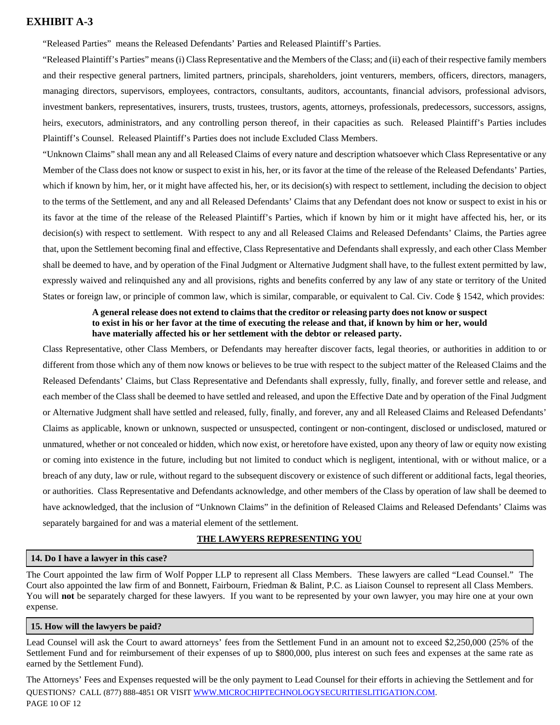"Released Parties" means the Released Defendants' Parties and Released Plaintiff's Parties.

"Released Plaintiff's Parties" means (i) Class Representative and the Members of the Class; and (ii) each of their respective family members and their respective general partners, limited partners, principals, shareholders, joint venturers, members, officers, directors, managers, managing directors, supervisors, employees, contractors, consultants, auditors, accountants, financial advisors, professional advisors, investment bankers, representatives, insurers, trusts, trustees, trustors, agents, attorneys, professionals, predecessors, successors, assigns, heirs, executors, administrators, and any controlling person thereof, in their capacities as such. Released Plaintiff's Parties includes Plaintiff's Counsel. Released Plaintiff's Parties does not include Excluded Class Members.

"Unknown Claims" shall mean any and all Released Claims of every nature and description whatsoever which Class Representative or any Member of the Class does not know or suspect to exist in his, her, or its favor at the time of the release of the Released Defendants' Parties, which if known by him, her, or it might have affected his, her, or its decision(s) with respect to settlement, including the decision to object to the terms of the Settlement, and any and all Released Defendants' Claims that any Defendant does not know or suspect to exist in his or its favor at the time of the release of the Released Plaintiff's Parties, which if known by him or it might have affected his, her, or its decision(s) with respect to settlement. With respect to any and all Released Claims and Released Defendants' Claims, the Parties agree that, upon the Settlement becoming final and effective, Class Representative and Defendants shall expressly, and each other Class Member shall be deemed to have, and by operation of the Final Judgment or Alternative Judgment shall have, to the fullest extent permitted by law, expressly waived and relinquished any and all provisions, rights and benefits conferred by any law of any state or territory of the United States or foreign law, or principle of common law, which is similar, comparable, or equivalent to Cal. Civ. Code § 1542, which provides:

#### **A general release does not extend to claims that the creditor or releasing party does not know or suspect to exist in his or her favor at the time of executing the release and that, if known by him or her, would have materially affected his or her settlement with the debtor or released party.**

Class Representative, other Class Members, or Defendants may hereafter discover facts, legal theories, or authorities in addition to or different from those which any of them now knows or believes to be true with respect to the subject matter of the Released Claims and the Released Defendants' Claims, but Class Representative and Defendants shall expressly, fully, finally, and forever settle and release, and each member of the Class shall be deemed to have settled and released, and upon the Effective Date and by operation of the Final Judgment or Alternative Judgment shall have settled and released, fully, finally, and forever, any and all Released Claims and Released Defendants' Claims as applicable, known or unknown, suspected or unsuspected, contingent or non-contingent, disclosed or undisclosed, matured or unmatured, whether or not concealed or hidden, which now exist, or heretofore have existed, upon any theory of law or equity now existing or coming into existence in the future, including but not limited to conduct which is negligent, intentional, with or without malice, or a breach of any duty, law or rule, without regard to the subsequent discovery or existence of such different or additional facts, legal theories, or authorities. Class Representative and Defendants acknowledge, and other members of the Class by operation of law shall be deemed to have acknowledged, that the inclusion of "Unknown Claims" in the definition of Released Claims and Released Defendants' Claims was separately bargained for and was a material element of the settlement.

#### **THE LAWYERS REPRESENTING YOU**

#### **14. Do I have a lawyer in this case?**

The Court appointed the law firm of Wolf Popper LLP to represent all Class Members. These lawyers are called "Lead Counsel." The Court also appointed the law firm of and Bonnett, Fairbourn, Friedman & Balint, P.C. as Liaison Counsel to represent all Class Members. You will **not** be separately charged for these lawyers. If you want to be represented by your own lawyer, you may hire one at your own expense.

#### **15. How will the lawyers be paid?**

Lead Counsel will ask the Court to award attorneys' fees from the Settlement Fund in an amount not to exceed \$2,250,000 (25% of the Settlement Fund and for reimbursement of their expenses of up to \$800,000, plus interest on such fees and expenses at the same rate as earned by the Settlement Fund).

QUESTIONS? CALL (877) 888-4851 OR VISIT WWW.MICROCHIPTECHNOLOGYSECURITIESLITIGATION.COM. PAGE 10 OF 12 The Attorneys' Fees and Expenses requested will be the only payment to Lead Counsel for their efforts in achieving the Settlement and for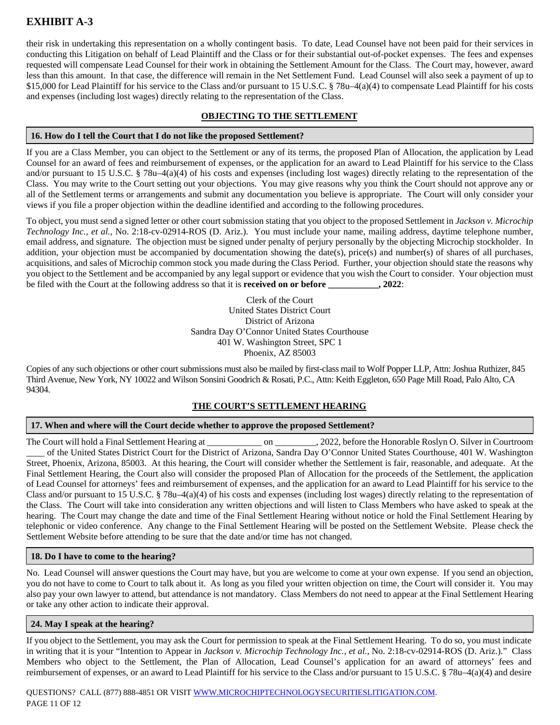their risk in undertaking this representation on a wholly contingent basis. To date, Lead Counsel have not been paid for their services in conducting this Litigation on behalf of Lead Plaintiff and the Class or for their substantial out-of-pocket expenses. The fees and expenses requested will compensate Lead Counsel for their work in obtaining the Settlement Amount for the Class. The Court may, however, award less than this amount. In that case, the difference will remain in the Net Settlement Fund. Lead Counsel will also seek a payment of up to \$15,000 for Lead Plaintiff for his service to the Class and/or pursuant to 15 U.S.C. § 78u–4(a)(4) to compensate Lead Plaintiff for his costs and expenses (including lost wages) directly relating to the representation of the Class.

#### **OBJECTING TO THE SETTLEMENT**

#### **16. How do I tell the Court that I do not like the proposed Settlement?**

If you are a Class Member, you can object to the Settlement or any of its terms, the proposed Plan of Allocation, the application by Lead Counsel for an award of fees and reimbursement of expenses, or the application for an award to Lead Plaintiff for his service to the Class and/or pursuant to 15 U.S.C. § 78u–4(a)(4) of his costs and expenses (including lost wages) directly relating to the representation of the Class. You may write to the Court setting out your objections. You may give reasons why you think the Court should not approve any or all of the Settlement terms or arrangements and submit any documentation you believe is appropriate. The Court will only consider your views if you file a proper objection within the deadline identified and according to the following procedures.

To object, you must send a signed letter or other court submission stating that you object to the proposed Settlement in *Jackson v. Microchip Technology Inc., et al.,* No. 2:18-cv-02914-ROS (D. Ariz.). You must include your name, mailing address, daytime telephone number, email address, and signature. The objection must be signed under penalty of perjury personally by the objecting Microchip stockholder. In addition, your objection must be accompanied by documentation showing the date(s), price(s) and number(s) of shares of all purchases, acquisitions, and sales of Microchip common stock you made during the Class Period. Further, your objection should state the reasons why you object to the Settlement and be accompanied by any legal support or evidence that you wish the Court to consider. Your objection must be filed with the Court at the following address so that it is **received on or before \_\_\_\_\_\_\_\_\_\_\_, 2022**:

> Clerk of the Court United States District Court District of Arizona Sandra Day O'Connor United States Courthouse 401 W. Washington Street, SPC 1 Phoenix, AZ 85003

Copies of any such objections or other court submissions must also be mailed by first-class mail to Wolf Popper LLP, Attn: Joshua Ruthizer, 845 Third Avenue, New York, NY 10022 and Wilson Sonsini Goodrich & Rosati, P.C., Attn: Keith Eggleton, 650 Page Mill Road, Palo Alto, CA 94304.

#### **THE COURT'S SETTLEMENT HEARING**

#### **17. When and where will the Court decide whether to approve the proposed Settlement?**

The Court will hold a Final Settlement Hearing at \_\_\_\_\_\_\_\_\_\_\_\_ on \_\_\_\_\_\_\_\_\_, 2022, before the Honorable Roslyn O. Silver in Courtroom \_\_\_\_ of the United States District Court for the District of Arizona, Sandra Day O'Connor United States Courthouse, 401 W. Washington Street, Phoenix, Arizona, 85003. At this hearing, the Court will consider whether the Settlement is fair, reasonable, and adequate. At the Final Settlement Hearing, the Court also will consider the proposed Plan of Allocation for the proceeds of the Settlement, the application of Lead Counsel for attorneys' fees and reimbursement of expenses, and the application for an award to Lead Plaintiff for his service to the Class and/or pursuant to 15 U.S.C. § 78u–4(a)(4) of his costs and expenses (including lost wages) directly relating to the representation of the Class. The Court will take into consideration any written objections and will listen to Class Members who have asked to speak at the hearing. The Court may change the date and time of the Final Settlement Hearing without notice or hold the Final Settlement Hearing by telephonic or video conference. Any change to the Final Settlement Hearing will be posted on the Settlement Website. Please check the Settlement Website before attending to be sure that the date and/or time has not changed.

#### **18. Do I have to come to the hearing?**

No. Lead Counsel will answer questions the Court may have, but you are welcome to come at your own expense. If you send an objection, you do not have to come to Court to talk about it. As long as you filed your written objection on time, the Court will consider it. You may also pay your own lawyer to attend, but attendance is not mandatory. Class Members do not need to appear at the Final Settlement Hearing or take any other action to indicate their approval.

#### **24. May I speak at the hearing?**

If you object to the Settlement, you may ask the Court for permission to speak at the Final Settlement Hearing. To do so, you must indicate in writing that it is your "Intention to Appear in *Jackson v. Microchip Technology Inc., et al.,* No. 2:18-cv-02914-ROS (D. Ariz.)." Class Members who object to the Settlement, the Plan of Allocation, Lead Counsel's application for an award of attorneys' fees and reimbursement of expenses, or an award to Lead Plaintiff for his service to the Class and/or pursuant to 15 U.S.C. § 78u–4(a)(4) and desire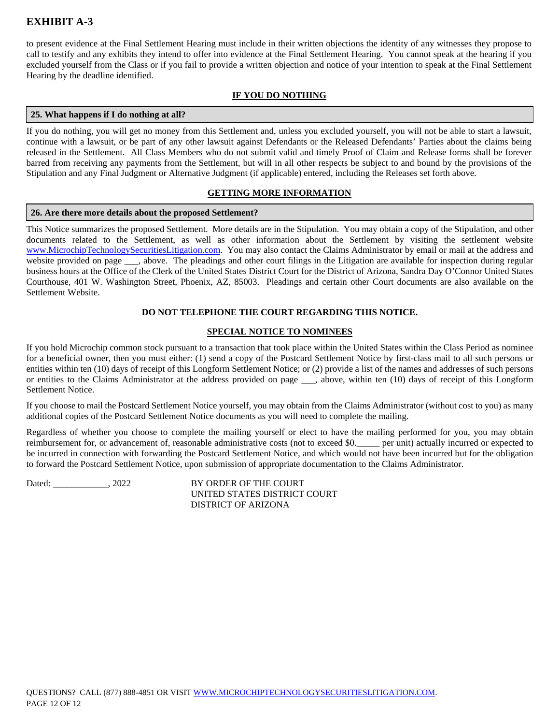to present evidence at the Final Settlement Hearing must include in their written objections the identity of any witnesses they propose to call to testify and any exhibits they intend to offer into evidence at the Final Settlement Hearing. You cannot speak at the hearing if you excluded yourself from the Class or if you fail to provide a written objection and notice of your intention to speak at the Final Settlement Hearing by the deadline identified.

#### **IF YOU DO NOTHING**

#### **25. What happens if I do nothing at all?**

If you do nothing, you will get no money from this Settlement and, unless you excluded yourself, you will not be able to start a lawsuit, continue with a lawsuit, or be part of any other lawsuit against Defendants or the Released Defendants' Parties about the claims being released in the Settlement. All Class Members who do not submit valid and timely Proof of Claim and Release forms shall be forever barred from receiving any payments from the Settlement, but will in all other respects be subject to and bound by the provisions of the Stipulation and any Final Judgment or Alternative Judgment (if applicable) entered, including the Releases set forth above.

#### **GETTING MORE INFORMATION**

#### **26. Are there more details about the proposed Settlement?**

This Notice summarizes the proposed Settlement. More details are in the Stipulation. You may obtain a copy of the Stipulation, and other documents related to the Settlement, as well as other information about the Settlement by visiting the settlement website www.MicrochipTechnologySecuritiesLitigation.com. You may also contact the Claims Administrator by email or mail at the address and website provided on page <sub>\_\_\_</sub>, above. The pleadings and other court filings in the Litigation are available for inspection during regular business hours at the Office of the Clerk of the United States District Court for the District of Arizona, Sandra Day O'Connor United States Courthouse, 401 W. Washington Street, Phoenix, AZ, 85003. Pleadings and certain other Court documents are also available on the Settlement Website.

#### **DO NOT TELEPHONE THE COURT REGARDING THIS NOTICE.**

#### **SPECIAL NOTICE TO NOMINEES**

If you hold Microchip common stock pursuant to a transaction that took place within the United States within the Class Period as nominee for a beneficial owner, then you must either: (1) send a copy of the Postcard Settlement Notice by first-class mail to all such persons or entities within ten (10) days of receipt of this Longform Settlement Notice; or (2) provide a list of the names and addresses of such persons or entities to the Claims Administrator at the address provided on page \_\_\_, above, within ten (10) days of receipt of this Longform Settlement Notice.

If you choose to mail the Postcard Settlement Notice yourself, you may obtain from the Claims Administrator (without cost to you) as many additional copies of the Postcard Settlement Notice documents as you will need to complete the mailing.

Regardless of whether you choose to complete the mailing yourself or elect to have the mailing performed for you, you may obtain reimbursement for, or advancement of, reasonable administrative costs (not to exceed \$0.\_\_\_\_\_ per unit) actually incurred or expected to be incurred in connection with forwarding the Postcard Settlement Notice, and which would not have been incurred but for the obligation to forward the Postcard Settlement Notice, upon submission of appropriate documentation to the Claims Administrator.

Dated: \_\_\_\_\_\_\_\_\_\_\_\_\_, 2022 BY ORDER OF THE COURT UNITED STATES DISTRICT COURT DISTRICT OF ARIZONA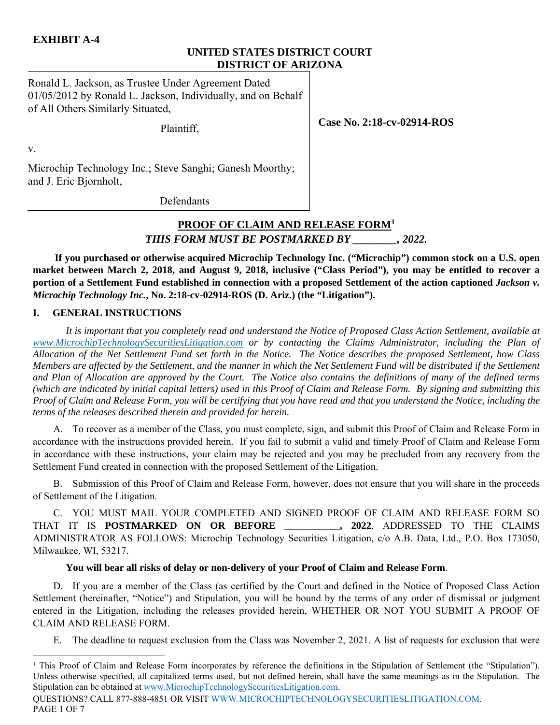# **UNITED STATES DISTRICT COURT DISTRICT OF ARIZONA**

Ronald L. Jackson, as Trustee Under Agreement Dated 01/05/2012 by Ronald L. Jackson, Individually, and on Behalf of All Others Similarly Situated,

Plaintiff,

**Case No. 2:18-cv-02914-ROS** 

v.

Microchip Technology Inc.; Steve Sanghi; Ganesh Moorthy; and J. Eric Bjornholt,

**Defendants** 

# **PROOF OF CLAIM AND RELEASE FORM1** *THIS FORM MUST BE POSTMARKED BY \_\_\_\_\_\_\_\_, 2022.*

**If you purchased or otherwise acquired Microchip Technology Inc. ("Microchip") common stock on a U.S. open market between March 2, 2018, and August 9, 2018, inclusive ("Class Period"), you may be entitled to recover a portion of a Settlement Fund established in connection with a proposed Settlement of the action captioned** *Jackson v. Microchip Technology Inc.***, No. 2:18-cv-02914-ROS (D. Ariz.) (the "Litigation").** 

#### **I. GENERAL INSTRUCTIONS**

*It is important that you completely read and understand the Notice of Proposed Class Action Settlement, available at www.MicrochipTechnologySecuritiesLitigation.com or by contacting the Claims Administrator, including the Plan of Allocation of the Net Settlement Fund set forth in the Notice. The Notice describes the proposed Settlement, how Class Members are affected by the Settlement, and the manner in which the Net Settlement Fund will be distributed if the Settlement and Plan of Allocation are approved by the Court. The Notice also contains the definitions of many of the defined terms (which are indicated by initial capital letters) used in this Proof of Claim and Release Form. By signing and submitting this Proof of Claim and Release Form, you will be certifying that you have read and that you understand the Notice, including the terms of the releases described therein and provided for herein.*

A. To recover as a member of the Class, you must complete, sign, and submit this Proof of Claim and Release Form in accordance with the instructions provided herein. If you fail to submit a valid and timely Proof of Claim and Release Form in accordance with these instructions, your claim may be rejected and you may be precluded from any recovery from the Settlement Fund created in connection with the proposed Settlement of the Litigation.

B. Submission of this Proof of Claim and Release Form, however, does not ensure that you will share in the proceeds of Settlement of the Litigation.

C. YOU MUST MAIL YOUR COMPLETED AND SIGNED PROOF OF CLAIM AND RELEASE FORM SO THAT IT IS **POSTMARKED ON OR BEFORE \_\_\_\_\_\_\_\_\_\_\_, 2022**, ADDRESSED TO THE CLAIMS ADMINISTRATOR AS FOLLOWS: Microchip Technology Securities Litigation, c/o A.B. Data, Ltd., P.O. Box 173050, Milwaukee, WI, 53217.

### **You will bear all risks of delay or non-delivery of your Proof of Claim and Release Form**.

D. If you are a member of the Class (as certified by the Court and defined in the Notice of Proposed Class Action Settlement (hereinafter, "Notice") and Stipulation, you will be bound by the terms of any order of dismissal or judgment entered in the Litigation, including the releases provided herein, WHETHER OR NOT YOU SUBMIT A PROOF OF CLAIM AND RELEASE FORM.

E. The deadline to request exclusion from the Class was November 2, 2021. A list of requests for exclusion that were

 <sup>1</sup> This Proof of Claim and Release Form incorporates by reference the definitions in the Stipulation of Settlement (the "Stipulation"). Unless otherwise specified, all capitalized terms used, but not defined herein, shall have the same meanings as in the Stipulation. The Stipulation can be obtained at www.MicrochipTechnologySecuritiesLitigation.com.

QUESTIONS? CALL 877-888-4851 OR VISIT WWW.MICROCHIPTECHNOLOGYSECURITIESLITIGATION.COM. PAGE 1 OF 7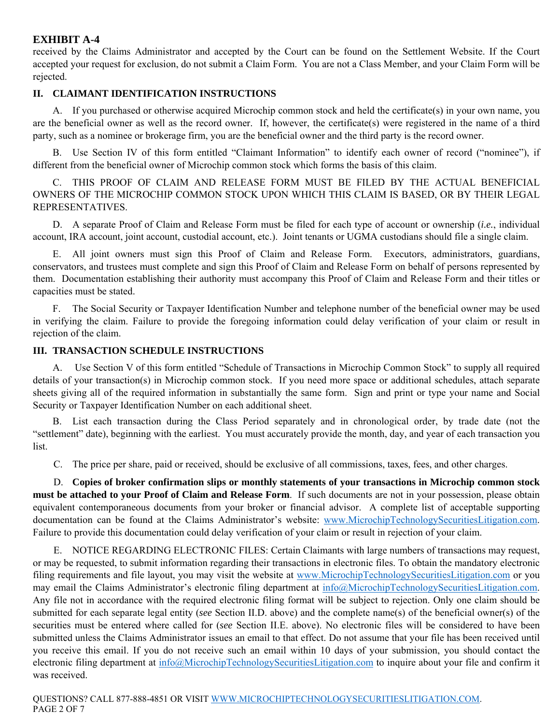received by the Claims Administrator and accepted by the Court can be found on the Settlement Website. If the Court accepted your request for exclusion, do not submit a Claim Form. You are not a Class Member, and your Claim Form will be rejected.

### **II. CLAIMANT IDENTIFICATION INSTRUCTIONS**

A. If you purchased or otherwise acquired Microchip common stock and held the certificate(s) in your own name, you are the beneficial owner as well as the record owner. If, however, the certificate(s) were registered in the name of a third party, such as a nominee or brokerage firm, you are the beneficial owner and the third party is the record owner.

 B. Use Section IV of this form entitled "Claimant Information" to identify each owner of record ("nominee"), if different from the beneficial owner of Microchip common stock which forms the basis of this claim.

 C. THIS PROOF OF CLAIM AND RELEASE FORM MUST BE FILED BY THE ACTUAL BENEFICIAL OWNERS OF THE MICROCHIP COMMON STOCK UPON WHICH THIS CLAIM IS BASED, OR BY THEIR LEGAL REPRESENTATIVES.

 D. A separate Proof of Claim and Release Form must be filed for each type of account or ownership (*i.e.*, individual account, IRA account, joint account, custodial account, etc.). Joint tenants or UGMA custodians should file a single claim.

 E. All joint owners must sign this Proof of Claim and Release Form. Executors, administrators, guardians, conservators, and trustees must complete and sign this Proof of Claim and Release Form on behalf of persons represented by them. Documentation establishing their authority must accompany this Proof of Claim and Release Form and their titles or capacities must be stated.

 F. The Social Security or Taxpayer Identification Number and telephone number of the beneficial owner may be used in verifying the claim. Failure to provide the foregoing information could delay verification of your claim or result in rejection of the claim.

#### **III. TRANSACTION SCHEDULE INSTRUCTIONS**

 A. Use Section V of this form entitled "Schedule of Transactions in Microchip Common Stock" to supply all required details of your transaction(s) in Microchip common stock. If you need more space or additional schedules, attach separate sheets giving all of the required information in substantially the same form. Sign and print or type your name and Social Security or Taxpayer Identification Number on each additional sheet.

 B. List each transaction during the Class Period separately and in chronological order, by trade date (not the "settlement" date), beginning with the earliest. You must accurately provide the month, day, and year of each transaction you list.

C. The price per share, paid or received, should be exclusive of all commissions, taxes, fees, and other charges.

D. **Copies of broker confirmation slips or monthly statements of your transactions in Microchip common stock must be attached to your Proof of Claim and Release Form**. If such documents are not in your possession, please obtain equivalent contemporaneous documents from your broker or financial advisor. A complete list of acceptable supporting documentation can be found at the Claims Administrator's website: www.MicrochipTechnologySecuritiesLitigation.com. Failure to provide this documentation could delay verification of your claim or result in rejection of your claim.

E. NOTICE REGARDING ELECTRONIC FILES: Certain Claimants with large numbers of transactions may request, or may be requested, to submit information regarding their transactions in electronic files. To obtain the mandatory electronic filing requirements and file layout, you may visit the website at www.MicrochipTechnologySecuritiesLitigation.com or you may email the Claims Administrator's electronic filing department at info@MicrochipTechnologySecuritiesLitigation.com. Any file not in accordance with the required electronic filing format will be subject to rejection. Only one claim should be submitted for each separate legal entity (*see* Section II.D. above) and the complete name(s) of the beneficial owner(s) of the securities must be entered where called for (*see* Section II.E. above). No electronic files will be considered to have been submitted unless the Claims Administrator issues an email to that effect. Do not assume that your file has been received until you receive this email. If you do not receive such an email within 10 days of your submission, you should contact the electronic filing department at  $\inf_{\Omega}$  MicrochipTechnologySecuritiesLitigation.com to inquire about your file and confirm it was received.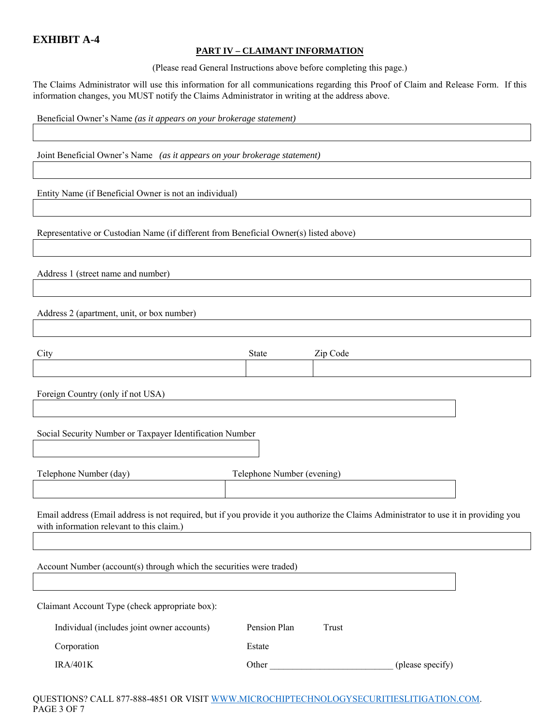#### **PART IV – CLAIMANT INFORMATION**

(Please read General Instructions above before completing this page.)

The Claims Administrator will use this information for all communications regarding this Proof of Claim and Release Form. If this information changes, you MUST notify the Claims Administrator in writing at the address above.

Beneficial Owner's Name *(as it appears on your brokerage statement)*

Joint Beneficial Owner's Name *(as it appears on your brokerage statement)*

Entity Name (if Beneficial Owner is not an individual)

Representative or Custodian Name (if different from Beneficial Owner(s) listed above)

Address 1 (street name and number)

Address 2 (apartment, unit, or box number)

| City                                                                                                                                                                               | State                      | Zip Code |                  |  |
|------------------------------------------------------------------------------------------------------------------------------------------------------------------------------------|----------------------------|----------|------------------|--|
|                                                                                                                                                                                    |                            |          |                  |  |
| Foreign Country (only if not USA)                                                                                                                                                  |                            |          |                  |  |
|                                                                                                                                                                                    |                            |          |                  |  |
| Social Security Number or Taxpayer Identification Number                                                                                                                           |                            |          |                  |  |
| Telephone Number (day)                                                                                                                                                             | Telephone Number (evening) |          |                  |  |
|                                                                                                                                                                                    |                            |          |                  |  |
| Email address (Email address is not required, but if you provide it you authorize the Claims Administrator to use it in providing you<br>with information relevant to this claim.) |                            |          |                  |  |
|                                                                                                                                                                                    |                            |          |                  |  |
| Account Number (account(s) through which the securities were traded)                                                                                                               |                            |          |                  |  |
|                                                                                                                                                                                    |                            |          |                  |  |
| Claimant Account Type (check appropriate box):                                                                                                                                     |                            |          |                  |  |
| Individual (includes joint owner accounts)                                                                                                                                         | Pension Plan               | Trust    |                  |  |
| Corporation                                                                                                                                                                        | Estate                     |          |                  |  |
| <b>IRA/401K</b>                                                                                                                                                                    | Other                      |          | (please specify) |  |

QUESTIONS? CALL 877-888-4851 OR VISIT WWW.MICROCHIPTECHNOLOGYSECURITIESLITIGATION.COM. PAGE 3 OF 7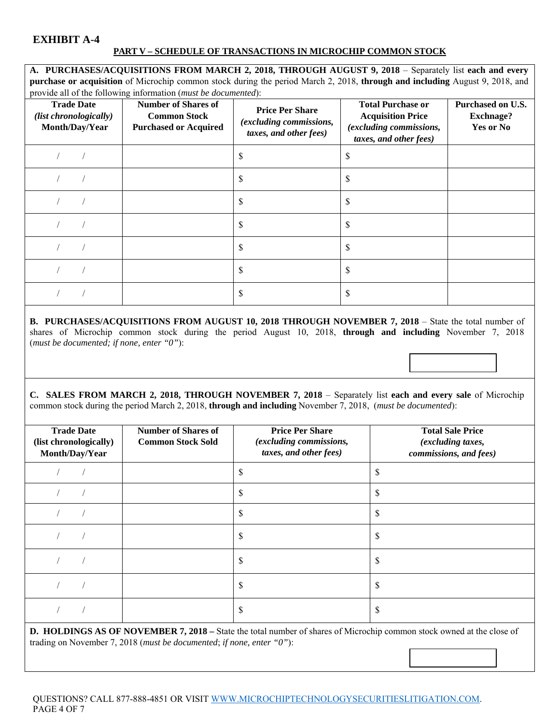#### **PART V – SCHEDULE OF TRANSACTIONS IN MICROCHIP COMMON STOCK**

**A. PURCHASES/ACQUISITIONS FROM MARCH 2, 2018, THROUGH AUGUST 9, 2018** – Separately list **each and every purchase or acquisition** of Microchip common stock during the period March 2, 2018, **through and including** August 9, 2018, and provide all of the following information (*must be documented*):

| <b>Trade Date</b><br>(list chronologically)<br>Month/Day/Year | <b>Number of Shares of</b><br><b>Common Stock</b><br><b>Purchased or Acquired</b> | <b>Price Per Share</b><br>(excluding commissions,<br>taxes, and other fees) | <b>Total Purchase or</b><br><b>Acquisition Price</b><br>(excluding commissions,<br>taxes, and other fees) | Purchased on U.S.<br><b>Exchnage?</b><br>Yes or No |
|---------------------------------------------------------------|-----------------------------------------------------------------------------------|-----------------------------------------------------------------------------|-----------------------------------------------------------------------------------------------------------|----------------------------------------------------|
|                                                               |                                                                                   |                                                                             | ה.                                                                                                        |                                                    |
|                                                               |                                                                                   |                                                                             |                                                                                                           |                                                    |
|                                                               |                                                                                   |                                                                             | S                                                                                                         |                                                    |
|                                                               |                                                                                   |                                                                             | S                                                                                                         |                                                    |
|                                                               |                                                                                   | S                                                                           | S                                                                                                         |                                                    |
|                                                               |                                                                                   | S                                                                           | \$                                                                                                        |                                                    |
|                                                               |                                                                                   |                                                                             |                                                                                                           |                                                    |

**B. PURCHASES/ACQUISITIONS FROM AUGUST 10, 2018 THROUGH NOVEMBER 7, 2018 – State the total number of** shares of Microchip common stock during the period August 10, 2018, **through and including** November 7, 2018 (*must be documented; if none, enter "0"*):

**C. SALES FROM MARCH 2, 2018, THROUGH NOVEMBER 7, 2018** – Separately list **each and every sale** of Microchip common stock during the period March 2, 2018, **through and including** November 7, 2018, (*must be documented*):

| <b>Trade Date</b><br>(list chronologically)<br>Month/Day/Year                                                                                                                                                                                                                                                                                                                                                                                                                                                                                                                                                              | <b>Number of Shares of</b><br><b>Common Stock Sold</b> | <b>Price Per Share</b><br>(excluding commissions,<br>taxes, and other fees) | <b>Total Sale Price</b><br>(excluding taxes,<br>commissions, and fees) |
|----------------------------------------------------------------------------------------------------------------------------------------------------------------------------------------------------------------------------------------------------------------------------------------------------------------------------------------------------------------------------------------------------------------------------------------------------------------------------------------------------------------------------------------------------------------------------------------------------------------------------|--------------------------------------------------------|-----------------------------------------------------------------------------|------------------------------------------------------------------------|
|                                                                                                                                                                                                                                                                                                                                                                                                                                                                                                                                                                                                                            |                                                        | S                                                                           | S                                                                      |
|                                                                                                                                                                                                                                                                                                                                                                                                                                                                                                                                                                                                                            |                                                        | S                                                                           | \$                                                                     |
|                                                                                                                                                                                                                                                                                                                                                                                                                                                                                                                                                                                                                            |                                                        | \$                                                                          | \$                                                                     |
|                                                                                                                                                                                                                                                                                                                                                                                                                                                                                                                                                                                                                            |                                                        | S                                                                           | S                                                                      |
|                                                                                                                                                                                                                                                                                                                                                                                                                                                                                                                                                                                                                            |                                                        | S                                                                           | \$                                                                     |
|                                                                                                                                                                                                                                                                                                                                                                                                                                                                                                                                                                                                                            |                                                        | \$                                                                          | \$                                                                     |
|                                                                                                                                                                                                                                                                                                                                                                                                                                                                                                                                                                                                                            |                                                        |                                                                             | S                                                                      |
| <b>D. HOLDINGS AS OF NOVEMBER 7, 2018</b> – State the total number of shares of Microchip common stock owned at the close of<br>$\blacksquare$ $\blacksquare$ $\blacksquare$ $\blacksquare$ $\blacksquare$ $\blacksquare$ $\blacksquare$ $\blacksquare$ $\blacksquare$ $\blacksquare$ $\blacksquare$ $\blacksquare$ $\blacksquare$ $\blacksquare$ $\blacksquare$ $\blacksquare$ $\blacksquare$ $\blacksquare$ $\blacksquare$ $\blacksquare$ $\blacksquare$ $\blacksquare$ $\blacksquare$ $\blacksquare$ $\blacksquare$ $\blacksquare$ $\blacksquare$ $\blacksquare$ $\blacksquare$ $\blacksquare$ $\blacksquare$ $\blacks$ |                                                        |                                                                             |                                                                        |

trading on November 7, 2018 (*must be documented*; *if none, enter "0"*):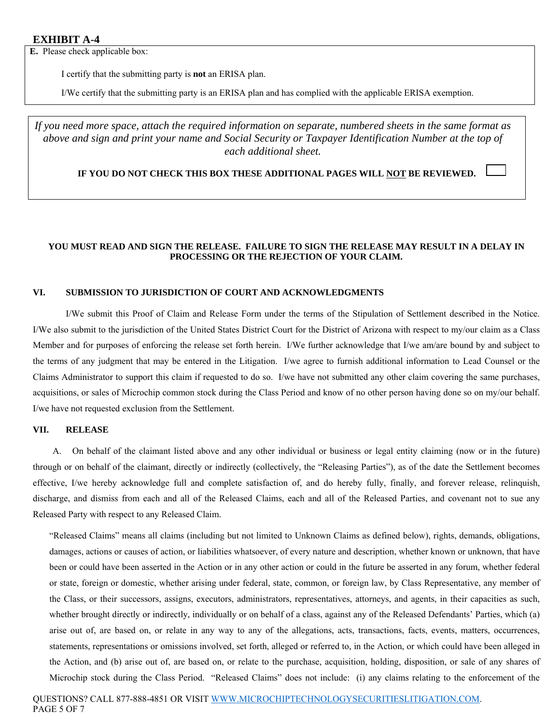**E.** Please check applicable box:

I certify that the submitting party is **not** an ERISA plan.

I/We certify that the submitting party is an ERISA plan and has complied with the applicable ERISA exemption.

*If you need more space, attach the required information on separate, numbered sheets in the same format as above and sign and print your name and Social Security or Taxpayer Identification Number at the top of each additional sheet.* 

**IF YOU DO NOT CHECK THIS BOX THESE ADDITIONAL PAGES WILL NOT BE REVIEWED.** 

#### **YOU MUST READ AND SIGN THE RELEASE. FAILURE TO SIGN THE RELEASE MAY RESULT IN A DELAY IN PROCESSING OR THE REJECTION OF YOUR CLAIM.**

#### **VI. SUBMISSION TO JURISDICTION OF COURT AND ACKNOWLEDGMENTS**

I/We submit this Proof of Claim and Release Form under the terms of the Stipulation of Settlement described in the Notice. I/We also submit to the jurisdiction of the United States District Court for the District of Arizona with respect to my/our claim as a Class Member and for purposes of enforcing the release set forth herein. I/We further acknowledge that I/we am/are bound by and subject to the terms of any judgment that may be entered in the Litigation. I/we agree to furnish additional information to Lead Counsel or the Claims Administrator to support this claim if requested to do so. I/we have not submitted any other claim covering the same purchases, acquisitions, or sales of Microchip common stock during the Class Period and know of no other person having done so on my/our behalf. I/we have not requested exclusion from the Settlement.

#### **VII. RELEASE**

A. On behalf of the claimant listed above and any other individual or business or legal entity claiming (now or in the future) through or on behalf of the claimant, directly or indirectly (collectively, the "Releasing Parties"), as of the date the Settlement becomes effective, I/we hereby acknowledge full and complete satisfaction of, and do hereby fully, finally, and forever release, relinquish, discharge, and dismiss from each and all of the Released Claims, each and all of the Released Parties, and covenant not to sue any Released Party with respect to any Released Claim.

"Released Claims" means all claims (including but not limited to Unknown Claims as defined below), rights, demands, obligations, damages, actions or causes of action, or liabilities whatsoever, of every nature and description, whether known or unknown, that have been or could have been asserted in the Action or in any other action or could in the future be asserted in any forum, whether federal or state, foreign or domestic, whether arising under federal, state, common, or foreign law, by Class Representative, any member of the Class, or their successors, assigns, executors, administrators, representatives, attorneys, and agents, in their capacities as such, whether brought directly or indirectly, individually or on behalf of a class, against any of the Released Defendants' Parties, which (a) arise out of, are based on, or relate in any way to any of the allegations, acts, transactions, facts, events, matters, occurrences, statements, representations or omissions involved, set forth, alleged or referred to, in the Action, or which could have been alleged in the Action, and (b) arise out of, are based on, or relate to the purchase, acquisition, holding, disposition, or sale of any shares of Microchip stock during the Class Period. "Released Claims" does not include: (i) any claims relating to the enforcement of the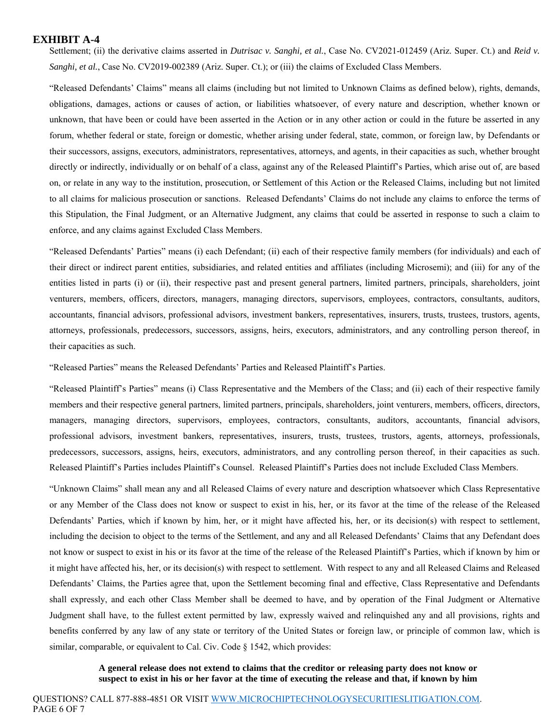Settlement; (ii) the derivative claims asserted in *Dutrisac v. Sanghi, et al.*, Case No. CV2021-012459 (Ariz. Super. Ct.) and *Reid v. Sanghi, et al.*, Case No. CV2019-002389 (Ariz. Super. Ct.); or (iii) the claims of Excluded Class Members.

"Released Defendants' Claims" means all claims (including but not limited to Unknown Claims as defined below), rights, demands, obligations, damages, actions or causes of action, or liabilities whatsoever, of every nature and description, whether known or unknown, that have been or could have been asserted in the Action or in any other action or could in the future be asserted in any forum, whether federal or state, foreign or domestic, whether arising under federal, state, common, or foreign law, by Defendants or their successors, assigns, executors, administrators, representatives, attorneys, and agents, in their capacities as such, whether brought directly or indirectly, individually or on behalf of a class, against any of the Released Plaintiff's Parties, which arise out of, are based on, or relate in any way to the institution, prosecution, or Settlement of this Action or the Released Claims, including but not limited to all claims for malicious prosecution or sanctions. Released Defendants' Claims do not include any claims to enforce the terms of this Stipulation, the Final Judgment, or an Alternative Judgment, any claims that could be asserted in response to such a claim to enforce, and any claims against Excluded Class Members.

"Released Defendants' Parties" means (i) each Defendant; (ii) each of their respective family members (for individuals) and each of their direct or indirect parent entities, subsidiaries, and related entities and affiliates (including Microsemi); and (iii) for any of the entities listed in parts (i) or (ii), their respective past and present general partners, limited partners, principals, shareholders, joint venturers, members, officers, directors, managers, managing directors, supervisors, employees, contractors, consultants, auditors, accountants, financial advisors, professional advisors, investment bankers, representatives, insurers, trusts, trustees, trustors, agents, attorneys, professionals, predecessors, successors, assigns, heirs, executors, administrators, and any controlling person thereof, in their capacities as such.

"Released Parties" means the Released Defendants' Parties and Released Plaintiff's Parties.

"Released Plaintiff's Parties" means (i) Class Representative and the Members of the Class; and (ii) each of their respective family members and their respective general partners, limited partners, principals, shareholders, joint venturers, members, officers, directors, managers, managing directors, supervisors, employees, contractors, consultants, auditors, accountants, financial advisors, professional advisors, investment bankers, representatives, insurers, trusts, trustees, trustors, agents, attorneys, professionals, predecessors, successors, assigns, heirs, executors, administrators, and any controlling person thereof, in their capacities as such. Released Plaintiff's Parties includes Plaintiff's Counsel. Released Plaintiff's Parties does not include Excluded Class Members.

"Unknown Claims" shall mean any and all Released Claims of every nature and description whatsoever which Class Representative or any Member of the Class does not know or suspect to exist in his, her, or its favor at the time of the release of the Released Defendants' Parties, which if known by him, her, or it might have affected his, her, or its decision(s) with respect to settlement, including the decision to object to the terms of the Settlement, and any and all Released Defendants' Claims that any Defendant does not know or suspect to exist in his or its favor at the time of the release of the Released Plaintiff's Parties, which if known by him or it might have affected his, her, or its decision(s) with respect to settlement. With respect to any and all Released Claims and Released Defendants' Claims, the Parties agree that, upon the Settlement becoming final and effective, Class Representative and Defendants shall expressly, and each other Class Member shall be deemed to have, and by operation of the Final Judgment or Alternative Judgment shall have, to the fullest extent permitted by law, expressly waived and relinquished any and all provisions, rights and benefits conferred by any law of any state or territory of the United States or foreign law, or principle of common law, which is similar, comparable, or equivalent to Cal. Civ. Code § 1542, which provides:

#### **A general release does not extend to claims that the creditor or releasing party does not know or suspect to exist in his or her favor at the time of executing the release and that, if known by him**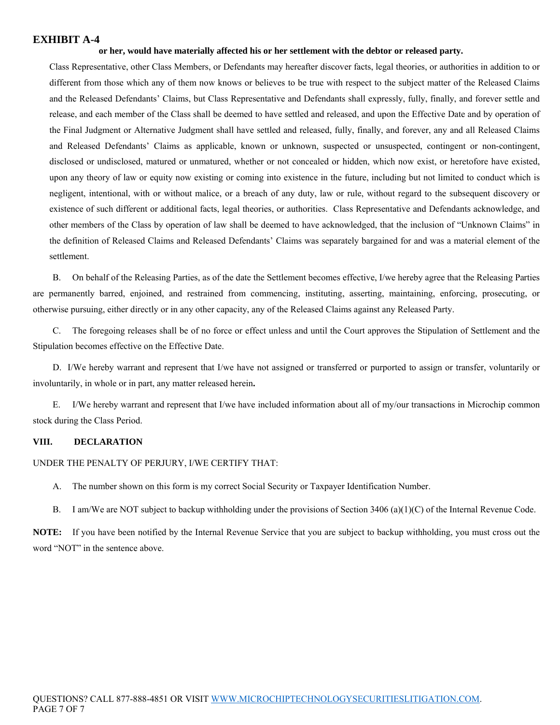#### **or her, would have materially affected his or her settlement with the debtor or released party.**

Class Representative, other Class Members, or Defendants may hereafter discover facts, legal theories, or authorities in addition to or different from those which any of them now knows or believes to be true with respect to the subject matter of the Released Claims and the Released Defendants' Claims, but Class Representative and Defendants shall expressly, fully, finally, and forever settle and release, and each member of the Class shall be deemed to have settled and released, and upon the Effective Date and by operation of the Final Judgment or Alternative Judgment shall have settled and released, fully, finally, and forever, any and all Released Claims and Released Defendants' Claims as applicable, known or unknown, suspected or unsuspected, contingent or non-contingent, disclosed or undisclosed, matured or unmatured, whether or not concealed or hidden, which now exist, or heretofore have existed, upon any theory of law or equity now existing or coming into existence in the future, including but not limited to conduct which is negligent, intentional, with or without malice, or a breach of any duty, law or rule, without regard to the subsequent discovery or existence of such different or additional facts, legal theories, or authorities. Class Representative and Defendants acknowledge, and other members of the Class by operation of law shall be deemed to have acknowledged, that the inclusion of "Unknown Claims" in the definition of Released Claims and Released Defendants' Claims was separately bargained for and was a material element of the settlement.

B. On behalf of the Releasing Parties, as of the date the Settlement becomes effective, I/we hereby agree that the Releasing Parties are permanently barred, enjoined, and restrained from commencing, instituting, asserting, maintaining, enforcing, prosecuting, or otherwise pursuing, either directly or in any other capacity, any of the Released Claims against any Released Party.

C. The foregoing releases shall be of no force or effect unless and until the Court approves the Stipulation of Settlement and the Stipulation becomes effective on the Effective Date.

D.I/We hereby warrant and represent that I/we have not assigned or transferred or purported to assign or transfer, voluntarily or involuntarily, in whole or in part, any matter released herein**.** 

E. I/We hereby warrant and represent that I/we have included information about all of my/our transactions in Microchip common stock during the Class Period.

#### **VIII. DECLARATION**

#### UNDER THE PENALTY OF PERJURY, I/WE CERTIFY THAT:

- A. The number shown on this form is my correct Social Security or Taxpayer Identification Number.
- B. I am/We are NOT subject to backup withholding under the provisions of Section 3406 (a)(1)(C) of the Internal Revenue Code.

**NOTE:** If you have been notified by the Internal Revenue Service that you are subject to backup withholding, you must cross out the word "NOT" in the sentence above.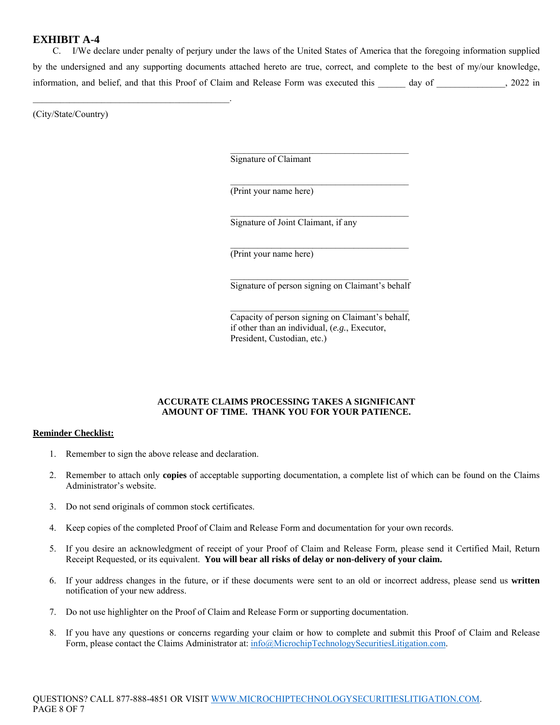C. I/We declare under penalty of perjury under the laws of the United States of America that the foregoing information supplied by the undersigned and any supporting documents attached hereto are true, correct, and complete to the best of my/our knowledge, information, and belief, and that this Proof of Claim and Release Form was executed this \_\_\_\_\_\_ day of \_\_\_\_\_\_\_\_\_\_\_\_\_\_\_, 2022 in

(City/State/Country)

 $\mathcal{L}_\text{max}$  and  $\mathcal{L}_\text{max}$  and  $\mathcal{L}_\text{max}$  and  $\mathcal{L}_\text{max}$ 

Signature of Claimant

(Print your name here)

Signature of Joint Claimant, if any

(Print your name here)

 $\mathcal{L}_\mathcal{L}$  , and the set of the set of the set of the set of the set of the set of the set of the set of the set of the set of the set of the set of the set of the set of the set of the set of the set of the set of th Signature of person signing on Claimant's behalf

 $\mathcal{L}_\mathcal{L}$  , and the set of the set of the set of the set of the set of the set of the set of the set of the set of the set of the set of the set of the set of the set of the set of the set of the set of the set of th

 $\mathcal{L}_\mathcal{L}$  , and the set of the set of the set of the set of the set of the set of the set of the set of the set of the set of the set of the set of the set of the set of the set of the set of the set of the set of th

 $\mathcal{L}_\mathcal{L}$  , and the set of the set of the set of the set of the set of the set of the set of the set of the set of the set of the set of the set of the set of the set of the set of the set of the set of the set of th

 $\mathcal{L}_\mathcal{L}$  , and the set of the set of the set of the set of the set of the set of the set of the set of the set of the set of the set of the set of the set of the set of the set of the set of the set of the set of th

 $\mathcal{L}_\mathcal{L}$  , and the set of the set of the set of the set of the set of the set of the set of the set of the set of the set of the set of the set of the set of the set of the set of the set of the set of the set of th

 Capacity of person signing on Claimant's behalf, if other than an individual, (*e.g.*, Executor, President, Custodian, etc.)

#### **ACCURATE CLAIMS PROCESSING TAKES A SIGNIFICANT AMOUNT OF TIME. THANK YOU FOR YOUR PATIENCE.**

#### **Reminder Checklist:**

- 1. Remember to sign the above release and declaration.
- 2. Remember to attach only **copies** of acceptable supporting documentation, a complete list of which can be found on the Claims Administrator's website.
- 3. Do not send originals of common stock certificates.
- 4. Keep copies of the completed Proof of Claim and Release Form and documentation for your own records.
- 5. If you desire an acknowledgment of receipt of your Proof of Claim and Release Form, please send it Certified Mail, Return Receipt Requested, or its equivalent. **You will bear all risks of delay or non-delivery of your claim.**
- 6. If your address changes in the future, or if these documents were sent to an old or incorrect address, please send us **written** notification of your new address.
- 7. Do not use highlighter on the Proof of Claim and Release Form or supporting documentation.
- 8. If you have any questions or concerns regarding your claim or how to complete and submit this Proof of Claim and Release Form, please contact the Claims Administrator at: info@MicrochipTechnologySecuritiesLitigation.com.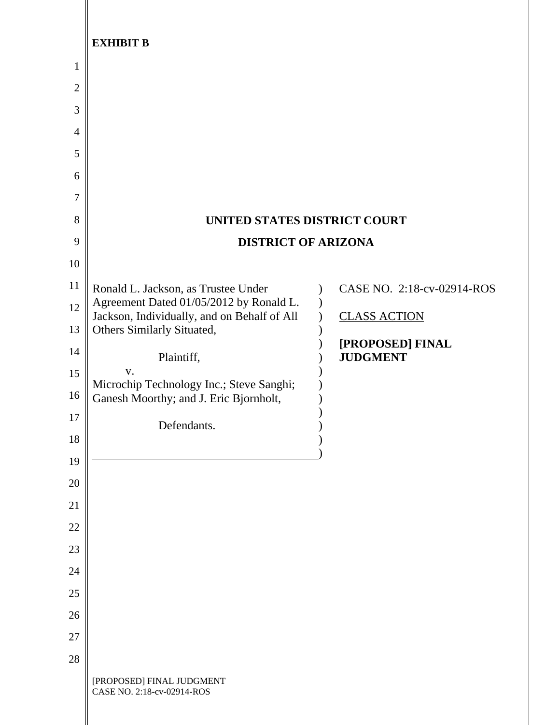|              | <b>EXHIBIT B</b>                                                                   |                                     |
|--------------|------------------------------------------------------------------------------------|-------------------------------------|
| 1            |                                                                                    |                                     |
| $\mathbf{2}$ |                                                                                    |                                     |
| 3            |                                                                                    |                                     |
| 4            |                                                                                    |                                     |
| 5            |                                                                                    |                                     |
| 6            |                                                                                    |                                     |
| 7<br>8       | UNITED STATES DISTRICT COURT                                                       |                                     |
| 9            | <b>DISTRICT OF ARIZONA</b>                                                         |                                     |
| 10           |                                                                                    |                                     |
| 11           | Ronald L. Jackson, as Trustee Under                                                | CASE NO. 2:18-cv-02914-ROS          |
| 12           | Agreement Dated 01/05/2012 by Ronald L.                                            |                                     |
| 13           | Jackson, Individually, and on Behalf of All<br>Others Similarly Situated,          | <b>CLASS ACTION</b>                 |
| 14           | Plaintiff,                                                                         | [PROPOSED] FINAL<br><b>JUDGMENT</b> |
| 15           | V.                                                                                 |                                     |
| 16           | Microchip Technology Inc.; Steve Sanghi;<br>Ganesh Moorthy; and J. Eric Bjornholt, |                                     |
| 17           | Defendants.                                                                        |                                     |
| 18           |                                                                                    |                                     |
| 19           |                                                                                    |                                     |
| 20           |                                                                                    |                                     |
| 21           |                                                                                    |                                     |
| $22\,$       |                                                                                    |                                     |
| 23           |                                                                                    |                                     |
| 24           |                                                                                    |                                     |
| 25           |                                                                                    |                                     |
| 26           |                                                                                    |                                     |
| $27\,$       |                                                                                    |                                     |
| 28           | [PROPOSED] FINAL JUDGMENT<br>CASE NO. 2:18-cv-02914-ROS                            |                                     |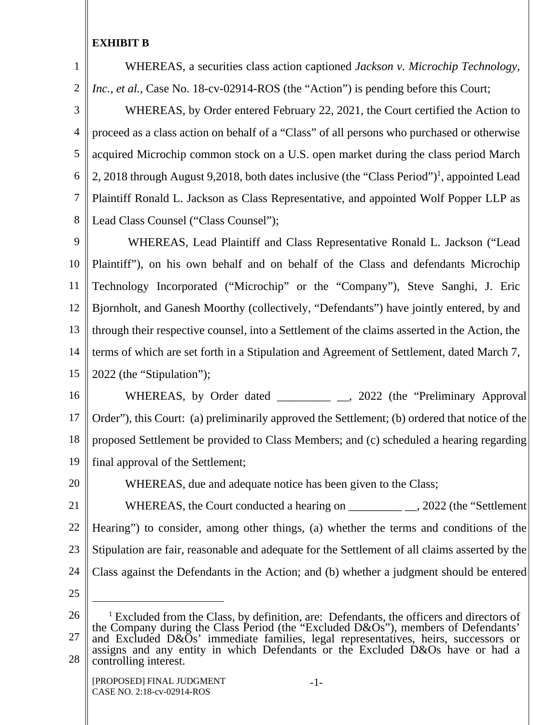1

2

WHEREAS, a securities class action captioned *Jackson v. Microchip Technology, Inc., et al.*, Case No. 18-cv-02914-ROS (the "Action") is pending before this Court;

3 4 5 6 7 8 WHEREAS, by Order entered February 22, 2021, the Court certified the Action to proceed as a class action on behalf of a "Class" of all persons who purchased or otherwise acquired Microchip common stock on a U.S. open market during the class period March 2, 2018 through August 9,2018, both dates inclusive (the "Class Period")<sup>1</sup>, appointed Lead Plaintiff Ronald L. Jackson as Class Representative, and appointed Wolf Popper LLP as Lead Class Counsel ("Class Counsel");

9 10 11 12 13 14 15 WHEREAS, Lead Plaintiff and Class Representative Ronald L. Jackson ("Lead Plaintiff"), on his own behalf and on behalf of the Class and defendants Microchip Technology Incorporated ("Microchip" or the "Company"), Steve Sanghi, J. Eric Bjornholt, and Ganesh Moorthy (collectively, "Defendants") have jointly entered, by and through their respective counsel, into a Settlement of the claims asserted in the Action, the terms of which are set forth in a Stipulation and Agreement of Settlement, dated March 7, 2022 (the "Stipulation");

16 17 18 19 WHEREAS, by Order dated \_\_\_\_\_\_\_\_ \_\_, 2022 (the "Preliminary Approval Order"), this Court: (a) preliminarily approved the Settlement; (b) ordered that notice of the proposed Settlement be provided to Class Members; and (c) scheduled a hearing regarding final approval of the Settlement;

WHEREAS, due and adequate notice has been given to the Class;

21 22 23 24 WHEREAS, the Court conducted a hearing on \_\_\_\_\_\_\_\_\_\_\_\_\_\_\_, 2022 (the "Settlement Hearing") to consider, among other things, (a) whether the terms and conditions of the Stipulation are fair, reasonable and adequate for the Settlement of all claims asserted by the Class against the Defendants in the Action; and (b) whether a judgment should be entered

25

 $\overline{a}$ 

20

26 27 28 <sup>1</sup> Excluded from the Class, by definition, are: Defendants, the officers and directors of the Company during the Class Period (the "Excluded D&Os"), members of Defendants' and Excluded D&Os' immediate families, legal representatives, heirs, successors or assigns and any entity in which Defendants or the Excluded D&Os have or had a controlling interest.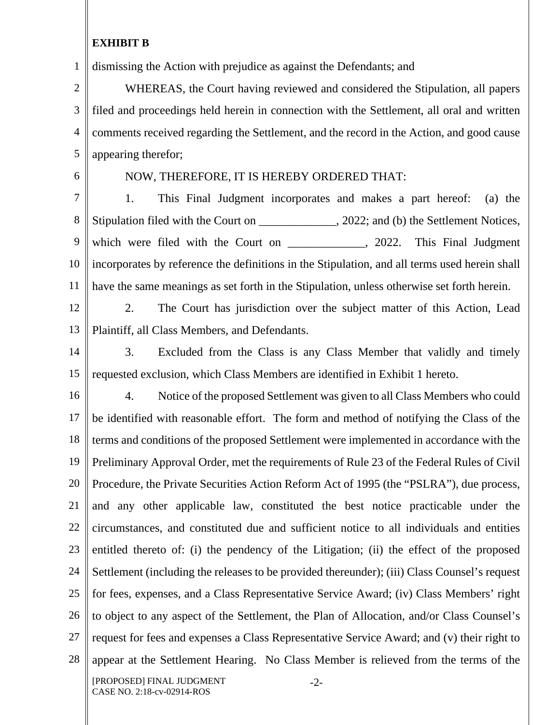1 dismissing the Action with prejudice as against the Defendants; and

2 3 4 5 WHEREAS, the Court having reviewed and considered the Stipulation, all papers filed and proceedings held herein in connection with the Settlement, all oral and written comments received regarding the Settlement, and the record in the Action, and good cause appearing therefor;

6

# NOW, THEREFORE, IT IS HEREBY ORDERED THAT:

7 8 9 10 11 1. This Final Judgment incorporates and makes a part hereof: (a) the Stipulation filed with the Court on \_\_\_\_\_\_\_\_\_\_\_\_\_, 2022; and (b) the Settlement Notices, which were filed with the Court on \_\_\_\_\_\_\_\_\_\_\_\_, 2022. This Final Judgment incorporates by reference the definitions in the Stipulation, and all terms used herein shall have the same meanings as set forth in the Stipulation, unless otherwise set forth herein.

12

13

2. The Court has jurisdiction over the subject matter of this Action, Lead Plaintiff, all Class Members, and Defendants.

14 15 3. Excluded from the Class is any Class Member that validly and timely requested exclusion, which Class Members are identified in Exhibit 1 hereto.

16 17 18 19 20 21 22 23 24 25 26 27 28 [PROPOSED] FINAL JUDGMENT 4. Notice of the proposed Settlement was given to all Class Members who could be identified with reasonable effort. The form and method of notifying the Class of the terms and conditions of the proposed Settlement were implemented in accordance with the Preliminary Approval Order, met the requirements of Rule 23 of the Federal Rules of Civil Procedure, the Private Securities Action Reform Act of 1995 (the "PSLRA"), due process, and any other applicable law, constituted the best notice practicable under the circumstances, and constituted due and sufficient notice to all individuals and entities entitled thereto of: (i) the pendency of the Litigation; (ii) the effect of the proposed Settlement (including the releases to be provided thereunder); (iii) Class Counsel's request for fees, expenses, and a Class Representative Service Award; (iv) Class Members' right to object to any aspect of the Settlement, the Plan of Allocation, and/or Class Counsel's request for fees and expenses a Class Representative Service Award; and (v) their right to appear at the Settlement Hearing. No Class Member is relieved from the terms of the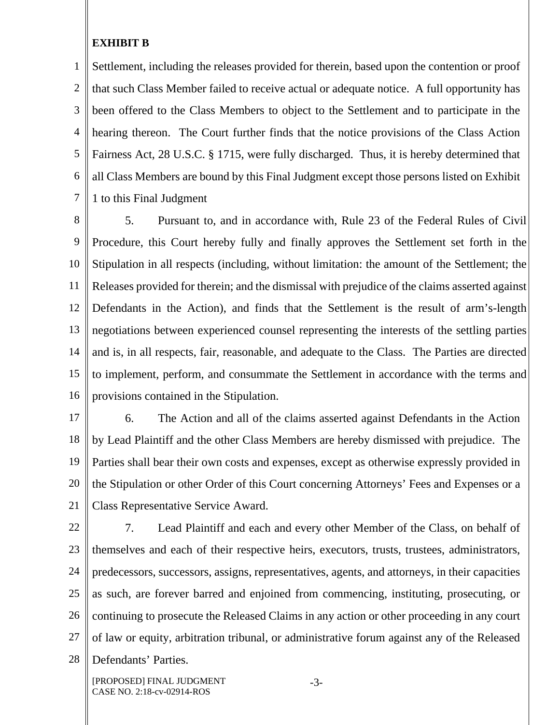1 2 3 4 5 6 7 Settlement, including the releases provided for therein, based upon the contention or proof that such Class Member failed to receive actual or adequate notice. A full opportunity has been offered to the Class Members to object to the Settlement and to participate in the hearing thereon. The Court further finds that the notice provisions of the Class Action Fairness Act, 28 U.S.C. § 1715, were fully discharged. Thus, it is hereby determined that all Class Members are bound by this Final Judgment except those persons listed on Exhibit 1 to this Final Judgment

8 9 10 11 12 13 14 15 16 5. Pursuant to, and in accordance with, Rule 23 of the Federal Rules of Civil Procedure, this Court hereby fully and finally approves the Settlement set forth in the Stipulation in all respects (including, without limitation: the amount of the Settlement; the Releases provided for therein; and the dismissal with prejudice of the claims asserted against Defendants in the Action), and finds that the Settlement is the result of arm's-length negotiations between experienced counsel representing the interests of the settling parties and is, in all respects, fair, reasonable, and adequate to the Class. The Parties are directed to implement, perform, and consummate the Settlement in accordance with the terms and provisions contained in the Stipulation.

17 18 19 20 21 6. The Action and all of the claims asserted against Defendants in the Action by Lead Plaintiff and the other Class Members are hereby dismissed with prejudice. The Parties shall bear their own costs and expenses, except as otherwise expressly provided in the Stipulation or other Order of this Court concerning Attorneys' Fees and Expenses or a Class Representative Service Award.

22 23 24 25 26 27 28 7. Lead Plaintiff and each and every other Member of the Class, on behalf of themselves and each of their respective heirs, executors, trusts, trustees, administrators, predecessors, successors, assigns, representatives, agents, and attorneys, in their capacities as such, are forever barred and enjoined from commencing, instituting, prosecuting, or continuing to prosecute the Released Claims in any action or other proceeding in any court of law or equity, arbitration tribunal, or administrative forum against any of the Released Defendants' Parties.

[PROPOSED] FINAL JUDGMENT CASE NO. 2:18-cv-02914-ROS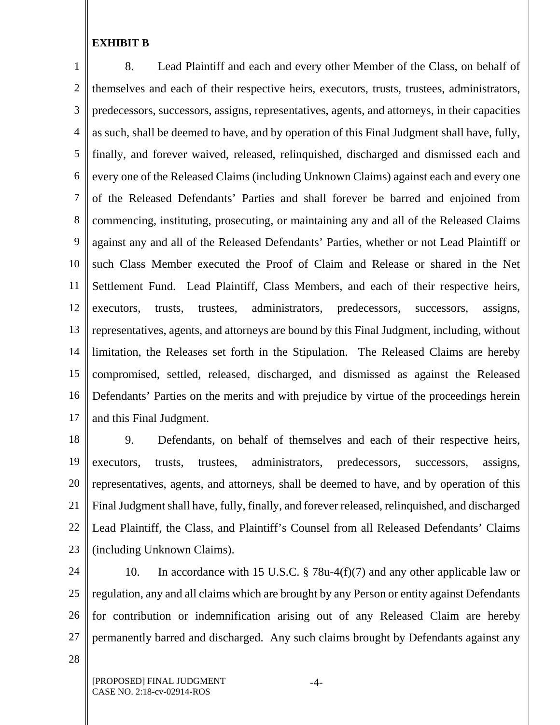1 2 3 4 5 6 7 8 9 10 11 12 13 14 15 16 17 8. Lead Plaintiff and each and every other Member of the Class, on behalf of themselves and each of their respective heirs, executors, trusts, trustees, administrators, predecessors, successors, assigns, representatives, agents, and attorneys, in their capacities as such, shall be deemed to have, and by operation of this Final Judgment shall have, fully, finally, and forever waived, released, relinquished, discharged and dismissed each and every one of the Released Claims (including Unknown Claims) against each and every one of the Released Defendants' Parties and shall forever be barred and enjoined from commencing, instituting, prosecuting, or maintaining any and all of the Released Claims against any and all of the Released Defendants' Parties, whether or not Lead Plaintiff or such Class Member executed the Proof of Claim and Release or shared in the Net Settlement Fund. Lead Plaintiff, Class Members, and each of their respective heirs, executors, trusts, trustees, administrators, predecessors, successors, assigns, representatives, agents, and attorneys are bound by this Final Judgment, including, without limitation, the Releases set forth in the Stipulation. The Released Claims are hereby compromised, settled, released, discharged, and dismissed as against the Released Defendants' Parties on the merits and with prejudice by virtue of the proceedings herein and this Final Judgment.

18 19 20 21 22 23 9. Defendants, on behalf of themselves and each of their respective heirs, executors, trusts, trustees, administrators, predecessors, successors, assigns, representatives, agents, and attorneys, shall be deemed to have, and by operation of this Final Judgment shall have, fully, finally, and forever released, relinquished, and discharged Lead Plaintiff, the Class, and Plaintiff's Counsel from all Released Defendants' Claims (including Unknown Claims).

24 25 26 27 10. In accordance with 15 U.S.C. § 78u-4(f)(7) and any other applicable law or regulation, any and all claims which are brought by any Person or entity against Defendants for contribution or indemnification arising out of any Released Claim are hereby permanently barred and discharged. Any such claims brought by Defendants against any

28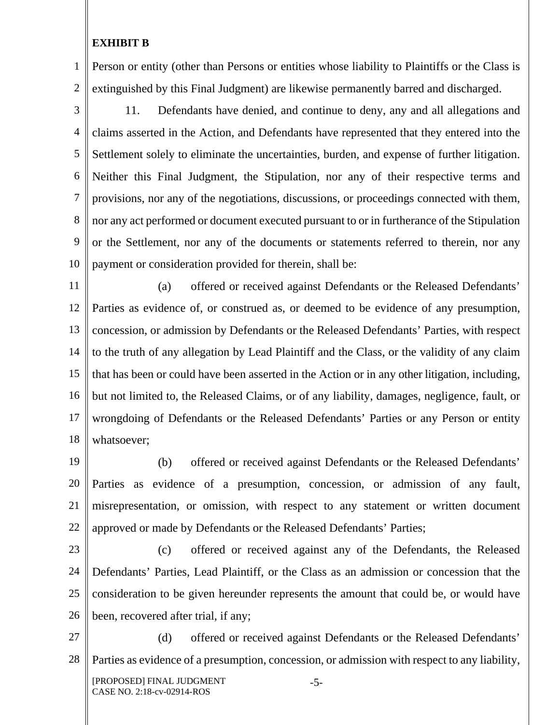1 2 Person or entity (other than Persons or entities whose liability to Plaintiffs or the Class is extinguished by this Final Judgment) are likewise permanently barred and discharged.

- 3 4 5 6 7 8 9 10 11. Defendants have denied, and continue to deny, any and all allegations and claims asserted in the Action, and Defendants have represented that they entered into the Settlement solely to eliminate the uncertainties, burden, and expense of further litigation. Neither this Final Judgment, the Stipulation, nor any of their respective terms and provisions, nor any of the negotiations, discussions, or proceedings connected with them, nor any act performed or document executed pursuant to or in furtherance of the Stipulation or the Settlement, nor any of the documents or statements referred to therein, nor any payment or consideration provided for therein, shall be:
- 11 12 13 14 15 16 17 18 (a) offered or received against Defendants or the Released Defendants' Parties as evidence of, or construed as, or deemed to be evidence of any presumption, concession, or admission by Defendants or the Released Defendants' Parties, with respect to the truth of any allegation by Lead Plaintiff and the Class, or the validity of any claim that has been or could have been asserted in the Action or in any other litigation, including, but not limited to, the Released Claims, or of any liability, damages, negligence, fault, or wrongdoing of Defendants or the Released Defendants' Parties or any Person or entity whatsoever;
- 19 20 21 22 (b) offered or received against Defendants or the Released Defendants' Parties as evidence of a presumption, concession, or admission of any fault, misrepresentation, or omission, with respect to any statement or written document approved or made by Defendants or the Released Defendants' Parties;
- 23

24

25

26

(c) offered or received against any of the Defendants, the Released Defendants' Parties, Lead Plaintiff, or the Class as an admission or concession that the consideration to be given hereunder represents the amount that could be, or would have been, recovered after trial, if any;

27 28 [PROPOSED] FINAL JUDGMENT CASE NO. 2:18-cv-02914-ROS -5- (d) offered or received against Defendants or the Released Defendants' Parties as evidence of a presumption, concession, or admission with respect to any liability,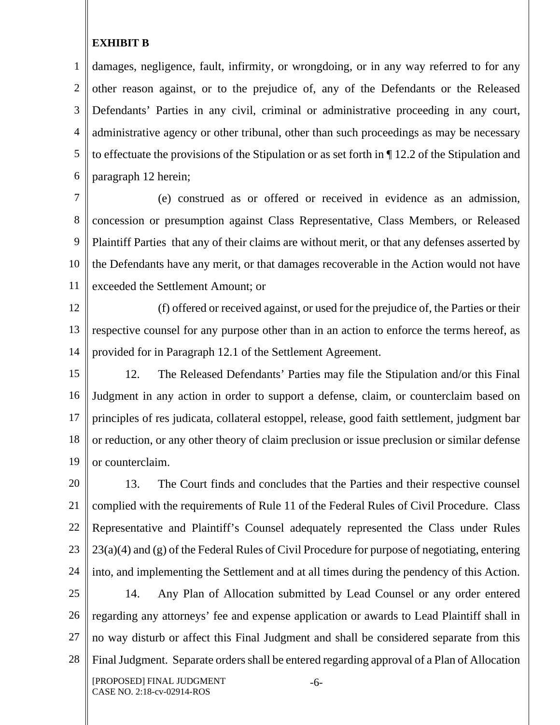1 2 3 4 5 6 damages, negligence, fault, infirmity, or wrongdoing, or in any way referred to for any other reason against, or to the prejudice of, any of the Defendants or the Released Defendants' Parties in any civil, criminal or administrative proceeding in any court, administrative agency or other tribunal, other than such proceedings as may be necessary to effectuate the provisions of the Stipulation or as set forth in ¶ 12.2 of the Stipulation and paragraph 12 herein;

7 8 9 10 11 (e) construed as or offered or received in evidence as an admission, concession or presumption against Class Representative, Class Members, or Released Plaintiff Parties that any of their claims are without merit, or that any defenses asserted by the Defendants have any merit, or that damages recoverable in the Action would not have exceeded the Settlement Amount; or

12 13 14 (f) offered or received against, or used for the prejudice of, the Parties or their respective counsel for any purpose other than in an action to enforce the terms hereof, as provided for in Paragraph 12.1 of the Settlement Agreement.

15 16 17 18 19 12. The Released Defendants' Parties may file the Stipulation and/or this Final Judgment in any action in order to support a defense, claim, or counterclaim based on principles of res judicata, collateral estoppel, release, good faith settlement, judgment bar or reduction, or any other theory of claim preclusion or issue preclusion or similar defense or counterclaim.

20 21 22 23 24 13. The Court finds and concludes that the Parties and their respective counsel complied with the requirements of Rule 11 of the Federal Rules of Civil Procedure. Class Representative and Plaintiff's Counsel adequately represented the Class under Rules 23(a)(4) and (g) of the Federal Rules of Civil Procedure for purpose of negotiating, entering into, and implementing the Settlement and at all times during the pendency of this Action.

25 26 27 28 [PROPOSED] FINAL JUDGMENT -6- 14. Any Plan of Allocation submitted by Lead Counsel or any order entered regarding any attorneys' fee and expense application or awards to Lead Plaintiff shall in no way disturb or affect this Final Judgment and shall be considered separate from this Final Judgment. Separate orders shall be entered regarding approval of a Plan of Allocation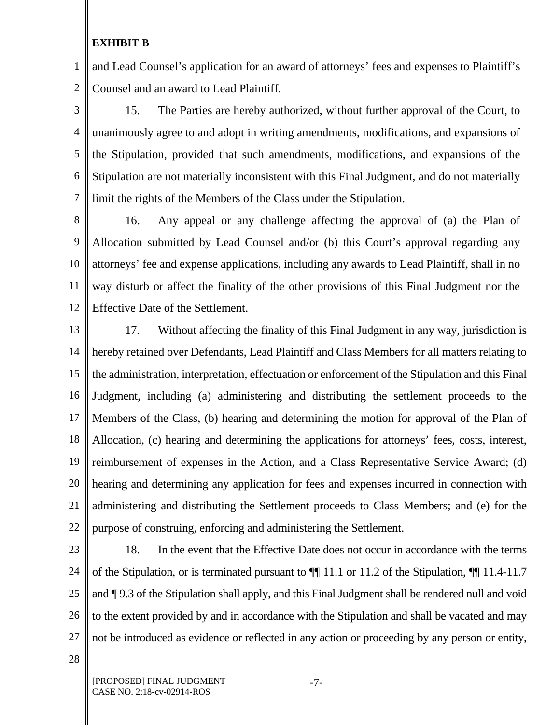1 2 and Lead Counsel's application for an award of attorneys' fees and expenses to Plaintiff's Counsel and an award to Lead Plaintiff.

3 4 5 6 7 15. The Parties are hereby authorized, without further approval of the Court, to unanimously agree to and adopt in writing amendments, modifications, and expansions of the Stipulation, provided that such amendments, modifications, and expansions of the Stipulation are not materially inconsistent with this Final Judgment, and do not materially limit the rights of the Members of the Class under the Stipulation.

8 9 10 11 12 16. Any appeal or any challenge affecting the approval of (a) the Plan of Allocation submitted by Lead Counsel and/or (b) this Court's approval regarding any attorneys' fee and expense applications, including any awards to Lead Plaintiff, shall in no way disturb or affect the finality of the other provisions of this Final Judgment nor the Effective Date of the Settlement.

13 14 15 16 17 18 19 20 21 22 17. Without affecting the finality of this Final Judgment in any way, jurisdiction is hereby retained over Defendants, Lead Plaintiff and Class Members for all matters relating to the administration, interpretation, effectuation or enforcement of the Stipulation and this Final Judgment, including (a) administering and distributing the settlement proceeds to the Members of the Class, (b) hearing and determining the motion for approval of the Plan of Allocation, (c) hearing and determining the applications for attorneys' fees, costs, interest, reimbursement of expenses in the Action, and a Class Representative Service Award; (d) hearing and determining any application for fees and expenses incurred in connection with administering and distributing the Settlement proceeds to Class Members; and (e) for the purpose of construing, enforcing and administering the Settlement.

23

24 25 26 27 18. In the event that the Effective Date does not occur in accordance with the terms of the Stipulation, or is terminated pursuant to ¶¶ 11.1 or 11.2 of the Stipulation, ¶¶ 11.4-11.7 and ¶ 9.3 of the Stipulation shall apply, and this Final Judgment shall be rendered null and void to the extent provided by and in accordance with the Stipulation and shall be vacated and may not be introduced as evidence or reflected in any action or proceeding by any person or entity,

28

-7-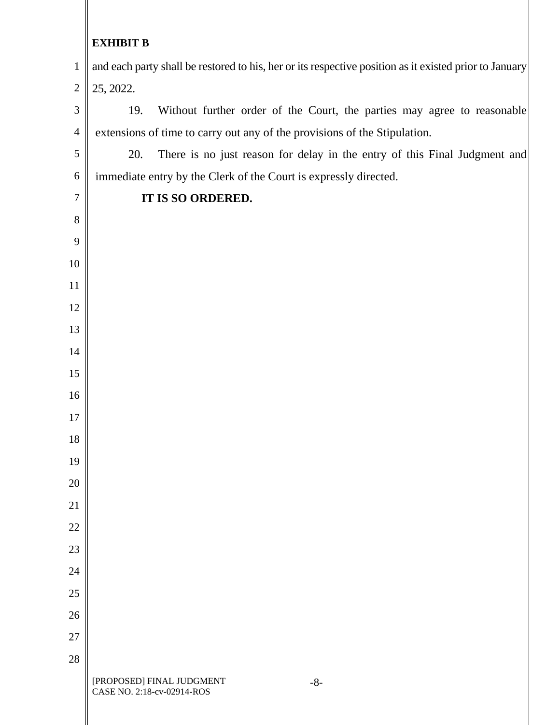and each party shall be restored to his, her or its respective position as it existed prior to January 25, 2022.

 19. Without further order of the Court, the parties may agree to reasonable extensions of time to carry out any of the provisions of the Stipulation.

 20. There is no just reason for delay in the entry of this Final Judgment and immediate entry by the Clerk of the Court is expressly directed.

# **IT IS SO ORDERED.**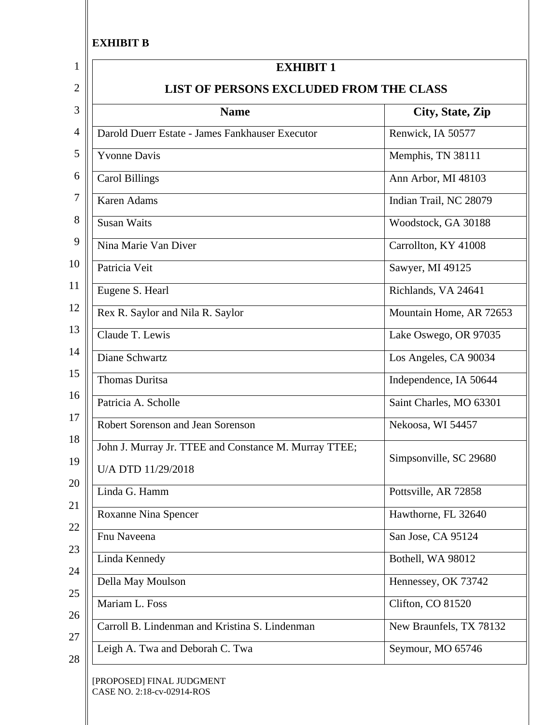Ш

| <b>Name</b>                                                                 | City, State, Zip        |
|-----------------------------------------------------------------------------|-------------------------|
| Darold Duerr Estate - James Fankhauser Executor                             | Renwick, IA 50577       |
| <b>Yvonne Davis</b>                                                         | Memphis, TN 38111       |
| <b>Carol Billings</b>                                                       | Ann Arbor, MI 48103     |
| <b>Karen Adams</b>                                                          | Indian Trail, NC 28079  |
| <b>Susan Waits</b>                                                          | Woodstock, GA 30188     |
| Nina Marie Van Diver                                                        | Carrollton, KY 41008    |
| Patricia Veit                                                               | Sawyer, MI 49125        |
| Eugene S. Hearl                                                             | Richlands, VA 24641     |
| Rex R. Saylor and Nila R. Saylor                                            | Mountain Home, AR 72653 |
| Claude T. Lewis                                                             | Lake Oswego, OR 97035   |
| Diane Schwartz                                                              | Los Angeles, CA 90034   |
| <b>Thomas Duritsa</b>                                                       | Independence, IA 50644  |
| Patricia A. Scholle                                                         | Saint Charles, MO 63301 |
| Robert Sorenson and Jean Sorenson                                           | Nekoosa, WI 54457       |
| John J. Murray Jr. TTEE and Constance M. Murray TTEE;<br>U/A DTD 11/29/2018 | Simpsonville, SC 29680  |
| Linda G. Hamm                                                               | Pottsville, AR 72858    |
| <b>Roxanne Nina Spencer</b>                                                 | Hawthorne, FL 32640     |
| Fnu Naveena                                                                 | San Jose, CA 95124      |
| Linda Kennedy                                                               | Bothell, WA 98012       |
| Della May Moulson                                                           | Hennessey, OK 73742     |
| Mariam L. Foss                                                              | Clifton, CO 81520       |
| Carroll B. Lindenman and Kristina S. Lindenman                              | New Braunfels, TX 78132 |
| Leigh A. Twa and Deborah C. Twa                                             | Seymour, MO 65746       |

CASE NO. 2:18-cv-02914-ROS